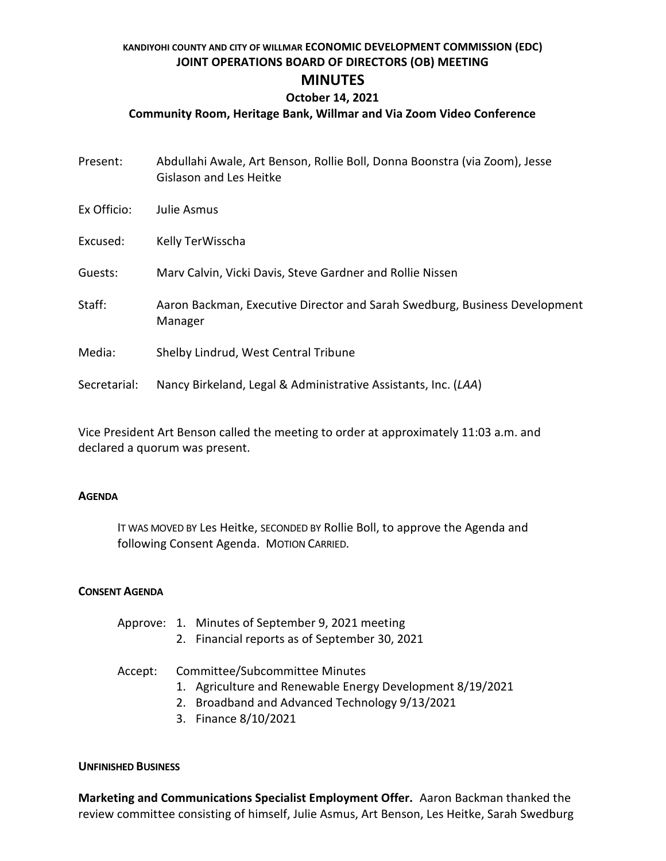## **KANDIYOHI COUNTY AND CITY OF WILLMAR ECONOMIC DEVELOPMENT COMMISSION (EDC) JOINT OPERATIONS BOARD OF DIRECTORS (OB) MEETING MINUTES**

## **October 14, 2021**

## **Community Room, Heritage Bank, Willmar and Via Zoom Video Conference**

| Present:     | Abdullahi Awale, Art Benson, Rollie Boll, Donna Boonstra (via Zoom), Jesse<br>Gislason and Les Heitke |
|--------------|-------------------------------------------------------------------------------------------------------|
| Ex Officio:  | Julie Asmus                                                                                           |
| Excused:     | Kelly TerWisscha                                                                                      |
| Guests:      | Mary Calvin, Vicki Davis, Steve Gardner and Rollie Nissen                                             |
| Staff:       | Aaron Backman, Executive Director and Sarah Swedburg, Business Development<br>Manager                 |
| Media:       | Shelby Lindrud, West Central Tribune                                                                  |
| Secretarial: | Nancy Birkeland, Legal & Administrative Assistants, Inc. (LAA)                                        |

Vice President Art Benson called the meeting to order at approximately 11:03 a.m. and declared a quorum was present.

## **AGENDA**

IT WAS MOVED BY Les Heitke, SECONDED BY Rollie Boll, to approve the Agenda and following Consent Agenda. MOTION CARRIED.

## **CONSENT AGENDA**

|  |  | Approve: 1. Minutes of September 9, 2021 meeting |
|--|--|--------------------------------------------------|
|--|--|--------------------------------------------------|

2. Financial reports as of September 30, 2021

## Accept: Committee/Subcommittee Minutes

- 1. Agriculture and Renewable Energy Development 8/19/2021
- 2. Broadband and Advanced Technology 9/13/2021
- 3. Finance 8/10/2021

## **UNFINISHED BUSINESS**

**Marketing and Communications Specialist Employment Offer.** Aaron Backman thanked the review committee consisting of himself, Julie Asmus, Art Benson, Les Heitke, Sarah Swedburg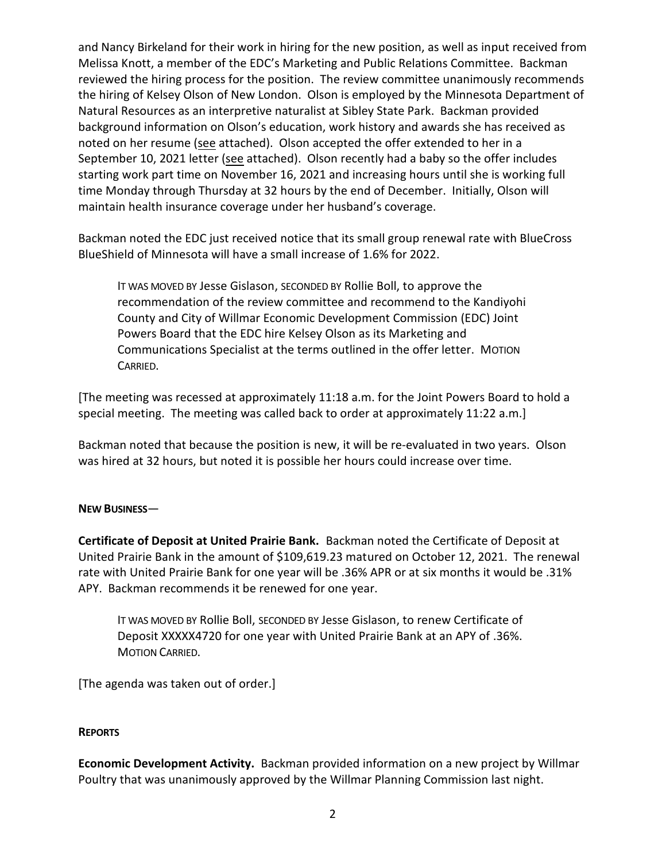and Nancy Birkeland for their work in hiring for the new position, as well as input received from Melissa Knott, a member of the EDC's Marketing and Public Relations Committee. Backman reviewed the hiring process for the position. The review committee unanimously recommends the hiring of Kelsey Olson of New London. Olson is employed by the Minnesota Department of Natural Resources as an interpretive naturalist at Sibley State Park. Backman provided background information on Olson's education, work history and awards she has received as noted on her resume (see attached). Olson accepted the offer extended to her in a September 10, 2021 letter (see attached). Olson recently had a baby so the offer includes starting work part time on November 16, 2021 and increasing hours until she is working full time Monday through Thursday at 32 hours by the end of December. Initially, Olson will maintain health insurance coverage under her husband's coverage.

Backman noted the EDC just received notice that its small group renewal rate with BlueCross BlueShield of Minnesota will have a small increase of 1.6% for 2022.

IT WAS MOVED BY Jesse Gislason, SECONDED BY Rollie Boll, to approve the recommendation of the review committee and recommend to the Kandiyohi County and City of Willmar Economic Development Commission (EDC) Joint Powers Board that the EDC hire Kelsey Olson as its Marketing and Communications Specialist at the terms outlined in the offer letter. MOTION CARRIED.

[The meeting was recessed at approximately 11:18 a.m. for the Joint Powers Board to hold a special meeting. The meeting was called back to order at approximately 11:22 a.m.]

Backman noted that because the position is new, it will be re-evaluated in two years. Olson was hired at 32 hours, but noted it is possible her hours could increase over time.

## **NEW BUSINESS**—

**Certificate of Deposit at United Prairie Bank.** Backman noted the Certificate of Deposit at United Prairie Bank in the amount of \$109,619.23 matured on October 12, 2021. The renewal rate with United Prairie Bank for one year will be .36% APR or at six months it would be .31% APY. Backman recommends it be renewed for one year.

IT WAS MOVED BY Rollie Boll, SECONDED BY Jesse Gislason, to renew Certificate of Deposit XXXXX4720 for one year with United Prairie Bank at an APY of .36%. MOTION CARRIED.

[The agenda was taken out of order.]

## **REPORTS**

**Economic Development Activity.** Backman provided information on a new project by Willmar Poultry that was unanimously approved by the Willmar Planning Commission last night.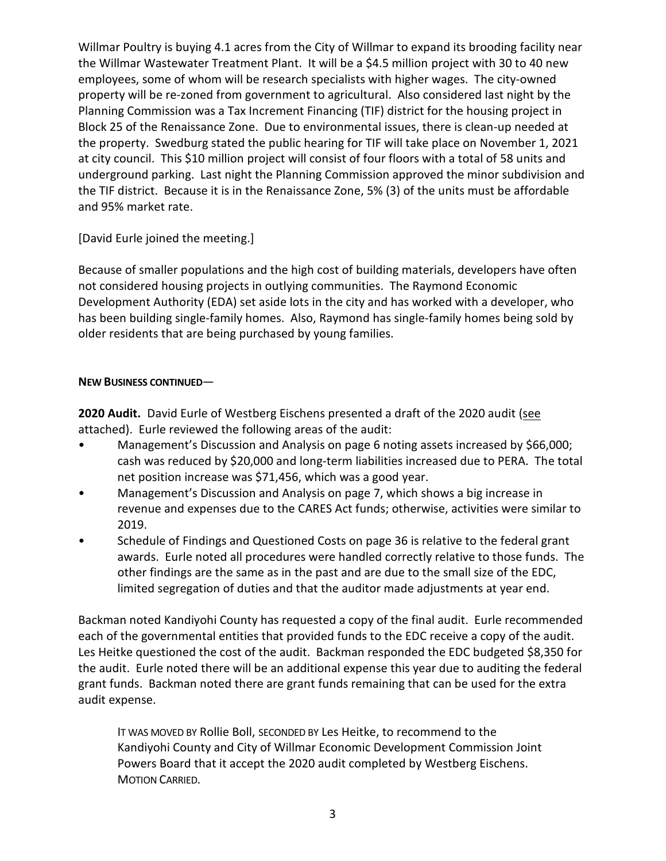Willmar Poultry is buying 4.1 acres from the City of Willmar to expand its brooding facility near the Willmar Wastewater Treatment Plant. It will be a \$4.5 million project with 30 to 40 new employees, some of whom will be research specialists with higher wages. The city-owned property will be re-zoned from government to agricultural. Also considered last night by the Planning Commission was a Tax Increment Financing (TIF) district for the housing project in Block 25 of the Renaissance Zone. Due to environmental issues, there is clean-up needed at the property. Swedburg stated the public hearing for TIF will take place on November 1, 2021 at city council. This \$10 million project will consist of four floors with a total of 58 units and underground parking. Last night the Planning Commission approved the minor subdivision and the TIF district. Because it is in the Renaissance Zone, 5% (3) of the units must be affordable and 95% market rate.

[David Eurle joined the meeting.]

Because of smaller populations and the high cost of building materials, developers have often not considered housing projects in outlying communities. The Raymond Economic Development Authority (EDA) set aside lots in the city and has worked with a developer, who has been building single-family homes. Also, Raymond has single-family homes being sold by older residents that are being purchased by young families.

## **NEW BUSINESS CONTINUED**—

**2020 Audit.** David Eurle of Westberg Eischens presented a draft of the 2020 audit (see attached). Eurle reviewed the following areas of the audit:

- Management's Discussion and Analysis on page 6 noting assets increased by \$66,000; cash was reduced by \$20,000 and long-term liabilities increased due to PERA. The total net position increase was \$71,456, which was a good year.
- Management's Discussion and Analysis on page 7, which shows a big increase in revenue and expenses due to the CARES Act funds; otherwise, activities were similar to 2019.
- Schedule of Findings and Questioned Costs on page 36 is relative to the federal grant awards. Eurle noted all procedures were handled correctly relative to those funds. The other findings are the same as in the past and are due to the small size of the EDC, limited segregation of duties and that the auditor made adjustments at year end.

Backman noted Kandiyohi County has requested a copy of the final audit. Eurle recommended each of the governmental entities that provided funds to the EDC receive a copy of the audit. Les Heitke questioned the cost of the audit. Backman responded the EDC budgeted \$8,350 for the audit. Eurle noted there will be an additional expense this year due to auditing the federal grant funds. Backman noted there are grant funds remaining that can be used for the extra audit expense.

IT WAS MOVED BY Rollie Boll, SECONDED BY Les Heitke, to recommend to the Kandiyohi County and City of Willmar Economic Development Commission Joint Powers Board that it accept the 2020 audit completed by Westberg Eischens. MOTION CARRIED.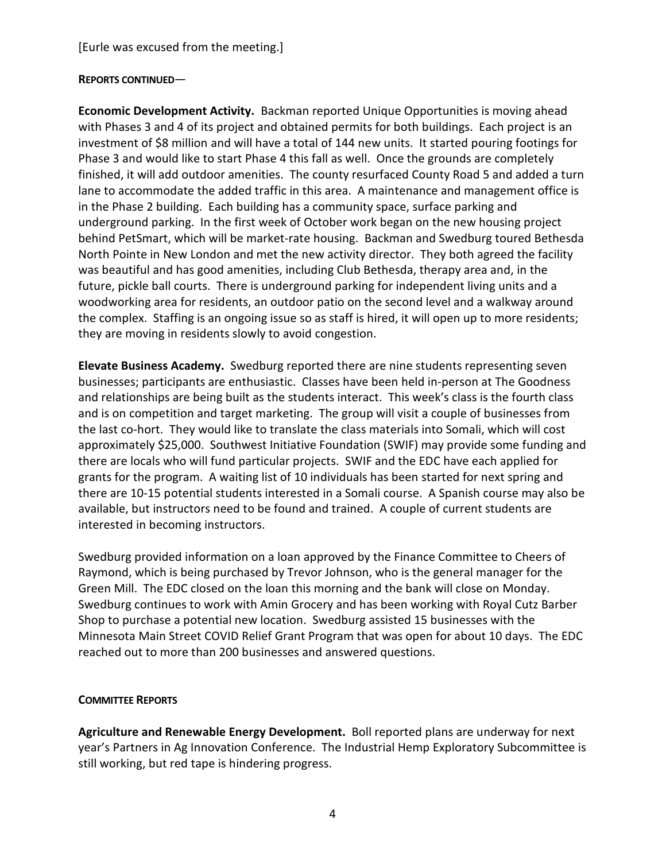## [Eurle was excused from the meeting.]

## **REPORTS CONTINUED**—

**Economic Development Activity.** Backman reported Unique Opportunities is moving ahead with Phases 3 and 4 of its project and obtained permits for both buildings. Each project is an investment of \$8 million and will have a total of 144 new units. It started pouring footings for Phase 3 and would like to start Phase 4 this fall as well. Once the grounds are completely finished, it will add outdoor amenities. The county resurfaced County Road 5 and added a turn lane to accommodate the added traffic in this area. A maintenance and management office is in the Phase 2 building. Each building has a community space, surface parking and underground parking. In the first week of October work began on the new housing project behind PetSmart, which will be market-rate housing. Backman and Swedburg toured Bethesda North Pointe in New London and met the new activity director. They both agreed the facility was beautiful and has good amenities, including Club Bethesda, therapy area and, in the future, pickle ball courts. There is underground parking for independent living units and a woodworking area for residents, an outdoor patio on the second level and a walkway around the complex. Staffing is an ongoing issue so as staff is hired, it will open up to more residents; they are moving in residents slowly to avoid congestion.

**Elevate Business Academy.** Swedburg reported there are nine students representing seven businesses; participants are enthusiastic. Classes have been held in-person at The Goodness and relationships are being built as the students interact. This week's class is the fourth class and is on competition and target marketing. The group will visit a couple of businesses from the last co-hort. They would like to translate the class materials into Somali, which will cost approximately \$25,000. Southwest Initiative Foundation (SWIF) may provide some funding and there are locals who will fund particular projects. SWIF and the EDC have each applied for grants for the program. A waiting list of 10 individuals has been started for next spring and there are 10-15 potential students interested in a Somali course. A Spanish course may also be available, but instructors need to be found and trained. A couple of current students are interested in becoming instructors.

Swedburg provided information on a loan approved by the Finance Committee to Cheers of Raymond, which is being purchased by Trevor Johnson, who is the general manager for the Green Mill. The EDC closed on the loan this morning and the bank will close on Monday. Swedburg continues to work with Amin Grocery and has been working with Royal Cutz Barber Shop to purchase a potential new location. Swedburg assisted 15 businesses with the Minnesota Main Street COVID Relief Grant Program that was open for about 10 days. The EDC reached out to more than 200 businesses and answered questions.

## **COMMITTEE REPORTS**

**Agriculture and Renewable Energy Development.** Boll reported plans are underway for next year's Partners in Ag Innovation Conference. The Industrial Hemp Exploratory Subcommittee is still working, but red tape is hindering progress.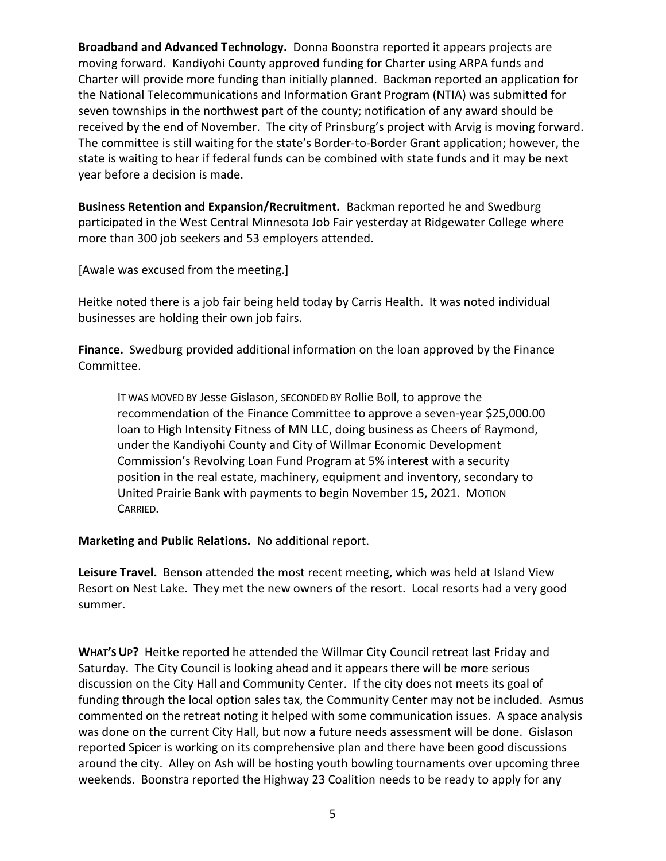**Broadband and Advanced Technology.** Donna Boonstra reported it appears projects are moving forward. Kandiyohi County approved funding for Charter using ARPA funds and Charter will provide more funding than initially planned. Backman reported an application for the National Telecommunications and Information Grant Program (NTIA) was submitted for seven townships in the northwest part of the county; notification of any award should be received by the end of November. The city of Prinsburg's project with Arvig is moving forward. The committee is still waiting for the state's Border-to-Border Grant application; however, the state is waiting to hear if federal funds can be combined with state funds and it may be next year before a decision is made.

**Business Retention and Expansion/Recruitment.** Backman reported he and Swedburg participated in the West Central Minnesota Job Fair yesterday at Ridgewater College where more than 300 job seekers and 53 employers attended.

[Awale was excused from the meeting.]

Heitke noted there is a job fair being held today by Carris Health. It was noted individual businesses are holding their own job fairs.

**Finance.** Swedburg provided additional information on the loan approved by the Finance Committee.

IT WAS MOVED BY Jesse Gislason, SECONDED BY Rollie Boll, to approve the recommendation of the Finance Committee to approve a seven-year \$25,000.00 loan to High Intensity Fitness of MN LLC, doing business as Cheers of Raymond, under the Kandiyohi County and City of Willmar Economic Development Commission's Revolving Loan Fund Program at 5% interest with a security position in the real estate, machinery, equipment and inventory, secondary to United Prairie Bank with payments to begin November 15, 2021. MOTION CARRIED.

**Marketing and Public Relations.** No additional report.

**Leisure Travel.** Benson attended the most recent meeting, which was held at Island View Resort on Nest Lake. They met the new owners of the resort. Local resorts had a very good summer.

**WHAT'S UP?** Heitke reported he attended the Willmar City Council retreat last Friday and Saturday. The City Council is looking ahead and it appears there will be more serious discussion on the City Hall and Community Center. If the city does not meets its goal of funding through the local option sales tax, the Community Center may not be included. Asmus commented on the retreat noting it helped with some communication issues. A space analysis was done on the current City Hall, but now a future needs assessment will be done. Gislason reported Spicer is working on its comprehensive plan and there have been good discussions around the city. Alley on Ash will be hosting youth bowling tournaments over upcoming three weekends. Boonstra reported the Highway 23 Coalition needs to be ready to apply for any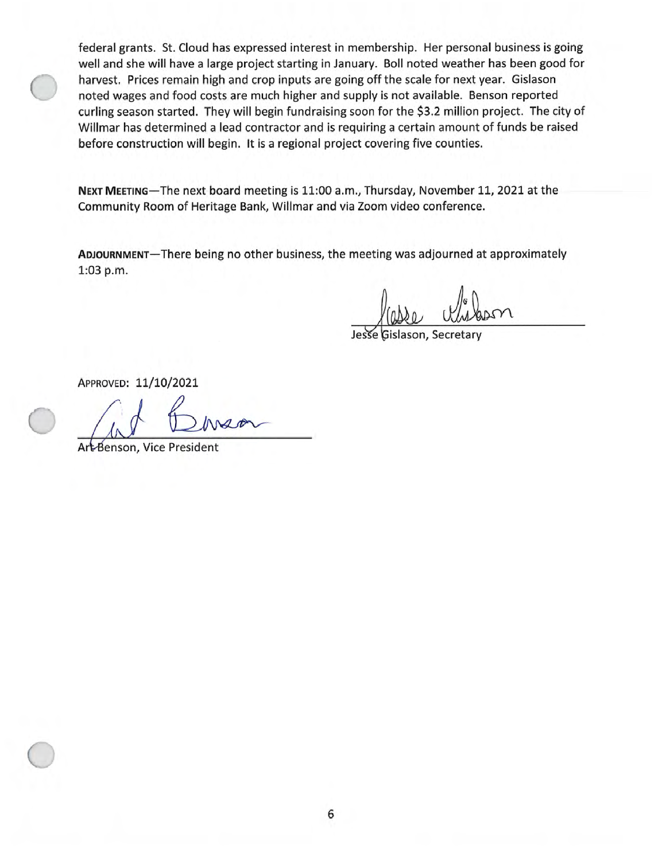federal grants. St. Cloud has expressed interest in membership. Her personal business is going well and she will have a large project starting in January. Boll noted weather has been good for harvest. Prices remain high and crop inputs are going off the scale for next year. Gislason noted wages and food costs are much higher and supply is not available. Benson reported curling season started. They will begin fundraising soon for the \$3.2 million project. The city of Willmar has determined a lead contractor and is requiring a certain amount of funds be raised before construction will begin. It is a regional project covering five counties.

NEXT MEETING-The next board meeting is 11:00 a.m., Thursday, November 11, 2021 at the Community Room of Heritage Bank, Willmar and via Zoom video conference.

ADJOURNMENT-There being no other business, the meeting was adjourned at approximately  $1:03$  p.m.

slason, Secret

APPROVED: 11/10/2021

Art-Benson, Vice President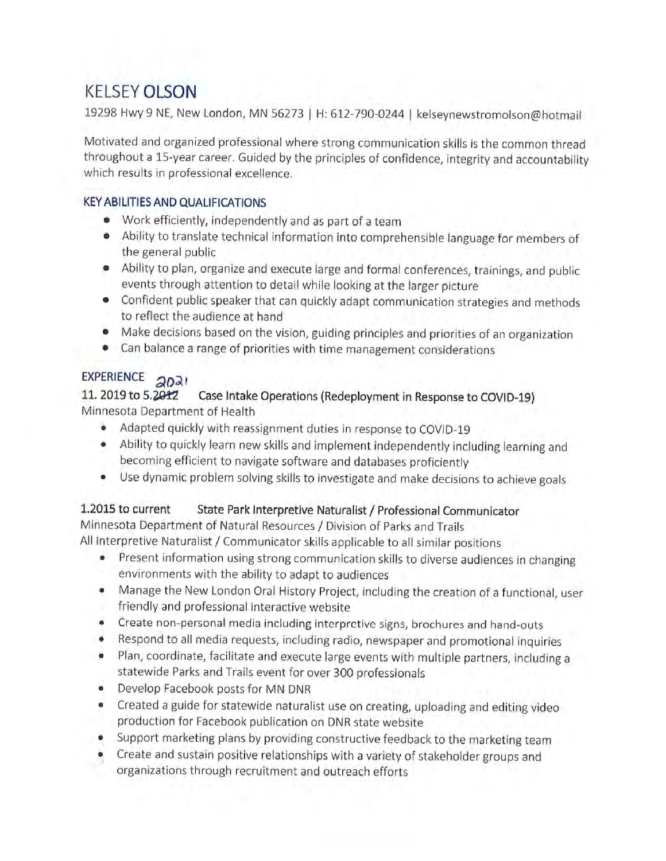# **KELSEY OLSON**

19298 Hwy 9 NE, New London, MN 56273 | H: 612-790-0244 | kelseynewstromolson@hotmail

Motivated and organized professional where strong communication skills is the common thread throughout a 15-year career. Guided by the principles of confidence, integrity and accountability which results in professional excellence.

## **KEY ABILITIES AND QUALIFICATIONS**

- Work efficiently, independently and as part of a team
- Ability to translate technical information into comprehensible language for members of the general public
- Ability to plan, organize and execute large and formal conferences, trainings, and public events through attention to detail while looking at the larger picture
- Confident public speaker that can quickly adapt communication strategies and methods to reflect the audience at hand
- Make decisions based on the vision, guiding principles and priorities of an organization
- Can balance a range of priorities with time management considerations ۰

# EXPERIENCE 2021

11. 2019 to 5.2012 Case Intake Operations (Redeployment in Response to COVID-19) Minnesota Department of Health

- Adapted quickly with reassignment duties in response to COVID-19
- Ability to quickly learn new skills and implement independently including learning and becoming efficient to navigate software and databases proficiently
- Use dynamic problem solving skills to investigate and make decisions to achieve goals

#### 1.2015 to current State Park Interpretive Naturalist / Professional Communicator

Minnesota Department of Natural Resources / Division of Parks and Trails

All Interpretive Naturalist / Communicator skills applicable to all similar positions

- Present information using strong communication skills to diverse audiences in changing environments with the ability to adapt to audiences
- Manage the New London Oral History Project, including the creation of a functional, user friendly and professional interactive website
- Create non-personal media including interpretive signs, brochures and hand-outs
- Respond to all media requests, including radio, newspaper and promotional inquiries
- · Plan, coordinate, facilitate and execute large events with multiple partners, including a statewide Parks and Trails event for over 300 professionals
- · Develop Facebook posts for MN DNR
- Created a guide for statewide naturalist use on creating, uploading and editing video  $\bullet$ production for Facebook publication on DNR state website
- Support marketing plans by providing constructive feedback to the marketing team
- Create and sustain positive relationships with a variety of stakeholder groups and  $\bullet$ organizations through recruitment and outreach efforts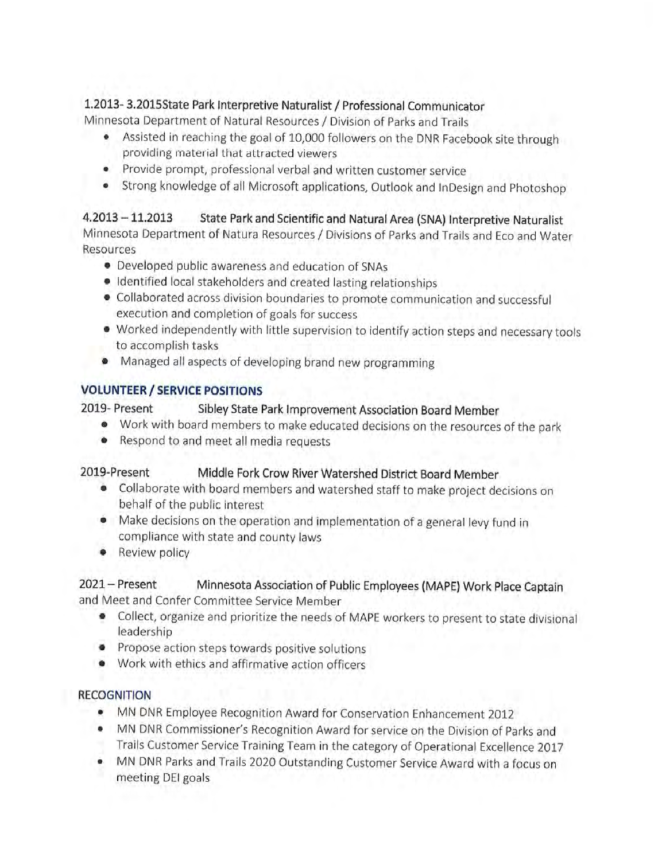# 1.2013- 3.2015State Park Interpretive Naturalist / Professional Communicator

Minnesota Department of Natural Resources / Division of Parks and Trails

- Assisted in reaching the goal of 10,000 followers on the DNR Facebook site through providing material that attracted viewers
- Provide prompt, professional verbal and written customer service
- Strong knowledge of all Microsoft applications, Outlook and InDesign and Photoshop

#### $4.2013 - 11.2013$ State Park and Scientific and Natural Area (SNA) Interpretive Naturalist

Minnesota Department of Natura Resources / Divisions of Parks and Trails and Eco and Water Resources

- Developed public awareness and education of SNAs
- · Identified local stakeholders and created lasting relationships
- Collaborated across division boundaries to promote communication and successful execution and completion of goals for success
- Worked independently with little supervision to identify action steps and necessary tools to accomplish tasks
- Managed all aspects of developing brand new programming

# **VOLUNTEER / SERVICE POSITIONS**

#### 2019- Present Sibley State Park Improvement Association Board Member

- Work with board members to make educated decisions on the resources of the park
- Respond to and meet all media requests

2019-Present

# Middle Fork Crow River Watershed District Board Member

- Collaborate with board members and watershed staff to make project decisions on behalf of the public interest
- Make decisions on the operation and implementation of a general levy fund in compliance with state and county laws
- Review policy

#### $2021 -$ Present Minnesota Association of Public Employees (MAPE) Work Place Captain and Meet and Confer Committee Service Member

- Collect, organize and prioritize the needs of MAPE workers to present to state divisional leadership
- Propose action steps towards positive solutions
- Work with ethics and affirmative action officers

# **RECOGNITION**

- MN DNR Employee Recognition Award for Conservation Enhancement 2012
- MN DNR Commissioner's Recognition Award for service on the Division of Parks and Trails Customer Service Training Team in the category of Operational Excellence 2017
- MN DNR Parks and Trails 2020 Outstanding Customer Service Award with a focus on meeting DEI goals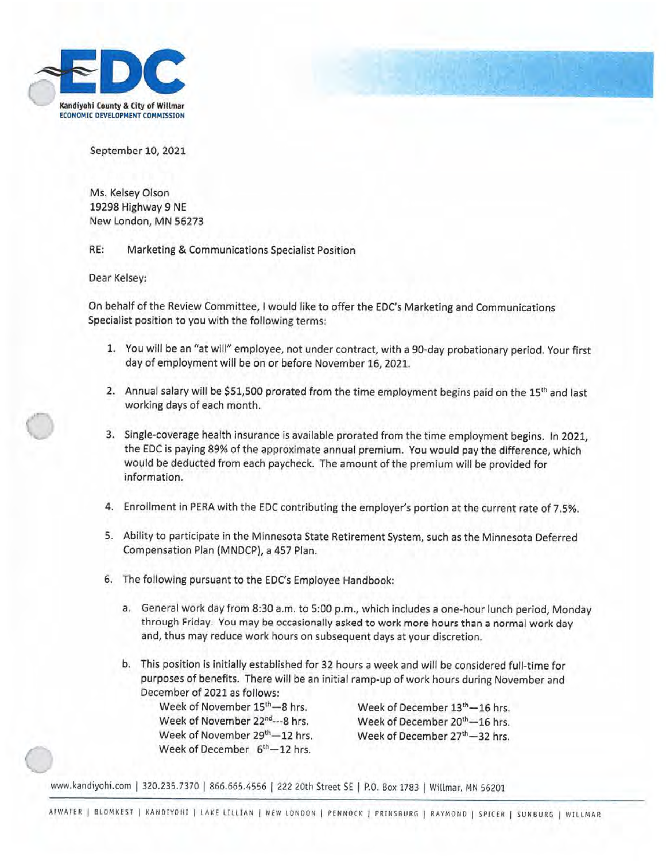

September 10, 2021

Ms. Kelsey Olson 19298 Highway 9 NE New London, MN 56273

RE: Marketing & Communications Specialist Position

Dear Kelsey:

On behalf of the Review Committee, I would like to offer the EDC's Marketing and Communications Specialist position to you with the following terms:

- 1. You will be an "at will" employee, not under contract, with a 90-day probationary period. Your first day of employment will be on or before November 16, 2021.
- 2. Annual salary will be \$51,500 prorated from the time employment begins paid on the 15<sup>th</sup> and last working days of each month.
- 3. Single-coverage health insurance is available prorated from the time employment begins. In 2021, the EDC is paying 89% of the approximate annual premium. You would pay the difference, which would be deducted from each paycheck. The amount of the premium will be provided for information.
- 4. Enrollment in PERA with the EDC contributing the employer's portion at the current rate of 7.5%.
- 5. Ability to participate in the Minnesota State Retirement System, such as the Minnesota Deferred Compensation Plan (MNDCP), a 457 Plan.
- 6. The following pursuant to the EDC's Employee Handbook:
	- a. General work day from 8:30 a.m. to 5:00 p.m., which includes a one-hour lunch period, Monday through Friday. You may be occasionally asked to work more hours than a normal work day and, thus may reduce work hours on subsequent days at your discretion.
	- b. This position is initially established for 32 hours a week and will be considered full-time for purposes of benefits. There will be an initial ramp-up of work hours during November and December of 2021 as follows:

Week of November 15<sup>th</sup>-8 hrs. Week of November 22<sup>nd</sup>---8 hrs. Week of November 29th-12 hrs. Week of December  $6<sup>th</sup>-12$  hrs.

Week of December 13th-16 hrs. Week of December 20<sup>th</sup>-16 hrs. Week of December 27th-32 hrs.

www.kandiyohi.com | 320.235.7370 | 866.665.4556 | 222 20th Street SE | P.O. Box 1783 | Willmar, MN 56201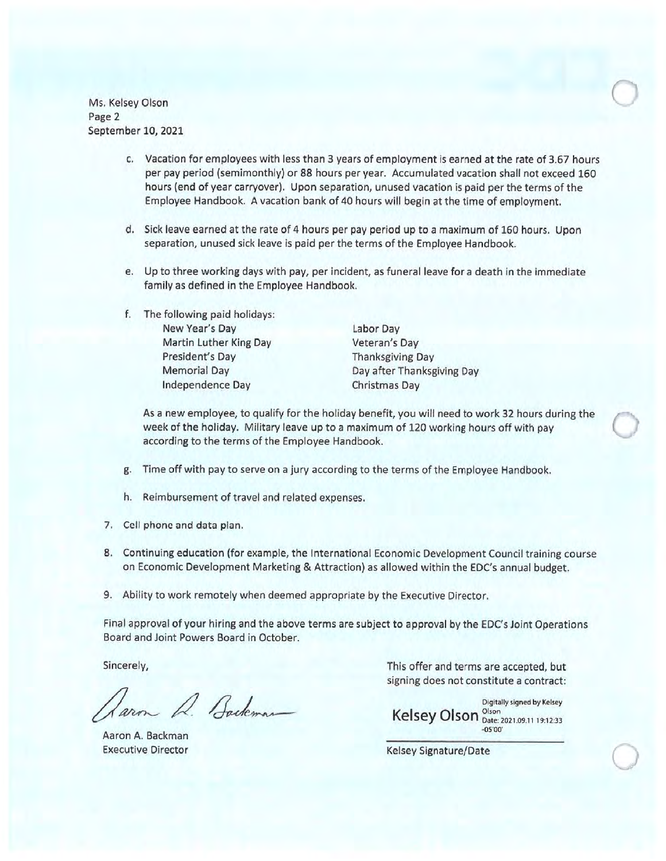Ms. Kelsey Olson Page 2 September 10, 2021

- c. Vacation for employees with less than 3 years of employment is earned at the rate of 3.67 hours per pay period (semimonthly) or 88 hours per year. Accumulated vacation shall not exceed 160 hours (end of year carryover). Upon separation, unused vacation is paid per the terms of the Employee Handbook. A vacation bank of 40 hours will begin at the time of employment.
- d. Sick leave earned at the rate of 4 hours per pay period up to a maximum of 160 hours. Upon separation, unused sick leave is paid per the terms of the Employee Handbook.
- e. Up to three working days with pay, per incident, as funeral leave for a death in the immediate family as defined in the Employee Handbook.
- f. The following paid holidays: New Year's Day Martin Luther King Day President's Day **Memorial Day** Independence Day

Labor Day Veteran's Day **Thanksgiving Day** Day after Thanksgiving Day Christmas Day

As a new employee, to qualify for the holiday benefit, you will need to work 32 hours during the week of the holiday. Military leave up to a maximum of 120 working hours off with pay according to the terms of the Employee Handbook.

- Time off with pay to serve on a jury according to the terms of the Employee Handbook. g.
- h. Reimbursement of travel and related expenses.
- 7. Cell phone and data plan.
- 8. Continuing education (for example, the International Economic Development Council training course on Economic Development Marketing & Attraction) as allowed within the EDC's annual budget.
- 9. Ability to work remotely when deemed appropriate by the Executive Director.

Final approval of your hiring and the above terms are subject to approval by the EDC's Joint Operations Board and Joint Powers Board in October.

Sincerely,

arm A. Backman

Aaron A. Backman **Executive Director** 

This offer and terms are accepted, but signing does not constitute a contract:

Digitally signed by Kelsey Kelsey Olson Dison  $-05'00'$ 

Kelsey Signature/Date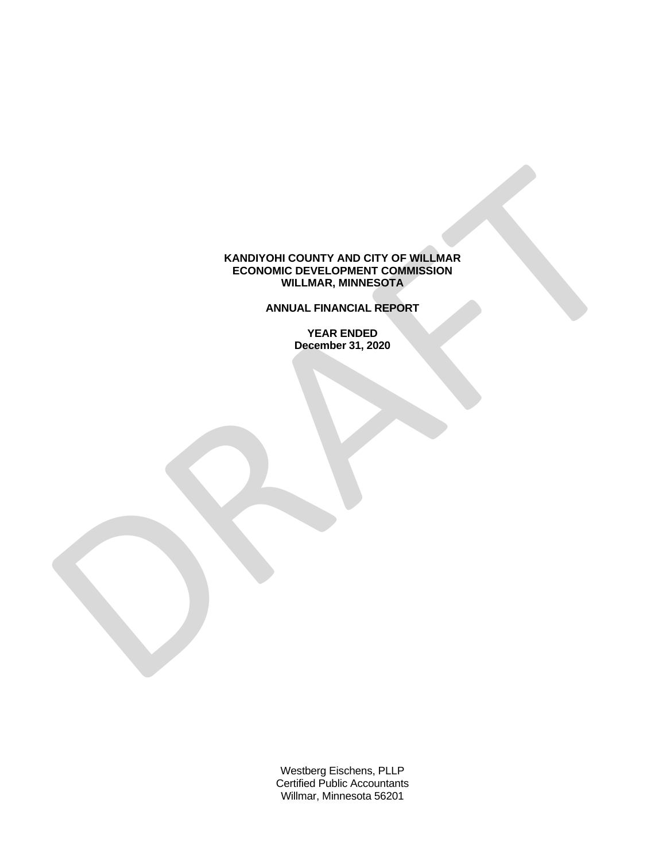# **KANDIYOHI COUNTY AND CITY OF WILLMAR ECONOMIC DEVELOPMENT COMMISSION WILLMAR, MINNESOTA**  KAINDYOHI COUNTY AND CITY OF WILLMAR<br>ECONOMIC DEVELOPMENT COMMISSION<br>ANNIJAL FINANCIAL REPORT<br>ANNIJAL FINANCIAL REPORT<br>December 31, 2020

**ANNUAL FINANCIAL REPORT** 

**YEAR ENDED December 31, 2020** 

Westberg Eischens, PLLP Certified Public Accountants Willmar, Minnesota 56201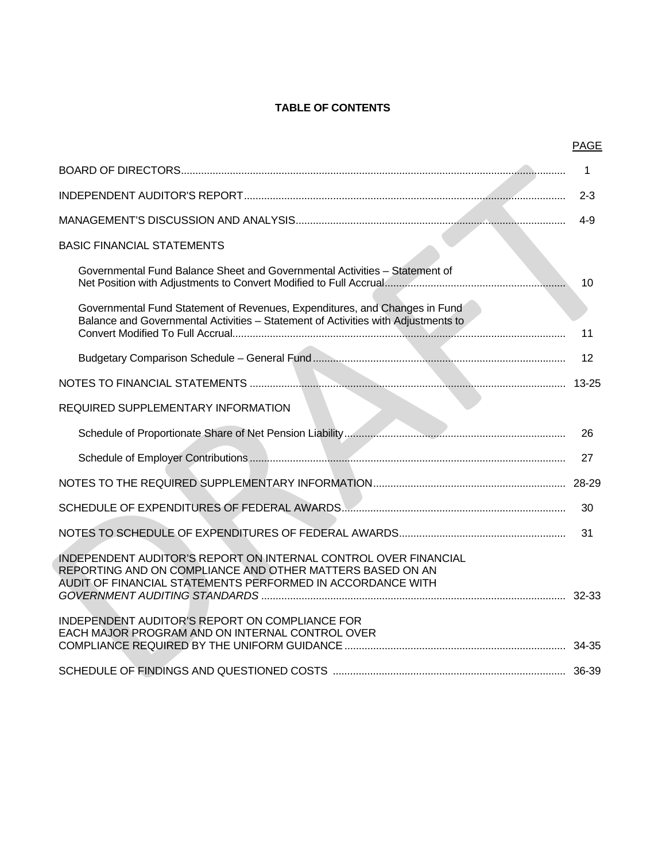## **TABLE OF CONTENTS**

|                                                                                                                                                                                            | <b>PAGE</b> |
|--------------------------------------------------------------------------------------------------------------------------------------------------------------------------------------------|-------------|
|                                                                                                                                                                                            | $\mathbf 1$ |
|                                                                                                                                                                                            | $2 - 3$     |
|                                                                                                                                                                                            | $4 - 9$     |
| <b>BASIC FINANCIAL STATEMENTS</b>                                                                                                                                                          |             |
| Governmental Fund Balance Sheet and Governmental Activities - Statement of                                                                                                                 | 10          |
| Governmental Fund Statement of Revenues, Expenditures, and Changes in Fund<br>Balance and Governmental Activities - Statement of Activities with Adjustments to                            | 11          |
|                                                                                                                                                                                            | 12          |
|                                                                                                                                                                                            |             |
| REQUIRED SUPPLEMENTARY INFORMATION                                                                                                                                                         |             |
|                                                                                                                                                                                            | 26          |
|                                                                                                                                                                                            | 27          |
|                                                                                                                                                                                            |             |
|                                                                                                                                                                                            | 30          |
|                                                                                                                                                                                            | 31          |
| INDEPENDENT AUDITOR'S REPORT ON INTERNAL CONTROL OVER FINANCIAL<br>REPORTING AND ON COMPLIANCE AND OTHER MATTERS BASED ON AN<br>AUDIT OF FINANCIAL STATEMENTS PERFORMED IN ACCORDANCE WITH |             |
| INDEPENDENT AUDITOR'S REPORT ON COMPLIANCE FOR<br>EACH MAJOR PROGRAM AND ON INTERNAL CONTROL OVER                                                                                          |             |
|                                                                                                                                                                                            |             |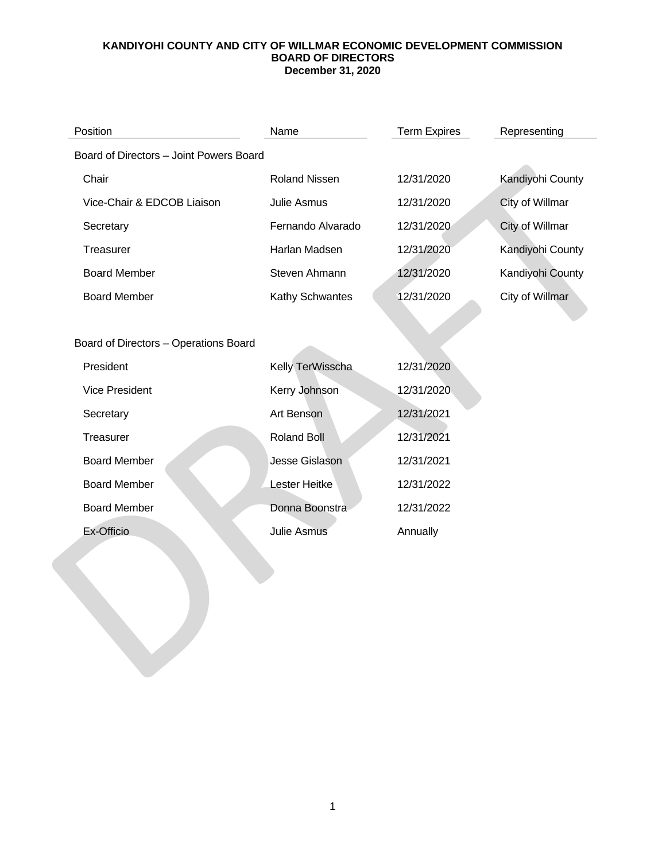### **KANDIYOHI COUNTY AND CITY OF WILLMAR ECONOMIC DEVELOPMENT COMMISSION BOARD OF DIRECTORS December 31, 2020**

| Position                                | Name                 | <b>Term Expires</b> | Representing     |
|-----------------------------------------|----------------------|---------------------|------------------|
| Board of Directors - Joint Powers Board |                      |                     |                  |
| Chair                                   | <b>Roland Nissen</b> | 12/31/2020          | Kandiyohi County |
| Vice-Chair & EDCOB Liaison              | <b>Julie Asmus</b>   | 12/31/2020          | City of Willmar  |
| Secretary                               | Fernando Alvarado    | 12/31/2020          | City of Willmar  |
| Treasurer                               | Harlan Madsen        | 12/31/2020          | Kandiyohi County |
| <b>Board Member</b>                     | Steven Ahmann        | 12/31/2020          | Kandiyohi County |
| <b>Board Member</b>                     | Kathy Schwantes      | 12/31/2020          | City of Willmar  |
|                                         |                      |                     |                  |
| Board of Directors - Operations Board   |                      |                     |                  |
| President                               | Kelly TerWisscha     | 12/31/2020          |                  |
| <b>Vice President</b>                   | Kerry Johnson        | 12/31/2020          |                  |
| Secretary                               | Art Benson           | 12/31/2021          |                  |
| Treasurer                               | <b>Roland Boll</b>   | 12/31/2021          |                  |
| <b>Board Member</b>                     | Jesse Gislason       | 12/31/2021          |                  |
| <b>Board Member</b>                     | Lester Heitke        | 12/31/2022          |                  |
| <b>Board Member</b>                     | Donna Boonstra       | 12/31/2022          |                  |
| Ex-Officio                              | <b>Julie Asmus</b>   | Annually            |                  |
|                                         |                      |                     |                  |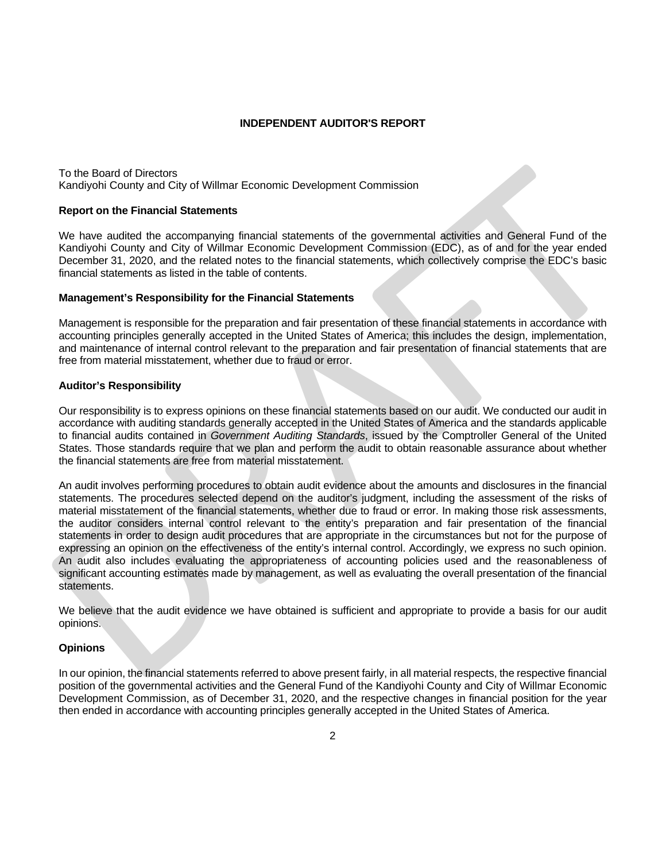#### **INDEPENDENT AUDITOR'S REPORT**

To the Board of Directors Kandiyohi County and City of Willmar Economic Development Commission

#### **Report on the Financial Statements**

We have audited the accompanying financial statements of the governmental activities and General Fund of the Kandiyohi County and City of Willmar Economic Development Commission (EDC), as of and for the year ended December 31, 2020, and the related notes to the financial statements, which collectively comprise the EDC's basic financial statements as listed in the table of contents.

#### **Management's Responsibility for the Financial Statements**

Management is responsible for the preparation and fair presentation of these financial statements in accordance with accounting principles generally accepted in the United States of America; this includes the design, implementation, and maintenance of internal control relevant to the preparation and fair presentation of financial statements that are free from material misstatement, whether due to fraud or error.

#### **Auditor's Responsibility**

Our responsibility is to express opinions on these financial statements based on our audit. We conducted our audit in accordance with auditing standards generally accepted in the United States of America and the standards applicable to financial audits contained in *Government Auditing Standards*, issued by the Comptroller General of the United States. Those standards require that we plan and perform the audit to obtain reasonable assurance about whether the financial statements are free from material misstatement.

An audit involves performing procedures to obtain audit evidence about the amounts and disclosures in the financial statements. The procedures selected depend on the auditor's judgment, including the assessment of the risks of material misstatement of the financial statements, whether due to fraud or error. In making those risk assessments, the auditor considers internal control relevant to the entity's preparation and fair presentation of the financial statements in order to design audit procedures that are appropriate in the circumstances but not for the purpose of expressing an opinion on the effectiveness of the entity's internal control. Accordingly, we express no such opinion. An audit also includes evaluating the appropriateness of accounting policies used and the reasonableness of significant accounting estimates made by management, as well as evaluating the overall presentation of the financial statements. To the Board of Directors<br>
Kapaby DiCourts and Optical statements of the governmental adjoints and General Fund of the<br>
Kapaby I County and City of Willimar Economic Development Commission<br>
Kapaby I County and City of Will

We believe that the audit evidence we have obtained is sufficient and appropriate to provide a basis for our audit opinions.

#### **Opinions**

In our opinion, the financial statements referred to above present fairly, in all material respects, the respective financial position of the governmental activities and the General Fund of the Kandiyohi County and City of Willmar Economic Development Commission, as of December 31, 2020, and the respective changes in financial position for the year then ended in accordance with accounting principles generally accepted in the United States of America.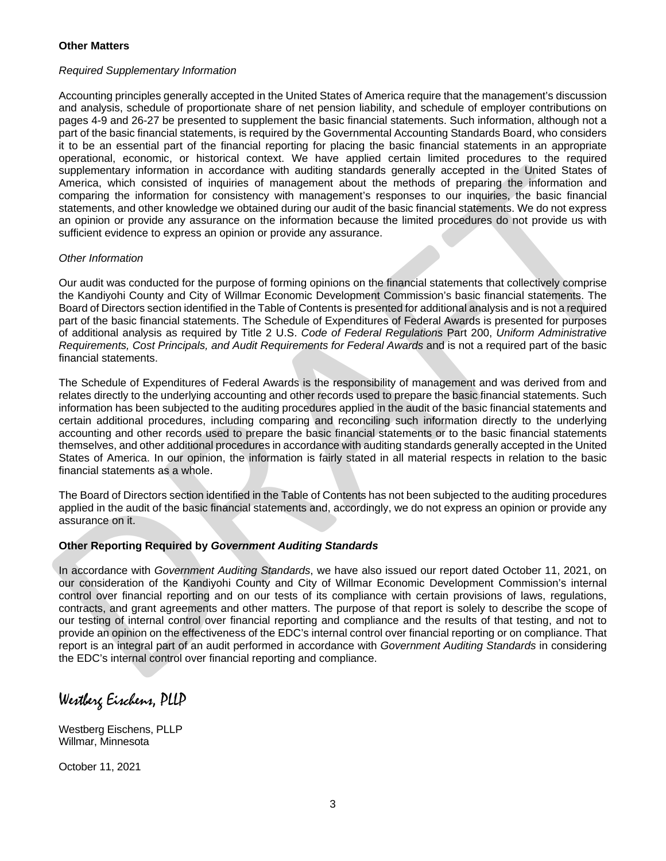## **Other Matters**

#### *Required Supplementary Information*

Accounting principles generally accepted in the United States of America require that the management's discussion and analysis, schedule of proportionate share of net pension liability, and schedule of employer contributions on pages 4-9 and 26-27 be presented to supplement the basic financial statements. Such information, although not a part of the basic financial statements, is required by the Governmental Accounting Standards Board, who considers it to be an essential part of the financial reporting for placing the basic financial statements in an appropriate operational, economic, or historical context. We have applied certain limited procedures to the required supplementary information in accordance with auditing standards generally accepted in the United States of America, which consisted of inquiries of management about the methods of preparing the information and comparing the information for consistency with management's responses to our inquiries, the basic financial statements, and other knowledge we obtained during our audit of the basic financial statements. We do not express an opinion or provide any assurance on the information because the limited procedures do not provide us with sufficient evidence to express an opinion or provide any assurance.

#### *Other Information*

Our audit was conducted for the purpose of forming opinions on the financial statements that collectively comprise the Kandiyohi County and City of Willmar Economic Development Commission's basic financial statements. The Board of Directors section identified in the Table of Contents is presented for additional analysis and is not a required part of the basic financial statements. The Schedule of Expenditures of Federal Awards is presented for purposes of additional analysis as required by Title 2 U.S. *Code of Federal Regulations* Part 200, *Uniform Administrative Requirements, Cost Principals, and Audit Requirements for Federal Awards* and is not a required part of the basic financial statements.

The Schedule of Expenditures of Federal Awards is the responsibility of management and was derived from and relates directly to the underlying accounting and other records used to prepare the basic financial statements. Such information has been subjected to the auditing procedures applied in the audit of the basic financial statements and certain additional procedures, including comparing and reconciling such information directly to the underlying accounting and other records used to prepare the basic financial statements or to the basic financial statements themselves, and other additional procedures in accordance with auditing standards generally accepted in the United States of America. In our opinion, the information is fairly stated in all material respects in relation to the basic financial statements as a whole.

The Board of Directors section identified in the Table of Contents has not been subjected to the auditing procedures applied in the audit of the basic financial statements and, accordingly, we do not express an opinion or provide any assurance on it.

#### **Other Reporting Required by** *Government Auditing Standards*

In accordance with *Government Auditing Standards*, we have also issued our report dated October 11, 2021, on our consideration of the Kandiyohi County and City of Willmar Economic Development Commission's internal control over financial reporting and on our tests of its compliance with certain provisions of laws, regulations, contracts, and grant agreements and other matters. The purpose of that report is solely to describe the scope of our testing of internal control over financial reporting and compliance and the results of that testing, and not to provide an opinion on the effectiveness of the EDC's internal control over financial reporting or on compliance. That report is an integral part of an audit performed in accordance with *Government Auditing Standards* in considering the EDC's internal control over financial reporting and compliance. supplementary information in accordance with auditing standard generative acquisitions of the United State of the Constraints, and other Reynology in the United State of the Constraints, and other Knowledge we obtained dur

Westberg Eischens, PLLP

Westberg Eischens, PLLP Willmar, Minnesota

October 11, 2021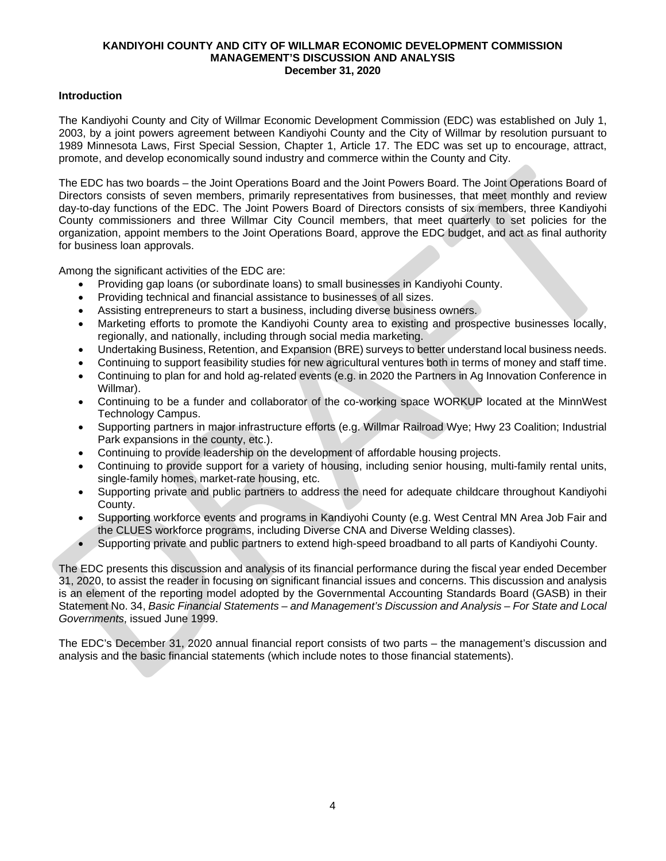## **Introduction**

The Kandiyohi County and City of Willmar Economic Development Commission (EDC) was established on July 1, 2003, by a joint powers agreement between Kandiyohi County and the City of Willmar by resolution pursuant to 1989 Minnesota Laws, First Special Session, Chapter 1, Article 17. The EDC was set up to encourage, attract, promote, and develop economically sound industry and commerce within the County and City.

The EDC has two boards – the Joint Operations Board and the Joint Powers Board. The Joint Operations Board of Directors consists of seven members, primarily representatives from businesses, that meet monthly and review day-to-day functions of the EDC. The Joint Powers Board of Directors consists of six members, three Kandiyohi County commissioners and three Willmar City Council members, that meet quarterly to set policies for the organization, appoint members to the Joint Operations Board, approve the EDC budget, and act as final authority for business loan approvals. The EDC has two boards – the drint Operations Board and the Joint Powers Board. The John Copies and of Directors consists of some members, primarity representation (and row-<br>develocity functions consists of some members, p

Among the significant activities of the EDC are:

- Providing gap loans (or subordinate loans) to small businesses in Kandiyohi County.
- Providing technical and financial assistance to businesses of all sizes.
- Assisting entrepreneurs to start a business, including diverse business owners.
- Marketing efforts to promote the Kandiyohi County area to existing and prospective businesses locally, regionally, and nationally, including through social media marketing.
- Undertaking Business, Retention, and Expansion (BRE) surveys to better understand local business needs.
- Continuing to support feasibility studies for new agricultural ventures both in terms of money and staff time.
- Continuing to plan for and hold ag-related events (e.g. in 2020 the Partners in Ag Innovation Conference in Willmar).
- Continuing to be a funder and collaborator of the co-working space WORKUP located at the MinnWest Technology Campus.
- Supporting partners in major infrastructure efforts (e.g. Willmar Railroad Wye; Hwy 23 Coalition; Industrial Park expansions in the county, etc.).
- Continuing to provide leadership on the development of affordable housing projects.
- Continuing to provide support for a variety of housing, including senior housing, multi-family rental units, single-family homes, market-rate housing, etc.
- Supporting private and public partners to address the need for adequate childcare throughout Kandiyohi County.
- Supporting workforce events and programs in Kandiyohi County (e.g. West Central MN Area Job Fair and the CLUES workforce programs, including Diverse CNA and Diverse Welding classes).
- Supporting private and public partners to extend high-speed broadband to all parts of Kandiyohi County.

The EDC presents this discussion and analysis of its financial performance during the fiscal year ended December 31, 2020, to assist the reader in focusing on significant financial issues and concerns. This discussion and analysis is an element of the reporting model adopted by the Governmental Accounting Standards Board (GASB) in their Statement No. 34, *Basic Financial Statements – and Management's Discussion and Analysis – For State and Local Governments*, issued June 1999.

The EDC's December 31, 2020 annual financial report consists of two parts – the management's discussion and analysis and the basic financial statements (which include notes to those financial statements).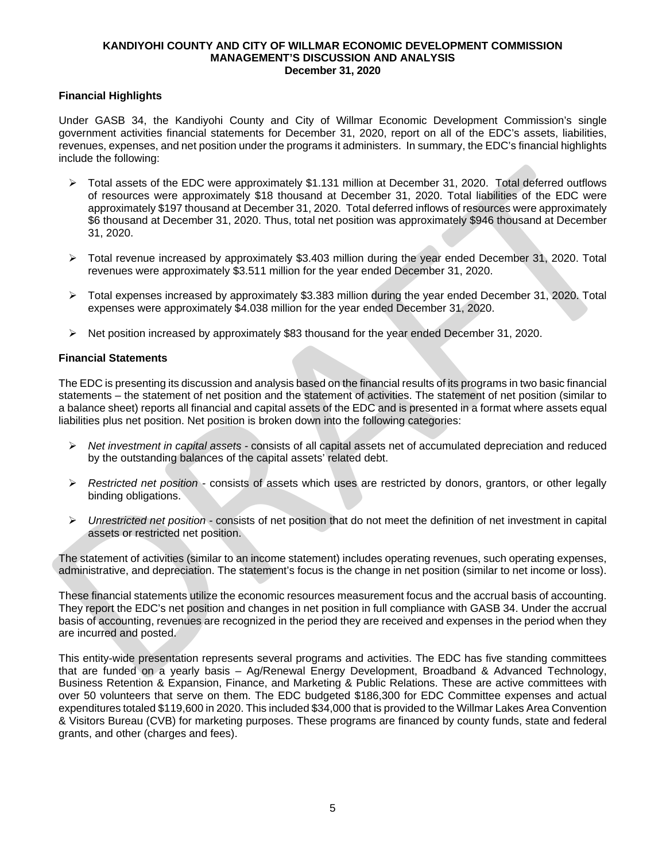## **Financial Highlights**

Under GASB 34, the Kandiyohi County and City of Willmar Economic Development Commission's single government activities financial statements for December 31, 2020, report on all of the EDC's assets, liabilities, revenues, expenses, and net position under the programs it administers. In summary, the EDC's financial highlights include the following:

- Total assets of the EDC were approximately \$1.131 million at December 31, 2020. Total deferred outflows of resources were approximately \$18 thousand at December 31, 2020. Total liabilities of the EDC were approximately \$197 thousand at December 31, 2020. Total deferred inflows of resources were approximately \$6 thousand at December 31, 2020. Thus, total net position was approximately \$946 thousand at December 31, 2020. Folal assets of the EDC were approximately \$1.131 million at December 31, 2020. Total deferred outflows<br>of resources were approximately \$18 thousand at December 31, 2020. Total deferred inflows of resources were approxim
	- Total revenue increased by approximately \$3.403 million during the year ended December 31, 2020. Total revenues were approximately \$3.511 million for the year ended December 31, 2020.
	- $\triangleright$  Total expenses increased by approximately \$3.383 million during the year ended December 31, 2020. Total expenses were approximately \$4.038 million for the year ended December 31, 2020.
	- $\triangleright$  Net position increased by approximately \$83 thousand for the year ended December 31, 2020.

## **Financial Statements**

The EDC is presenting its discussion and analysis based on the financial results of its programs in two basic financial statements – the statement of net position and the statement of activities. The statement of net position (similar to a balance sheet) reports all financial and capital assets of the EDC and is presented in a format where assets equal liabilities plus net position. Net position is broken down into the following categories:

- *Net investment in capital assets* consists of all capital assets net of accumulated depreciation and reduced by the outstanding balances of the capital assets' related debt.
- *Restricted net position -* consists of assets which uses are restricted by donors, grantors, or other legally binding obligations.
- *Unrestricted net position -* consists of net position that do not meet the definition of net investment in capital assets or restricted net position.

The statement of activities (similar to an income statement) includes operating revenues, such operating expenses, administrative, and depreciation. The statement's focus is the change in net position (similar to net income or loss).

These financial statements utilize the economic resources measurement focus and the accrual basis of accounting. They report the EDC's net position and changes in net position in full compliance with GASB 34. Under the accrual basis of accounting, revenues are recognized in the period they are received and expenses in the period when they are incurred and posted.

This entity-wide presentation represents several programs and activities. The EDC has five standing committees that are funded on a yearly basis – Ag/Renewal Energy Development, Broadband & Advanced Technology, Business Retention & Expansion, Finance, and Marketing & Public Relations. These are active committees with over 50 volunteers that serve on them. The EDC budgeted \$186,300 for EDC Committee expenses and actual expenditures totaled \$119,600 in 2020. This included \$34,000 that is provided to the Willmar Lakes Area Convention & Visitors Bureau (CVB) for marketing purposes. These programs are financed by county funds, state and federal grants, and other (charges and fees).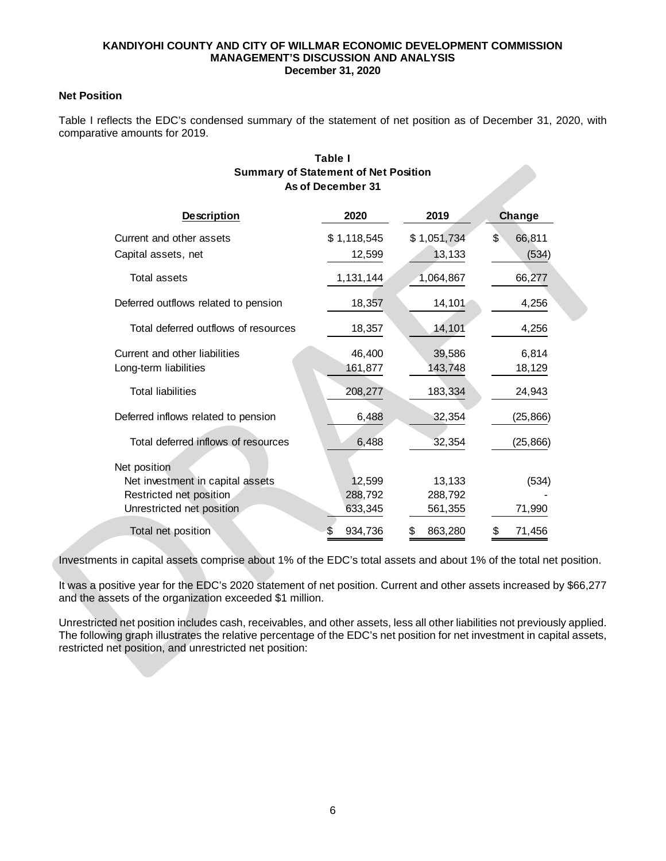## **Net Position**

Table I reflects the EDC's condensed summary of the statement of net position as of December 31, 2020, with comparative amounts for 2019.

**Table I**

| <b>Summary of Statement of Net Position</b><br>As of December 31                                                                                                                                                                                                                                                 |               |               |                      |  |  |  |
|------------------------------------------------------------------------------------------------------------------------------------------------------------------------------------------------------------------------------------------------------------------------------------------------------------------|---------------|---------------|----------------------|--|--|--|
| <b>Description</b>                                                                                                                                                                                                                                                                                               | 2020          | 2019          | Change               |  |  |  |
| Current and other assets                                                                                                                                                                                                                                                                                         | \$1,118,545   | \$1,051,734   | $\sqrt{2}$<br>66,811 |  |  |  |
| Capital assets, net                                                                                                                                                                                                                                                                                              | 12,599        | 13,133        | (534)                |  |  |  |
| <b>Total assets</b>                                                                                                                                                                                                                                                                                              | 1,131,144     | 1,064,867     | 66,277               |  |  |  |
| Deferred outflows related to pension                                                                                                                                                                                                                                                                             | 18,357        | 14,101        | 4,256                |  |  |  |
| Total deferred outflows of resources                                                                                                                                                                                                                                                                             | 18,357        | 14,101        | 4,256                |  |  |  |
| Current and other liabilities                                                                                                                                                                                                                                                                                    | 46,400        | 39,586        | 6,814                |  |  |  |
| Long-term liabilities                                                                                                                                                                                                                                                                                            | 161,877       | 143,748       | 18,129               |  |  |  |
| <b>Total liabilities</b>                                                                                                                                                                                                                                                                                         | 208,277       | 183,334       | 24,943               |  |  |  |
| Deferred inflows related to pension                                                                                                                                                                                                                                                                              | 6,488         | 32,354        | (25, 866)            |  |  |  |
| Total deferred inflows of resources                                                                                                                                                                                                                                                                              | 6,488         | 32,354        | (25, 866)            |  |  |  |
| Net position                                                                                                                                                                                                                                                                                                     |               |               |                      |  |  |  |
| Net investment in capital assets                                                                                                                                                                                                                                                                                 | 12,599        | 13,133        | (534)                |  |  |  |
| Restricted net position                                                                                                                                                                                                                                                                                          | 288,792       | 288,792       |                      |  |  |  |
| Unrestricted net position                                                                                                                                                                                                                                                                                        | 633,345       | 561,355       | 71,990               |  |  |  |
| Total net position                                                                                                                                                                                                                                                                                               | \$<br>934,736 | \$<br>863,280 | \$<br>71,456         |  |  |  |
| Investments in capital assets comprise about 1% of the EDC's total assets and about 1% of the total net position.                                                                                                                                                                                                |               |               |                      |  |  |  |
| It was a positive year for the EDC's 2020 statement of net position. Current and other assets increased by \$66,277<br>and the assets of the organization exceeded \$1 million.                                                                                                                                  |               |               |                      |  |  |  |
| Unrestricted net position includes cash, receivables, and other assets, less all other liabilities not previously applied.<br>The following graph illustrates the relative percentage of the EDC's net position for net investment in capital assets,<br>restricted net position, and unrestricted net position: |               |               |                      |  |  |  |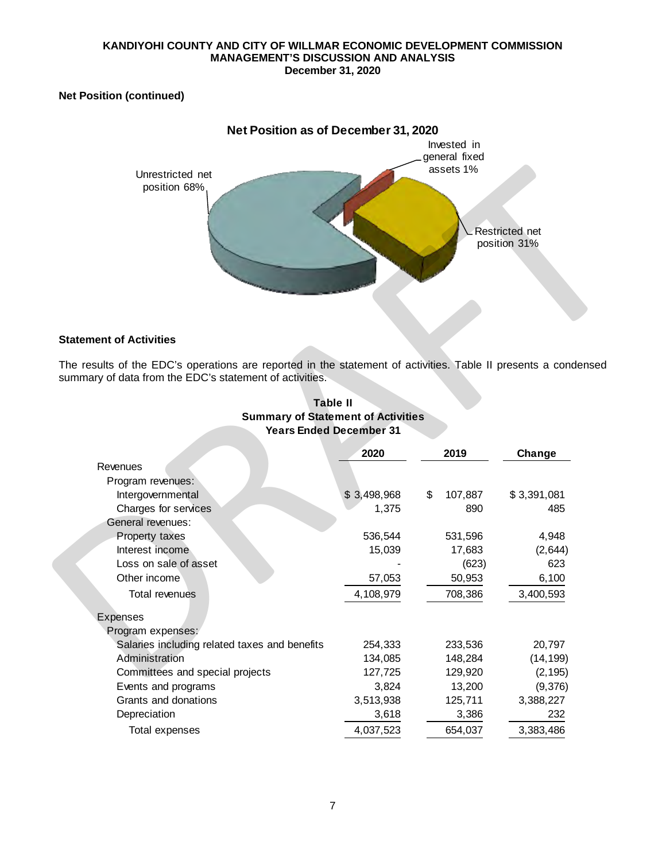## **Net Position (continued)**



## **Statement of Activities**

| Table II                                  |  |
|-------------------------------------------|--|
| <b>Summary of Statement of Activities</b> |  |
| <b>Years Ended December 31</b>            |  |

| Unrestricted net<br>position 68%                                                                                                                                                                                                                                            |             | assets 1%     | Restricted net<br>position 31% |
|-----------------------------------------------------------------------------------------------------------------------------------------------------------------------------------------------------------------------------------------------------------------------------|-------------|---------------|--------------------------------|
| <b>Statement of Activities</b>                                                                                                                                                                                                                                              |             |               |                                |
| The results of the EDC's operations are reported in the statement of activities. Table II presents a condensed<br>summary of data from the EDC's statement of activities.<br><b>Table II</b><br><b>Summary of Statement of Activities</b><br><b>Years Ended December 31</b> |             |               |                                |
|                                                                                                                                                                                                                                                                             | 2020        | 2019          | Change                         |
| Revenues<br>Program revenues:                                                                                                                                                                                                                                               |             |               |                                |
| Intergovernmental                                                                                                                                                                                                                                                           | \$3,498,968 | 107,887<br>\$ | \$3,391,081                    |
| Charges for services                                                                                                                                                                                                                                                        | 1,375       | 890           | 485                            |
| General revenues:                                                                                                                                                                                                                                                           |             |               |                                |
| Property taxes                                                                                                                                                                                                                                                              | 536,544     | 531,596       | 4,948                          |
| Interest income                                                                                                                                                                                                                                                             | 15,039      | 17,683        | (2,644)                        |
| Loss on sale of asset                                                                                                                                                                                                                                                       |             | (623)         | 623                            |
| Other income                                                                                                                                                                                                                                                                | 57,053      | 50,953        | 6,100                          |
| Total revenues                                                                                                                                                                                                                                                              | 4,108,979   | 708,386       | 3,400,593                      |
| <b>Expenses</b><br>Program expenses:                                                                                                                                                                                                                                        |             |               |                                |
| Salaries including related taxes and benefits                                                                                                                                                                                                                               | 254,333     | 233,536       | 20,797                         |
| Administration                                                                                                                                                                                                                                                              | 134,085     | 148,284       | (14, 199)                      |
| Committees and special projects                                                                                                                                                                                                                                             | 127,725     | 129,920       | (2, 195)                       |
| Events and programs                                                                                                                                                                                                                                                         | 3,824       | 13,200        | (9,376)                        |
| Grants and donations                                                                                                                                                                                                                                                        | 3,513,938   | 125,711       | 3,388,227                      |
| Depreciation                                                                                                                                                                                                                                                                | 3,618       | 3,386         | 232                            |
| Total expenses                                                                                                                                                                                                                                                              | 4,037,523   | 654,037       | 3,383,486                      |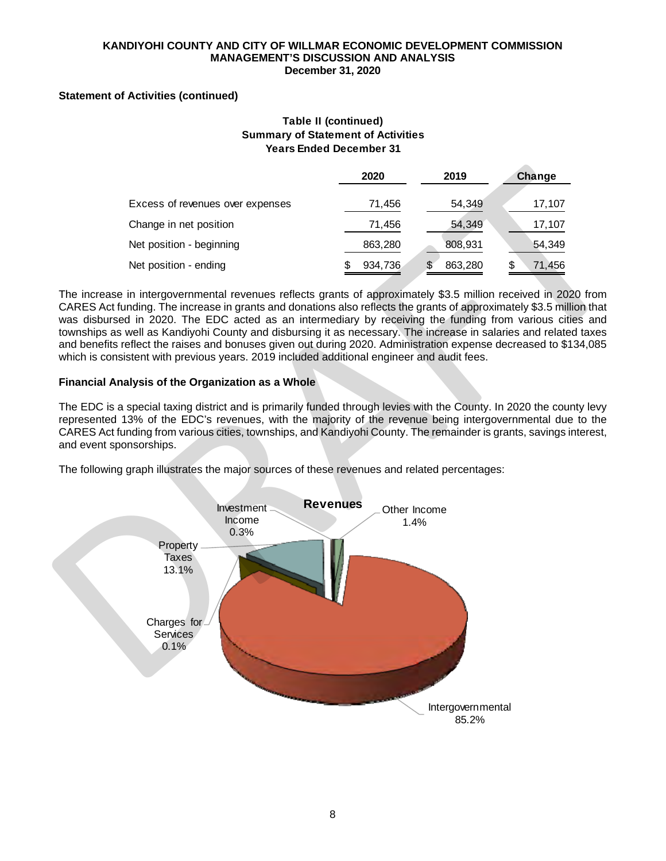## **Statement of Activities (continued)**

## **Years Ended December 31 Table II (continued) Summary of Statement of Activities**

|                                  | 2020    | 2019    | Change |  |  |
|----------------------------------|---------|---------|--------|--|--|
| Excess of revenues over expenses | 71,456  | 54,349  | 17,107 |  |  |
| Change in net position           | 71,456  | 54,349  | 17,107 |  |  |
| Net position - beginning         | 863,280 | 808,931 | 54,349 |  |  |
| Net position - ending            | 934,736 | 863,280 | 71,456 |  |  |

The increase in intergovernmental revenues reflects grants of approximately \$3.5 million received in 2020 from CARES Act funding. The increase in grants and donations also reflects the grants of approximately \$3.5 million that was disbursed in 2020. The EDC acted as an intermediary by receiving the funding from various cities and townships as well as Kandiyohi County and disbursing it as necessary. The increase in salaries and related taxes and benefits reflect the raises and bonuses given out during 2020. Administration expense decreased to \$134,085 which is consistent with previous years. 2019 included additional engineer and audit fees.

## **Financial Analysis of the Organization as a Whole**

The EDC is a special taxing district and is primarily funded through levies with the County. In 2020 the county levy represented 13% of the EDC's revenues, with the majority of the revenue being intergovernmental due to the CARES Act funding from various cities, townships, and Kandiyohi County. The remainder is grants, savings interest, and event sponsorships.

The following graph illustrates the major sources of these revenues and related percentages:

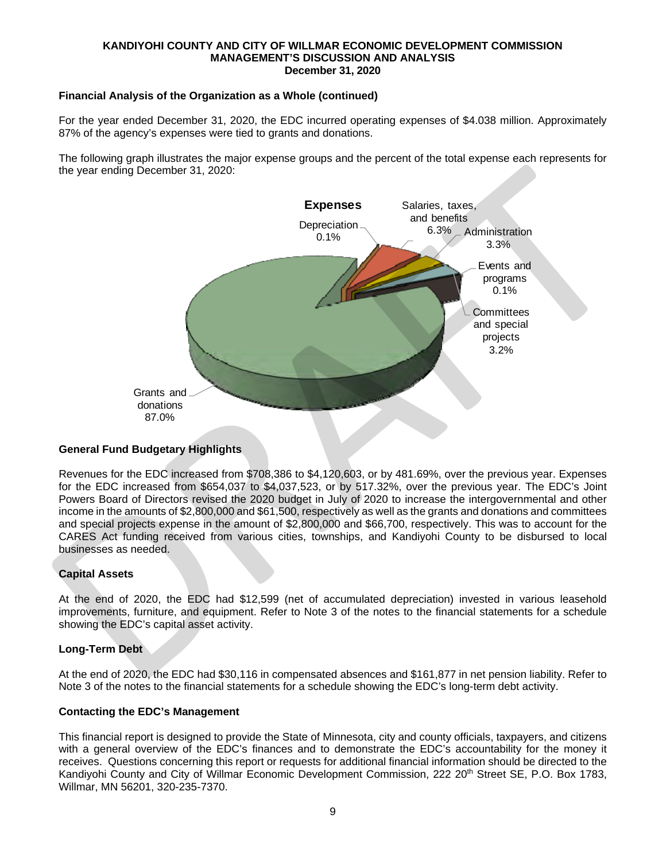## **Financial Analysis of the Organization as a Whole (continued)**

For the year ended December 31, 2020, the EDC incurred operating expenses of \$4.038 million. Approximately 87% of the agency's expenses were tied to grants and donations.

The following graph illustrates the major expense groups and the percent of the total expense each represents for the year ending December 31, 2020:



## **General Fund Budgetary Highlights**

Revenues for the EDC increased from \$708,386 to \$4,120,603, or by 481.69%, over the previous year. Expenses for the EDC increased from \$654,037 to \$4,037,523, or by 517.32%, over the previous year. The EDC's Joint Powers Board of Directors revised the 2020 budget in July of 2020 to increase the intergovernmental and other income in the amounts of \$2,800,000 and \$61,500, respectively as well as the grants and donations and committees and special projects expense in the amount of \$2,800,000 and \$66,700, respectively. This was to account for the CARES Act funding received from various cities, townships, and Kandiyohi County to be disbursed to local businesses as needed.

## **Capital Assets**

At the end of 2020, the EDC had \$12,599 (net of accumulated depreciation) invested in various leasehold improvements, furniture, and equipment. Refer to Note 3 of the notes to the financial statements for a schedule showing the EDC's capital asset activity.

#### **Long-Term Debt**

At the end of 2020, the EDC had \$30,116 in compensated absences and \$161,877 in net pension liability. Refer to Note 3 of the notes to the financial statements for a schedule showing the EDC's long-term debt activity.

#### **Contacting the EDC's Management**

This financial report is designed to provide the State of Minnesota, city and county officials, taxpayers, and citizens with a general overview of the EDC's finances and to demonstrate the EDC's accountability for the money it receives. Questions concerning this report or requests for additional financial information should be directed to the Kandiyohi County and City of Willmar Economic Development Commission, 222 20<sup>th</sup> Street SE, P.O. Box 1783, Willmar, MN 56201, 320-235-7370.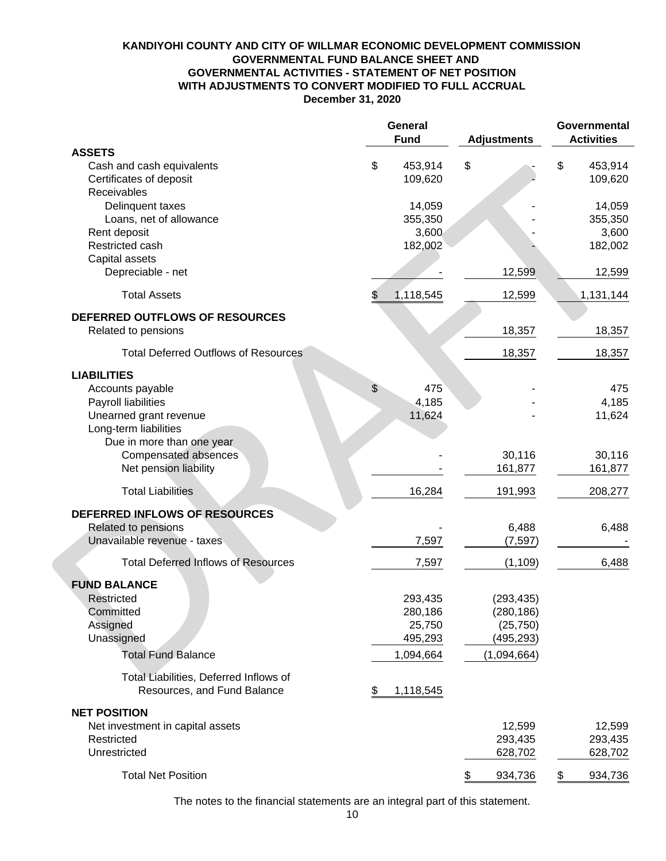## **KANDIYOHI COUNTY AND CITY OF WILLMAR ECONOMIC DEVELOPMENT COMMISSION GOVERNMENTAL FUND BALANCE SHEET AND GOVERNMENTAL ACTIVITIES - STATEMENT OF NET POSITION WITH ADJUSTMENTS TO CONVERT MODIFIED TO FULL ACCRUAL December 31, 2020**

|                                                                              | <b>General</b><br><b>Fund</b> | <b>Adjustments</b>        |           | Governmental<br><b>Activities</b> |
|------------------------------------------------------------------------------|-------------------------------|---------------------------|-----------|-----------------------------------|
| <b>ASSETS</b><br>Cash and cash equivalents<br>Certificates of deposit        | \$<br>453,914<br>109,620      | \$                        | \$        | 453,914<br>109,620                |
| Receivables<br>Delinquent taxes                                              | 14,059                        |                           |           | 14,059                            |
| Loans, net of allowance                                                      | 355,350                       |                           |           | 355,350                           |
| Rent deposit                                                                 | 3,600                         |                           |           | 3,600                             |
| Restricted cash                                                              | 182,002                       |                           |           | 182,002                           |
| Capital assets<br>Depreciable - net                                          |                               | 12,599                    |           | 12,599                            |
| <b>Total Assets</b>                                                          | 1,118,545                     | 12,599                    |           | 1,131,144                         |
| DEFERRED OUTFLOWS OF RESOURCES<br>Related to pensions                        |                               | 18,357                    |           | 18,357                            |
|                                                                              |                               |                           |           |                                   |
| <b>Total Deferred Outflows of Resources</b>                                  |                               | 18,357                    |           | 18,357                            |
| <b>LIABILITIES</b>                                                           |                               |                           |           |                                   |
| Accounts payable                                                             | \$<br>475                     |                           |           | 475                               |
| Payroll liabilities                                                          | 4,185                         |                           |           | 4,185                             |
| Unearned grant revenue<br>Long-term liabilities<br>Due in more than one year | 11,624                        |                           |           | 11,624                            |
| Compensated absences                                                         |                               | 30,116                    |           | 30,116                            |
| Net pension liability                                                        |                               | 161,877                   |           | 161,877                           |
| <b>Total Liabilities</b>                                                     | 16,284                        | 191,993                   |           | 208,277                           |
| DEFERRED INFLOWS OF RESOURCES                                                |                               |                           |           |                                   |
| Related to pensions                                                          |                               | 6,488                     |           | 6,488                             |
| Unavailable revenue - taxes                                                  | 7,597                         | (7, 597)                  |           |                                   |
| <b>Total Deferred Inflows of Resources</b>                                   | 7,597                         | (1, 109)                  |           | 6,488                             |
| <b>FUND BALANCE</b>                                                          |                               |                           |           |                                   |
| Restricted                                                                   | 293,435                       | (293, 435)                |           |                                   |
| Committed                                                                    | 280,186                       | (280, 186)                |           |                                   |
| Assigned<br>Unassigned                                                       | 25,750                        | (25, 750)                 |           |                                   |
| <b>Total Fund Balance</b>                                                    | 495,293<br>1,094,664          | (495, 293)<br>(1,094,664) |           |                                   |
|                                                                              |                               |                           |           |                                   |
| Total Liabilities, Deferred Inflows of<br>Resources, and Fund Balance        | \$<br>1,118,545               |                           |           |                                   |
| <b>NET POSITION</b>                                                          |                               |                           |           |                                   |
| Net investment in capital assets                                             |                               | 12,599                    |           | 12,599                            |
| Restricted                                                                   |                               | 293,435                   |           | 293,435                           |
| Unrestricted                                                                 |                               | 628,702                   |           | 628,702                           |
| <b>Total Net Position</b>                                                    |                               | \$<br>934,736             | <u>\$</u> | 934,736                           |

The notes to the financial statements are an integral part of this statement.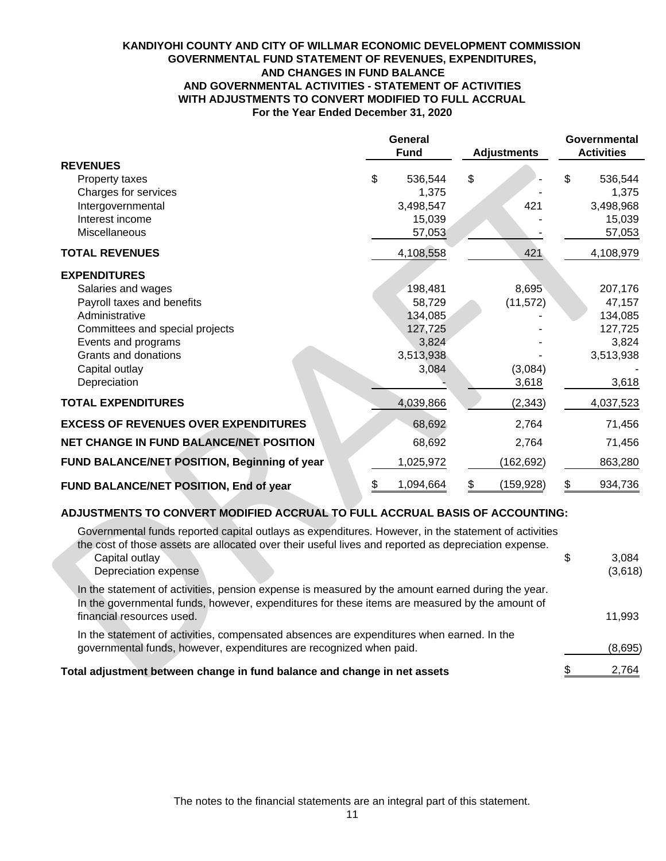## **WITH ADJUSTMENTS TO CONVERT MODIFIED TO FULL ACCRUAL For the Year Ended December 31, 2020 KANDIYOHI COUNTY AND CITY OF WILLMAR ECONOMIC DEVELOPMENT COMMISSION GOVERNMENTAL FUND STATEMENT OF REVENUES, EXPENDITURES, AND CHANGES IN FUND BALANCE AND GOVERNMENTAL ACTIVITIES - STATEMENT OF ACTIVITIES**

|                                                                                                                                                                                                                                                                                              | General<br><b>Fund</b>                                                 |    | <b>Adjustments</b>                     | Governmental<br><b>Activities</b>                                      |
|----------------------------------------------------------------------------------------------------------------------------------------------------------------------------------------------------------------------------------------------------------------------------------------------|------------------------------------------------------------------------|----|----------------------------------------|------------------------------------------------------------------------|
| <b>REVENUES</b><br>Property taxes<br>Charges for services<br>Intergovernmental<br>Interest income<br>Miscellaneous                                                                                                                                                                           | \$<br>536,544<br>1,375<br>3,498,547<br>15,039<br>57,053                | \$ | 421                                    | \$<br>536,544<br>1,375<br>3,498,968<br>15,039<br>57,053                |
| <b>TOTAL REVENUES</b>                                                                                                                                                                                                                                                                        | 4,108,558                                                              |    | 421                                    | 4,108,979                                                              |
| <b>EXPENDITURES</b><br>Salaries and wages<br>Payroll taxes and benefits<br>Administrative<br>Committees and special projects<br>Events and programs<br>Grants and donations<br>Capital outlay<br>Depreciation                                                                                | 198,481<br>58,729<br>134,085<br>127,725<br>3,824<br>3,513,938<br>3,084 |    | 8,695<br>(11, 572)<br>(3,084)<br>3,618 | 207,176<br>47,157<br>134,085<br>127,725<br>3,824<br>3,513,938<br>3,618 |
| <b>TOTAL EXPENDITURES</b>                                                                                                                                                                                                                                                                    | 4,039,866                                                              |    | (2, 343)                               | 4,037,523                                                              |
| <b>EXCESS OF REVENUES OVER EXPENDITURES</b>                                                                                                                                                                                                                                                  | 68,692                                                                 |    | 2,764                                  | 71,456                                                                 |
| <b>NET CHANGE IN FUND BALANCE/NET POSITION</b>                                                                                                                                                                                                                                               | 68,692                                                                 |    | 2,764                                  | 71,456                                                                 |
| FUND BALANCE/NET POSITION, Beginning of year                                                                                                                                                                                                                                                 | 1,025,972                                                              |    | (162, 692)                             | 863,280                                                                |
| FUND BALANCE/NET POSITION, End of year                                                                                                                                                                                                                                                       | \$<br>1,094,664                                                        | S  | (159, 928)                             | \$<br>934,736                                                          |
| ADJUSTMENTS TO CONVERT MODIFIED ACCRUAL TO FULL ACCRUAL BASIS OF ACCOUNTING:<br>Governmental funds reported capital outlays as expenditures. However, in the statement of activities<br>the cost of those assets are allocated over their useful lives and reported as depreciation expense. |                                                                        |    |                                        |                                                                        |
| Capital outlay<br>Depreciation expense                                                                                                                                                                                                                                                       |                                                                        |    |                                        | \$<br>3,084<br>(3,618)                                                 |
| In the statement of activities, pension expense is measured by the amount earned during the year.<br>In the governmental funds, however, expenditures for these items are measured by the amount of<br>financial resources used.                                                             |                                                                        |    |                                        | 11,993                                                                 |
| In the statement of activities, compensated absences are expenditures when earned. In the<br>governmental funds, however, expenditures are recognized when paid.                                                                                                                             |                                                                        |    |                                        | (8,695)                                                                |
| Total adjustment between change in fund balance and change in net assets                                                                                                                                                                                                                     |                                                                        |    |                                        | \$<br>2,764                                                            |

## **ADJUSTMENTS TO CONVERT MODIFIED ACCRUAL TO FULL ACCRUAL BASIS OF ACCOUNTING:**

| Governmental funds reported capital outlays as expenditures. However, in the statement of activities<br>the cost of those assets are allocated over their useful lives and reported as depreciation expense. |                  |
|--------------------------------------------------------------------------------------------------------------------------------------------------------------------------------------------------------------|------------------|
| Capital outlay<br>Depreciation expense                                                                                                                                                                       | 3,084<br>(3,618) |
| In the statement of activities, pension expense is measured by the amount earned during the year.<br>In the governmental funds, however, expenditures for these items are measured by the amount of          |                  |
| financial resources used.                                                                                                                                                                                    | 11,993           |
| In the statement of activities, compensated absences are expenditures when earned. In the<br>governmental funds, however, expenditures are recognized when paid.                                             | (8,695)          |
| Total adjustment between change in fund balance and change in net assets                                                                                                                                     | 2,764            |

The notes to the financial statements are an integral part of this statement.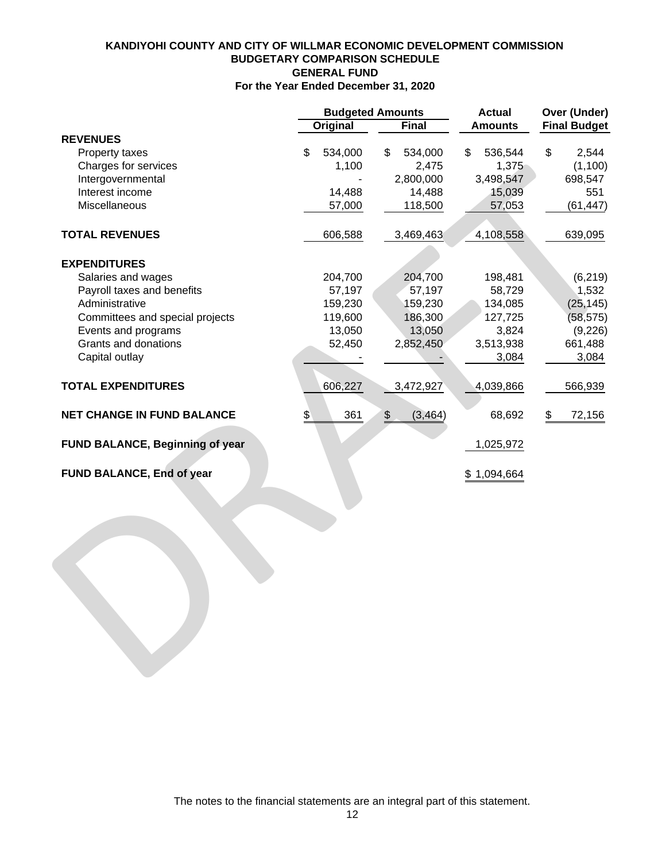## **KANDIYOHI COUNTY AND CITY OF WILLMAR ECONOMIC DEVELOPMENT COMMISSION BUDGETARY COMPARISON SCHEDULE GENERAL FUND For the Year Ended December 31, 2020**

|                                   | <b>Budgeted Amounts</b> |                           | <b>Actual</b>  | Over (Under)        |  |
|-----------------------------------|-------------------------|---------------------------|----------------|---------------------|--|
|                                   | Original                |                           | <b>Amounts</b> | <b>Final Budget</b> |  |
| <b>REVENUES</b>                   |                         |                           |                |                     |  |
| Property taxes                    | \$<br>534,000           | \$<br>534,000             | \$<br>536,544  | \$<br>2,544         |  |
| Charges for services              | 1,100                   | 2,475                     | 1,375          | (1, 100)            |  |
| Intergovernmental                 |                         | 2,800,000                 | 3,498,547      | 698,547             |  |
| Interest income                   | 14,488                  | 14,488                    | 15,039         | 551                 |  |
| Miscellaneous                     | 57,000                  | 118,500                   | 57,053         | (61, 447)           |  |
| <b>TOTAL REVENUES</b>             | 606,588                 | 3,469,463                 | 4,108,558      | 639,095             |  |
| <b>EXPENDITURES</b>               |                         |                           |                |                     |  |
| Salaries and wages                | 204,700                 | 204,700                   | 198,481        | (6, 219)            |  |
| Payroll taxes and benefits        | 57,197                  | 57,197                    | 58,729         | 1,532               |  |
| Administrative                    | 159,230                 | 159,230                   | 134,085        | (25, 145)           |  |
| Committees and special projects   | 119,600                 | 186,300                   | 127,725        | (58, 575)           |  |
| Events and programs               | 13,050                  | 13,050                    | 3,824          | (9,226)             |  |
| Grants and donations              | 52,450                  | 2,852,450                 | 3,513,938      | 661,488             |  |
| Capital outlay                    |                         |                           | 3,084          | 3,084               |  |
| <b>TOTAL EXPENDITURES</b>         | 606,227                 | 3,472,927                 | 4,039,866      | 566,939             |  |
| <b>NET CHANGE IN FUND BALANCE</b> | \$<br>361               | $\frac{1}{2}$<br>(3, 464) | 68,692         | \$<br>72,156        |  |
| FUND BALANCE, Beginning of year   |                         |                           | 1,025,972      |                     |  |
| FUND BALANCE, End of year         |                         |                           | \$1,094,664    |                     |  |
|                                   |                         |                           |                |                     |  |
|                                   |                         |                           |                |                     |  |
|                                   |                         |                           |                |                     |  |
|                                   |                         |                           |                |                     |  |
|                                   |                         |                           |                |                     |  |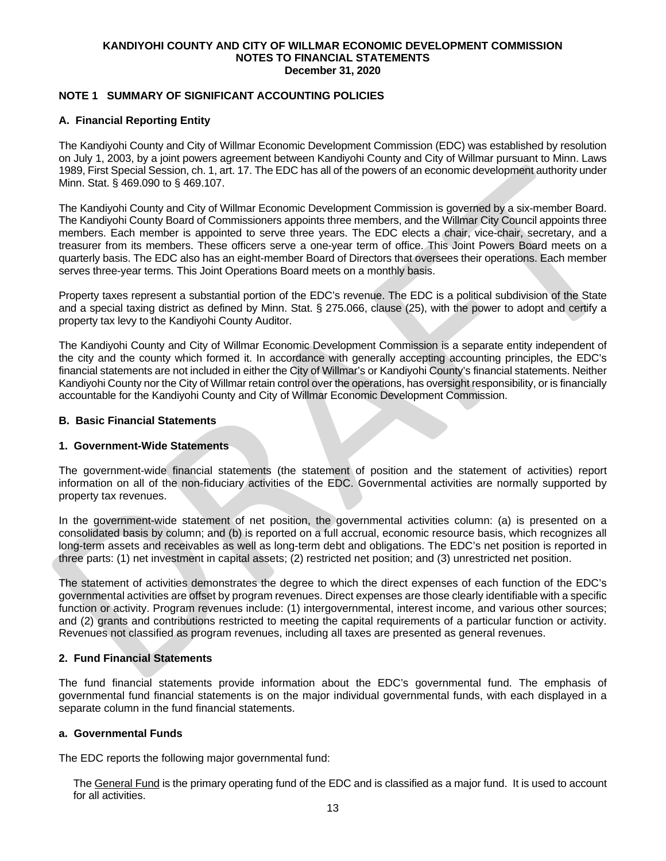## **NOTE 1 SUMMARY OF SIGNIFICANT ACCOUNTING POLICIES**

## **A. Financial Reporting Entity**

The Kandiyohi County and City of Willmar Economic Development Commission (EDC) was established by resolution on July 1, 2003, by a joint powers agreement between Kandiyohi County and City of Willmar pursuant to Minn. Laws 1989, First Special Session, ch. 1, art. 17. The EDC has all of the powers of an economic development authority under Minn. Stat. § 469.090 to § 469.107.

The Kandiyohi County and City of Willmar Economic Development Commission is governed by a six-member Board. The Kandiyohi County Board of Commissioners appoints three members, and the Willmar City Council appoints three members. Each member is appointed to serve three years. The EDC elects a chair, vice-chair, secretary, and a treasurer from its members. These officers serve a one-year term of office. This Joint Powers Board meets on a quarterly basis. The EDC also has an eight-member Board of Directors that oversees their operations. Each member serves three-year terms. This Joint Operations Board meets on a monthly basis. 1986, First Special Session, ch.1, a.n.t.17. The EDC has all of the powers of an economic development authority under<br>
The Kandyohi County and City of Willimar Economic Development Commission is governed by a six-member Bo

Property taxes represent a substantial portion of the EDC's revenue. The EDC is a political subdivision of the State and a special taxing district as defined by Minn. Stat. § 275.066, clause (25), with the power to adopt and certify a property tax levy to the Kandiyohi County Auditor.

The Kandiyohi County and City of Willmar Economic Development Commission is a separate entity independent of the city and the county which formed it. In accordance with generally accepting accounting principles, the EDC's financial statements are not included in either the City of Willmar's or Kandiyohi County's financial statements. Neither Kandiyohi County nor the City of Willmar retain control over the operations, has oversight responsibility, or is financially accountable for the Kandiyohi County and City of Willmar Economic Development Commission.

#### **B. Basic Financial Statements**

#### **1. Government-Wide Statements**

The government-wide financial statements (the statement of position and the statement of activities) report information on all of the non-fiduciary activities of the EDC. Governmental activities are normally supported by property tax revenues.

In the government-wide statement of net position, the governmental activities column: (a) is presented on a consolidated basis by column; and (b) is reported on a full accrual, economic resource basis, which recognizes all long-term assets and receivables as well as long-term debt and obligations. The EDC's net position is reported in three parts: (1) net investment in capital assets; (2) restricted net position; and (3) unrestricted net position.

The statement of activities demonstrates the degree to which the direct expenses of each function of the EDC's governmental activities are offset by program revenues. Direct expenses are those clearly identifiable with a specific function or activity. Program revenues include: (1) intergovernmental, interest income, and various other sources; and (2) grants and contributions restricted to meeting the capital requirements of a particular function or activity. Revenues not classified as program revenues, including all taxes are presented as general revenues.

## **2. Fund Financial Statements**

The fund financial statements provide information about the EDC's governmental fund. The emphasis of governmental fund financial statements is on the major individual governmental funds, with each displayed in a separate column in the fund financial statements.

#### **a. Governmental Funds**

The EDC reports the following major governmental fund:

The General Fund is the primary operating fund of the EDC and is classified as a major fund. It is used to account for all activities.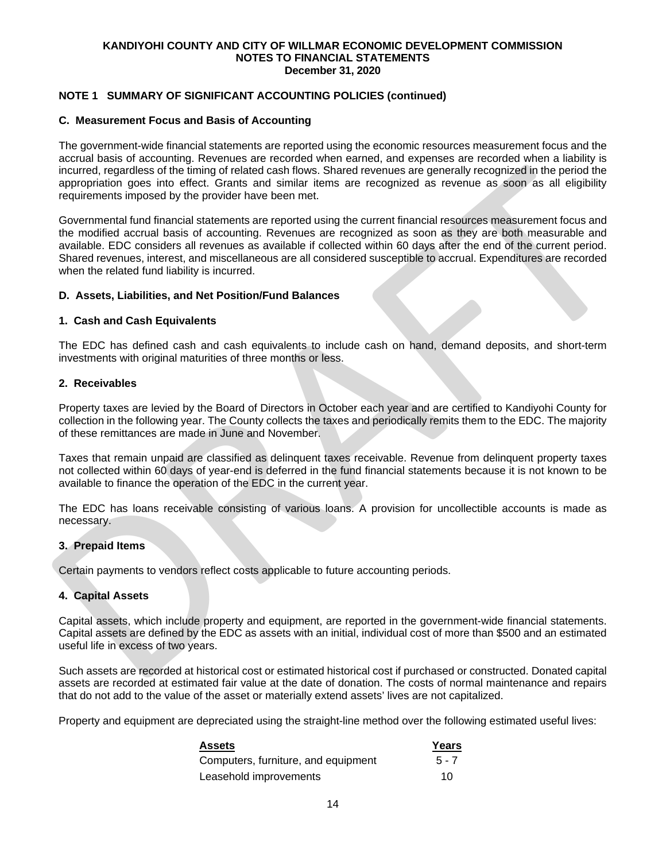## **NOTE 1 SUMMARY OF SIGNIFICANT ACCOUNTING POLICIES (continued)**

#### **C. Measurement Focus and Basis of Accounting**

The government-wide financial statements are reported using the economic resources measurement focus and the accrual basis of accounting. Revenues are recorded when earned, and expenses are recorded when a liability is incurred, regardless of the timing of related cash flows. Shared revenues are generally recognized in the period the appropriation goes into effect. Grants and similar items are recognized as revenue as soon as all eligibility requirements imposed by the provider have been met.

Governmental fund financial statements are reported using the current financial resources measurement focus and the modified accrual basis of accounting. Revenues are recognized as soon as they are both measurable and available. EDC considers all revenues as available if collected within 60 days after the end of the current period. Shared revenues, interest, and miscellaneous are all considered susceptible to accrual. Expenditures are recorded when the related fund liability is incurred. incurred, regardless of the fining of related cash floors. Shared foreviores are generally recognized as expected to the appropriation gas into effect carents and similar items are recognized as reversue as soon as all eli

## **D. Assets, Liabilities, and Net Position/Fund Balances**

#### **1. Cash and Cash Equivalents**

The EDC has defined cash and cash equivalents to include cash on hand, demand deposits, and short-term investments with original maturities of three months or less.

#### **2. Receivables**

Property taxes are levied by the Board of Directors in October each year and are certified to Kandiyohi County for collection in the following year. The County collects the taxes and periodically remits them to the EDC. The majority of these remittances are made in June and November.

Taxes that remain unpaid are classified as delinquent taxes receivable. Revenue from delinquent property taxes not collected within 60 days of year-end is deferred in the fund financial statements because it is not known to be available to finance the operation of the EDC in the current year.

The EDC has loans receivable consisting of various loans. A provision for uncollectible accounts is made as necessary.

#### **3. Prepaid Items**

Certain payments to vendors reflect costs applicable to future accounting periods.

## **4. Capital Assets**

Capital assets, which include property and equipment, are reported in the government-wide financial statements. Capital assets are defined by the EDC as assets with an initial, individual cost of more than \$500 and an estimated useful life in excess of two years.

Such assets are recorded at historical cost or estimated historical cost if purchased or constructed. Donated capital assets are recorded at estimated fair value at the date of donation. The costs of normal maintenance and repairs that do not add to the value of the asset or materially extend assets' lives are not capitalized.

Property and equipment are depreciated using the straight-line method over the following estimated useful lives:

| <b>Assets</b>                       | Years   |
|-------------------------------------|---------|
| Computers, furniture, and equipment | $5 - 7$ |
| Leasehold improvements              | 10      |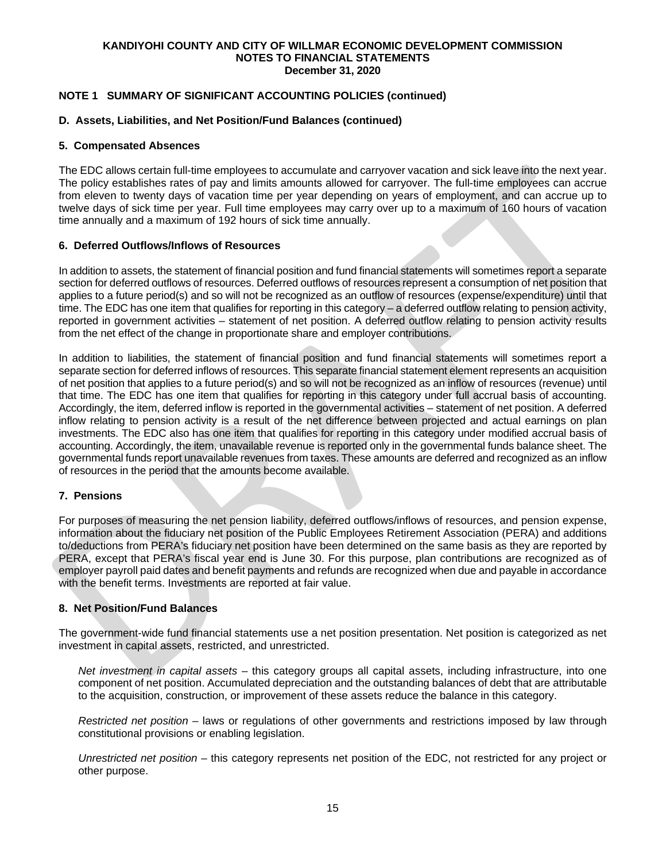## **NOTE 1 SUMMARY OF SIGNIFICANT ACCOUNTING POLICIES (continued)**

## **D. Assets, Liabilities, and Net Position/Fund Balances (continued)**

## **5. Compensated Absences**

The EDC allows certain full-time employees to accumulate and carryover vacation and sick leave into the next year. The policy establishes rates of pay and limits amounts allowed for carryover. The full-time employees can accrue from eleven to twenty days of vacation time per year depending on years of employment, and can accrue up to twelve days of sick time per year. Full time employees may carry over up to a maximum of 160 hours of vacation time annually and a maximum of 192 hours of sick time annually.

## **6. Deferred Outflows/Inflows of Resources**

In addition to assets, the statement of financial position and fund financial statements will sometimes report a separate section for deferred outflows of resources. Deferred outflows of resources represent a consumption of net position that applies to a future period(s) and so will not be recognized as an outflow of resources (expense/expenditure) until that time. The EDC has one item that qualifies for reporting in this category – a deferred outflow relating to pension activity, reported in government activities – statement of net position. A deferred outflow relating to pension activity results from the net effect of the change in proportionate share and employer contributions.

In addition to liabilities, the statement of financial position and fund financial statements will sometimes report a separate section for deferred inflows of resources. This separate financial statement element represents an acquisition of net position that applies to a future period(s) and so will not be recognized as an inflow of resources (revenue) until that time. The EDC has one item that qualifies for reporting in this category under full accrual basis of accounting. Accordingly, the item, deferred inflow is reported in the governmental activities – statement of net position. A deferred inflow relating to pension activity is a result of the net difference between projected and actual earnings on plan investments. The EDC also has one item that qualifies for reporting in this category under modified accrual basis of accounting. Accordingly, the item, unavailable revenue is reported only in the governmental funds balance sheet. The governmental funds report unavailable revenues from taxes. These amounts are deferred and recognized as an inflow of resources in the period that the amounts become available. The EDC allows centari full-lime emplyoes to accumulate and carryower vacation and six leave limit the media and the media and the profession and carryower. The full-lime employees can accuse<br>The policy establishes rates o

## **7. Pensions**

For purposes of measuring the net pension liability, deferred outflows/inflows of resources, and pension expense, information about the fiduciary net position of the Public Employees Retirement Association (PERA) and additions to/deductions from PERA's fiduciary net position have been determined on the same basis as they are reported by PERA, except that PERA's fiscal year end is June 30. For this purpose, plan contributions are recognized as of employer payroll paid dates and benefit payments and refunds are recognized when due and payable in accordance with the benefit terms. Investments are reported at fair value.

## **8. Net Position/Fund Balances**

The government-wide fund financial statements use a net position presentation. Net position is categorized as net investment in capital assets, restricted, and unrestricted.

*Net investment in capital assets –* this category groups all capital assets, including infrastructure, into one component of net position. Accumulated depreciation and the outstanding balances of debt that are attributable to the acquisition, construction, or improvement of these assets reduce the balance in this category.

*Restricted net position –* laws or regulations of other governments and restrictions imposed by law through constitutional provisions or enabling legislation.

*Unrestricted net position –* this category represents net position of the EDC, not restricted for any project or other purpose.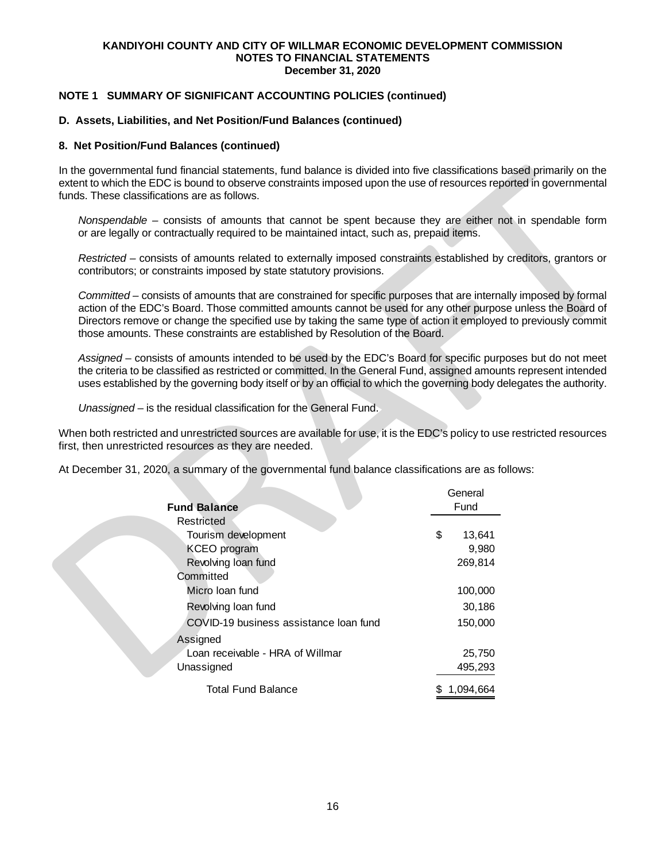## **NOTE 1 SUMMARY OF SIGNIFICANT ACCOUNTING POLICIES (continued)**

#### **D. Assets, Liabilities, and Net Position/Fund Balances (continued)**

#### **8. Net Position/Fund Balances (continued)**

| In the governmental fund financial statements, fund balance is divided into five classifications based primarily on the<br>extent to which the EDC is bound to observe constraints imposed upon the use of resources reported in governmental<br>funds. These classifications are as follows.                                                                                                                                      |                  |
|------------------------------------------------------------------------------------------------------------------------------------------------------------------------------------------------------------------------------------------------------------------------------------------------------------------------------------------------------------------------------------------------------------------------------------|------------------|
| Nonspendable – consists of amounts that cannot be spent because they are either not in spendable form<br>or are legally or contractually required to be maintained intact, such as, prepaid items.                                                                                                                                                                                                                                 |                  |
| Restricted – consists of amounts related to externally imposed constraints established by creditors, grantors or<br>contributors; or constraints imposed by state statutory provisions.                                                                                                                                                                                                                                            |                  |
| Committed - consists of amounts that are constrained for specific purposes that are internally imposed by formal<br>action of the EDC's Board. Those committed amounts cannot be used for any other purpose unless the Board of<br>Directors remove or change the specified use by taking the same type of action it employed to previously commit<br>those amounts. These constraints are established by Resolution of the Board. |                  |
| Assigned - consists of amounts intended to be used by the EDC's Board for specific purposes but do not meet<br>the criteria to be classified as restricted or committed. In the General Fund, assigned amounts represent intended<br>uses established by the governing body itself or by an official to which the governing body delegates the authority.                                                                          |                  |
| Unassigned - is the residual classification for the General Fund.                                                                                                                                                                                                                                                                                                                                                                  |                  |
| When both restricted and unrestricted sources are available for use, it is the EDC's policy to use restricted resources<br>first, then unrestricted resources as they are needed.                                                                                                                                                                                                                                                  |                  |
| At December 31, 2020, a summary of the governmental fund balance classifications are as follows:                                                                                                                                                                                                                                                                                                                                   |                  |
|                                                                                                                                                                                                                                                                                                                                                                                                                                    | General          |
| <b>Fund Balance</b>                                                                                                                                                                                                                                                                                                                                                                                                                | Fund             |
| Restricted                                                                                                                                                                                                                                                                                                                                                                                                                         |                  |
| Tourism development                                                                                                                                                                                                                                                                                                                                                                                                                | \$<br>13,641     |
| <b>KCEO</b> program                                                                                                                                                                                                                                                                                                                                                                                                                | 9,980<br>269,814 |
| Revolving loan fund<br>Committed                                                                                                                                                                                                                                                                                                                                                                                                   |                  |
| Micro Ioan fund                                                                                                                                                                                                                                                                                                                                                                                                                    | 100,000          |
| Revolving loan fund                                                                                                                                                                                                                                                                                                                                                                                                                | 30,186           |
| COVID-19 business assistance loan fund                                                                                                                                                                                                                                                                                                                                                                                             | 150,000          |
| Assigned                                                                                                                                                                                                                                                                                                                                                                                                                           |                  |
| Loan receivable - HRA of Willmar                                                                                                                                                                                                                                                                                                                                                                                                   | 25,750           |
| Unassigned                                                                                                                                                                                                                                                                                                                                                                                                                         | 495,293          |
| <b>Total Fund Balance</b>                                                                                                                                                                                                                                                                                                                                                                                                          | \$1,094,664      |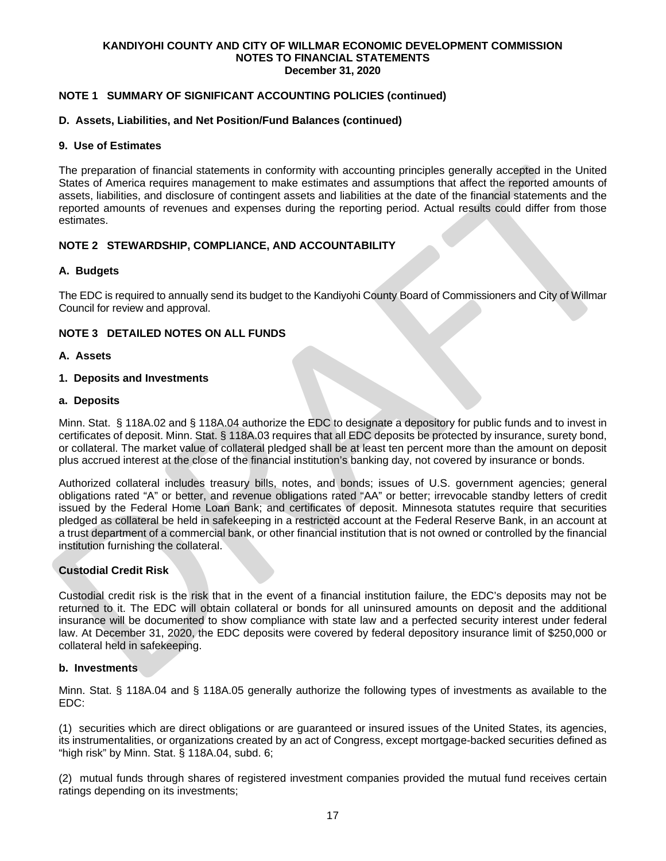## **NOTE 1 SUMMARY OF SIGNIFICANT ACCOUNTING POLICIES (continued)**

## **D. Assets, Liabilities, and Net Position/Fund Balances (continued)**

## **9. Use of Estimates**

The preparation of financial statements in conformity with accounting principles generally accepted in the United States of America requires management to make estimates and assumptions that affect the reported amounts of assets, liabilities, and disclosure of contingent assets and liabilities at the date of the financial statements and the reported amounts of revenues and expenses during the reporting period. Actual results could differ from those estimates.

## **NOTE 2 STEWARDSHIP, COMPLIANCE, AND ACCOUNTABILITY**

## **A. Budgets**

The EDC is required to annually send its budget to the Kandiyohi County Board of Commissioners and City of Willmar Council for review and approval.

## **NOTE 3 DETAILED NOTES ON ALL FUNDS**

#### **A. Assets**

## **1. Deposits and Investments**

#### **a. Deposits**

Minn. Stat. § 118A.02 and § 118A.04 authorize the EDC to designate a depository for public funds and to invest in certificates of deposit. Minn. Stat. § 118A.03 requires that all EDC deposits be protected by insurance, surety bond, or collateral. The market value of collateral pledged shall be at least ten percent more than the amount on deposit plus accrued interest at the close of the financial institution's banking day, not covered by insurance or bonds.

Authorized collateral includes treasury bills, notes, and bonds; issues of U.S. government agencies; general obligations rated "A" or better, and revenue obligations rated "AA" or better; irrevocable standby letters of credit issued by the Federal Home Loan Bank; and certificates of deposit. Minnesota statutes require that securities pledged as collateral be held in safekeeping in a restricted account at the Federal Reserve Bank, in an account at a trust department of a commercial bank, or other financial institution that is not owned or controlled by the financial institution furnishing the collateral. The preparation of financial statements in conformly with accounting principles generally cooptibal method is a<br>states of America requires management to make estimates and assumptions that after the reported amounts of<br>ass

## **Custodial Credit Risk**

Custodial credit risk is the risk that in the event of a financial institution failure, the EDC's deposits may not be returned to it. The EDC will obtain collateral or bonds for all uninsured amounts on deposit and the additional insurance will be documented to show compliance with state law and a perfected security interest under federal law. At December 31, 2020, the EDC deposits were covered by federal depository insurance limit of \$250,000 or collateral held in safekeeping.

#### **b. Investments**

Minn. Stat. § 118A.04 and § 118A.05 generally authorize the following types of investments as available to the EDC:

(1) securities which are direct obligations or are guaranteed or insured issues of the United States, its agencies, its instrumentalities, or organizations created by an act of Congress, except mortgage-backed securities defined as "high risk" by Minn. Stat. § 118A.04, subd. 6;

(2) mutual funds through shares of registered investment companies provided the mutual fund receives certain ratings depending on its investments;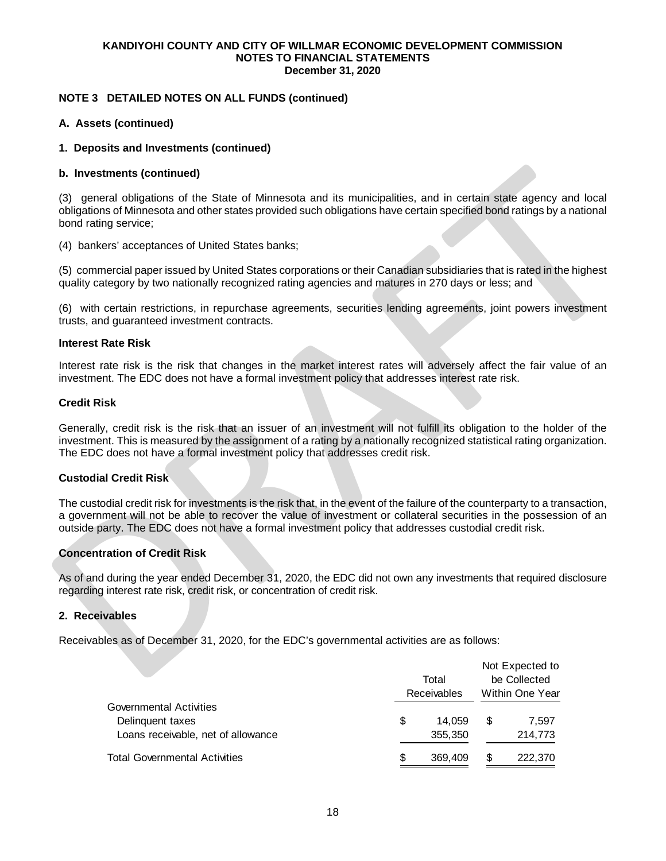## **NOTE 3 DETAILED NOTES ON ALL FUNDS (continued)**

## **A. Assets (continued)**

## **1. Deposits and Investments (continued)**

## **b. Investments (continued)**

(3) general obligations of the State of Minnesota and its municipalities, and in certain state agency and local obligations of Minnesota and other states provided such obligations have certain specified bond ratings by a national bond rating service; **b.** Investments (continued)<br>
(3) general obligations of the Siate of Minnesota and its municipalities, and in certain state agency and local<br>
deligations of Minnesota and other states provided such obligations have certai

(4) bankers' acceptances of United States banks;

(5) commercial paper issued by United States corporations or their Canadian subsidiaries that is rated in the highest quality category by two nationally recognized rating agencies and matures in 270 days or less; and

(6) with certain restrictions, in repurchase agreements, securities lending agreements, joint powers investment trusts, and guaranteed investment contracts.

#### **Interest Rate Risk**

Interest rate risk is the risk that changes in the market interest rates will adversely affect the fair value of an investment. The EDC does not have a formal investment policy that addresses interest rate risk.

## **Credit Risk**

Generally, credit risk is the risk that an issuer of an investment will not fulfill its obligation to the holder of the investment. This is measured by the assignment of a rating by a nationally recognized statistical rating organization. The EDC does not have a formal investment policy that addresses credit risk.

#### **Custodial Credit Risk**

The custodial credit risk for investments is the risk that, in the event of the failure of the counterparty to a transaction, a government will not be able to recover the value of investment or collateral securities in the possession of an outside party. The EDC does not have a formal investment policy that addresses custodial credit risk.

## **Concentration of Credit Risk**

As of and during the year ended December 31, 2020, the EDC did not own any investments that required disclosure regarding interest rate risk, credit risk, or concentration of credit risk.

#### **2. Receivables**

Receivables as of December 31, 2020, for the EDC's governmental activities are as follows:

|                                    |    | Total<br>Receivables |         | Not Expected to<br>be Collected<br>Within One Year |
|------------------------------------|----|----------------------|---------|----------------------------------------------------|
| Governmental Activities            |    |                      |         |                                                    |
| Delinquent taxes                   | \$ | 14.059               | S       | 7.597                                              |
| Loans receivable, net of allowance |    | 355,350              | 214,773 |                                                    |
| Total Governmental Activities      | S  | 369,409              | S       | 222,370                                            |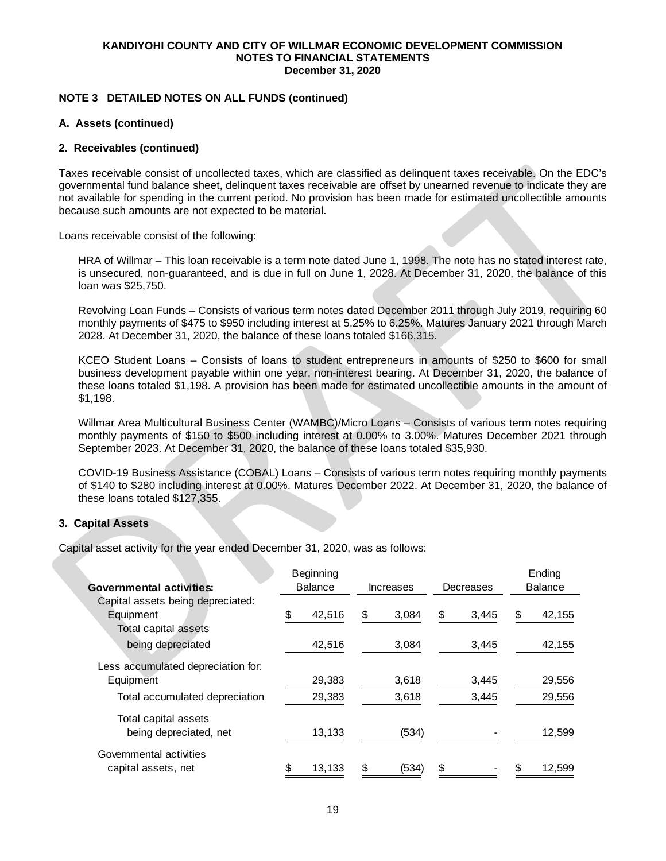## **NOTE 3 DETAILED NOTES ON ALL FUNDS (continued)**

## **A. Assets (continued)**

#### **2. Receivables (continued)**

## **3. Capital Assets**

| Taxes receivable consist of uncollected taxes, which are classified as delinquent taxes receivable. On the EDC's<br>governmental fund balance sheet, delinquent taxes receivable are offset by unearned revenue to indicate they are<br>not available for spending in the current period. No provision has been made for estimated uncollectible amounts<br>because such amounts are not expected to be material. |                |             |             |                |  |
|-------------------------------------------------------------------------------------------------------------------------------------------------------------------------------------------------------------------------------------------------------------------------------------------------------------------------------------------------------------------------------------------------------------------|----------------|-------------|-------------|----------------|--|
| Loans receivable consist of the following:                                                                                                                                                                                                                                                                                                                                                                        |                |             |             |                |  |
| HRA of Willmar – This loan receivable is a term note dated June 1, 1998. The note has no stated interest rate,<br>is unsecured, non-guaranteed, and is due in full on June 1, 2028. At December 31, 2020, the balance of this<br>loan was \$25,750.                                                                                                                                                               |                |             |             |                |  |
| Revolving Loan Funds - Consists of various term notes dated December 2011 through July 2019, requiring 60<br>monthly payments of \$475 to \$950 including interest at 5.25% to 6.25%. Matures January 2021 through March<br>2028. At December 31, 2020, the balance of these loans totaled \$166,315.                                                                                                             |                |             |             |                |  |
| KCEO Student Loans – Consists of loans to student entrepreneurs in amounts of \$250 to \$600 for small<br>business development payable within one year, non-interest bearing. At December 31, 2020, the balance of<br>these loans totaled \$1,198. A provision has been made for estimated uncollectible amounts in the amount of<br>\$1,198.                                                                     |                |             |             |                |  |
| Willmar Area Multicultural Business Center (WAMBC)/Micro Loans - Consists of various term notes requiring<br>monthly payments of \$150 to \$500 including interest at 0.00% to 3.00%. Matures December 2021 through<br>September 2023. At December 31, 2020, the balance of these loans totaled \$35,930.                                                                                                         |                |             |             |                |  |
| COVID-19 Business Assistance (COBAL) Loans - Consists of various term notes requiring monthly payments<br>of \$140 to \$280 including interest at 0.00%. Matures December 2022. At December 31, 2020, the balance of<br>these loans totaled \$127,355.                                                                                                                                                            |                |             |             |                |  |
| 3. Capital Assets                                                                                                                                                                                                                                                                                                                                                                                                 |                |             |             |                |  |
| Capital asset activity for the year ended December 31, 2020, was as follows:                                                                                                                                                                                                                                                                                                                                      |                |             |             |                |  |
|                                                                                                                                                                                                                                                                                                                                                                                                                   | Beginning      |             |             | Ending         |  |
| <b>Governmental activities:</b><br>Capital assets being depreciated:                                                                                                                                                                                                                                                                                                                                              | <b>Balance</b> | Increases   | Decreases   | <b>Balance</b> |  |
| Equipment<br><b>Total capital assets</b>                                                                                                                                                                                                                                                                                                                                                                          | \$<br>42,516   | \$<br>3,084 | \$<br>3,445 | \$<br>42,155   |  |
| being depreciated                                                                                                                                                                                                                                                                                                                                                                                                 | 42,516         | 3,084       | 3,445       | 42,155         |  |
| Less accumulated depreciation for:                                                                                                                                                                                                                                                                                                                                                                                |                |             |             |                |  |
| Equipment                                                                                                                                                                                                                                                                                                                                                                                                         | 29,383         | 3,618       | 3,445       | 29,556         |  |
| Total accumulated depreciation                                                                                                                                                                                                                                                                                                                                                                                    | 29,383         | 3,618       | 3,445       | 29,556         |  |
| Total capital assets<br>being depreciated, net                                                                                                                                                                                                                                                                                                                                                                    | 13,133         | (534)       |             | 12,599         |  |
| Governmental activities<br>capital assets, net                                                                                                                                                                                                                                                                                                                                                                    | \$<br>13,133   | \$<br>(534) | \$          | 12,599         |  |
|                                                                                                                                                                                                                                                                                                                                                                                                                   |                |             |             |                |  |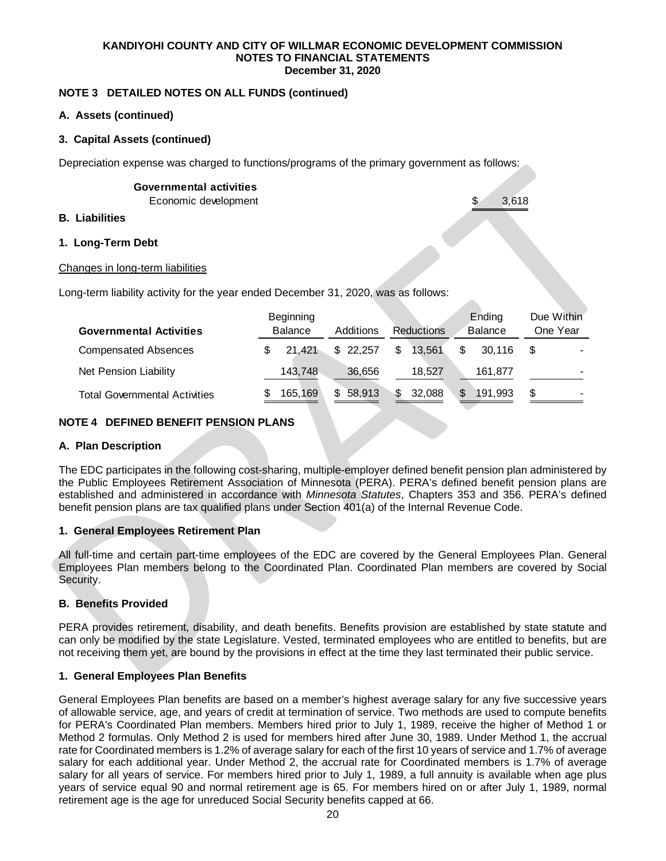## **NOTE 3 DETAILED NOTES ON ALL FUNDS (continued)**

## **A. Assets (continued)**

## **3. Capital Assets (continued)**

Depreciation expense was charged to functions/programs of the primary government as follows:

## **Governmental activities**

## **B. Liabilities**

## **1. Long-Term Debt**

#### Changes in long-term liabilities

| Depreciation expense was charged to functions/programs of the primary government as follows:                                                                                                                                                                                                                                                                                                                                                    |                                          |                                               |                        |
|-------------------------------------------------------------------------------------------------------------------------------------------------------------------------------------------------------------------------------------------------------------------------------------------------------------------------------------------------------------------------------------------------------------------------------------------------|------------------------------------------|-----------------------------------------------|------------------------|
| <b>Governmental activities</b><br>Economic development                                                                                                                                                                                                                                                                                                                                                                                          |                                          |                                               | 3,618                  |
| <b>B.</b> Liabilities                                                                                                                                                                                                                                                                                                                                                                                                                           |                                          |                                               |                        |
| 1. Long-Term Debt                                                                                                                                                                                                                                                                                                                                                                                                                               |                                          |                                               |                        |
| Changes in long-term liabilities                                                                                                                                                                                                                                                                                                                                                                                                                |                                          |                                               |                        |
| Long-term liability activity for the year ended December 31, 2020, was as follows:                                                                                                                                                                                                                                                                                                                                                              |                                          |                                               |                        |
| <b>Governmental Activities</b>                                                                                                                                                                                                                                                                                                                                                                                                                  | Beginning<br>Additions<br><b>Balance</b> | Ending<br><b>Balance</b><br><b>Reductions</b> | Due Within<br>One Year |
| <b>Compensated Absences</b>                                                                                                                                                                                                                                                                                                                                                                                                                     | \$<br>21,421<br>\$22,257                 | \$<br>13,561<br>30,116<br>S                   | \$                     |
| Net Pension Liability                                                                                                                                                                                                                                                                                                                                                                                                                           | 143,748<br>36,656                        | 18,527<br>161,877                             |                        |
| <b>Total Governmental Activities</b>                                                                                                                                                                                                                                                                                                                                                                                                            | 165,169<br>\$58,913                      | \$32,088<br>191,993<br>\$.                    | \$                     |
| <b>NOTE 4 DEFINED BENEFIT PENSION PLANS</b>                                                                                                                                                                                                                                                                                                                                                                                                     |                                          |                                               |                        |
| A. Plan Description                                                                                                                                                                                                                                                                                                                                                                                                                             |                                          |                                               |                        |
| The EDC participates in the following cost-sharing, multiple-employer defined benefit pension plan administered by<br>the Public Employees Retirement Association of Minnesota (PERA). PERA's defined benefit pension plans are<br>established and administered in accordance with Minnesota Statutes, Chapters 353 and 356. PERA's defined<br>benefit pension plans are tax qualified plans under Section 401(a) of the Internal Revenue Code. |                                          |                                               |                        |
| 1. General Employees Retirement Plan                                                                                                                                                                                                                                                                                                                                                                                                            |                                          |                                               |                        |
| All full-time and certain part-time employees of the EDC are covered by the General Employees Plan. General<br>Employees Plan members belong to the Coordinated Plan. Coordinated Plan members are covered by Social<br>Security.                                                                                                                                                                                                               |                                          |                                               |                        |
| <b>B. Benefits Provided</b>                                                                                                                                                                                                                                                                                                                                                                                                                     |                                          |                                               |                        |
| PERA provides retirement, disability, and death benefits. Benefits provision are established by state statute and<br>can only be modified by the state Legislature. Vested, terminated employees who are entitled to benefits, but are<br>not receiving them yet, are bound by the provisions in effect at the time they last terminated their public service.                                                                                  |                                          |                                               |                        |
| 1. General Employees Plan Benefits                                                                                                                                                                                                                                                                                                                                                                                                              |                                          |                                               |                        |

## **NOTE 4 DEFINED BENEFIT PENSION PLANS**

## **A. Plan Description**

## **1. General Employees Retirement Plan**

## **B. Benefits Provided**

## **1. General Employees Plan Benefits**

General Employees Plan benefits are based on a member's highest average salary for any five successive years of allowable service, age, and years of credit at termination of service. Two methods are used to compute benefits for PERA's Coordinated Plan members. Members hired prior to July 1, 1989, receive the higher of Method 1 or Method 2 formulas. Only Method 2 is used for members hired after June 30, 1989. Under Method 1, the accrual rate for Coordinated members is 1.2% of average salary for each of the first 10 years of service and 1.7% of average salary for each additional year. Under Method 2, the accrual rate for Coordinated members is 1.7% of average salary for all years of service. For members hired prior to July 1, 1989, a full annuity is available when age plus years of service equal 90 and normal retirement age is 65. For members hired on or after July 1, 1989, normal retirement age is the age for unreduced Social Security benefits capped at 66.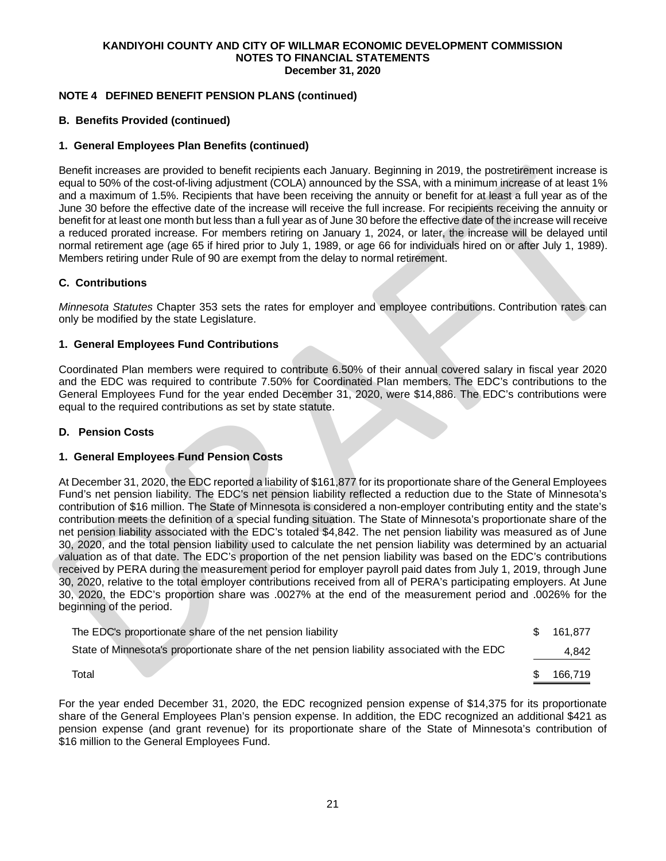## **NOTE 4 DEFINED BENEFIT PENSION PLANS (continued)**

#### **B. Benefits Provided (continued)**

#### **1. General Employees Plan Benefits (continued)**

Benefit increases are provided to benefit recipients each January. Beginning in 2019, the postretirement increase is equal to 50% of the cost-of-living adjustment (COLA) announced by the SSA, with a minimum increase of at least 1% and a maximum of 1.5%. Recipients that have been receiving the annuity or benefit for at least a full year as of the June 30 before the effective date of the increase will receive the full increase. For recipients receiving the annuity or benefit for at least one month but less than a full year as of June 30 before the effective date of the increase will receive a reduced prorated increase. For members retiring on January 1, 2024, or later, the increase will be delayed until normal retirement age (age 65 if hired prior to July 1, 1989, or age 66 for individuals hired on or after July 1, 1989). Members retiring under Rule of 90 are exempt from the delay to normal retirement.

#### **C. Contributions**

*Minnesota Statutes* Chapter 353 sets the rates for employer and employee contributions. Contribution rates can only be modified by the state Legislature.

#### **1. General Employees Fund Contributions**

Coordinated Plan members were required to contribute 6.50% of their annual covered salary in fiscal year 2020 and the EDC was required to contribute 7.50% for Coordinated Plan members. The EDC's contributions to the General Employees Fund for the year ended December 31, 2020, were \$14,886. The EDC's contributions were equal to the required contributions as set by state statute.

#### **D. Pension Costs**

#### **1. General Employees Fund Pension Costs**

At December 31, 2020, the EDC reported a liability of \$161,877 for its proportionate share of the General Employees Fund's net pension liability. The EDC's net pension liability reflected a reduction due to the State of Minnesota's contribution of \$16 million. The State of Minnesota is considered a non-employer contributing entity and the state's contribution meets the definition of a special funding situation. The State of Minnesota's proportionate share of the net pension liability associated with the EDC's totaled \$4,842. The net pension liability was measured as of June 30, 2020, and the total pension liability used to calculate the net pension liability was determined by an actuarial valuation as of that date. The EDC's proportion of the net pension liability was based on the EDC's contributions received by PERA during the measurement period for employer payroll paid dates from July 1, 2019, through June 30, 2020, relative to the total employer contributions received from all of PERA's participating employers. At June 30, 2020, the EDC's proportion share was .0027% at the end of the measurement period and .0026% for the beginning of the period. Benefit increases are provided to contribute the controllents and what the propinting in 2019, the posteriories in the controllent of the state of the methods of the controllent increase is a denoted on a maximum of the an

| The EDC's proportionate share of the net pension liability                                    | 161.877 |
|-----------------------------------------------------------------------------------------------|---------|
| State of Minnesota's proportionate share of the net pension liability associated with the EDC | 4.842   |
| Total                                                                                         | 166.719 |

For the year ended December 31, 2020, the EDC recognized pension expense of \$14,375 for its proportionate share of the General Employees Plan's pension expense. In addition, the EDC recognized an additional \$421 as pension expense (and grant revenue) for its proportionate share of the State of Minnesota's contribution of \$16 million to the General Employees Fund.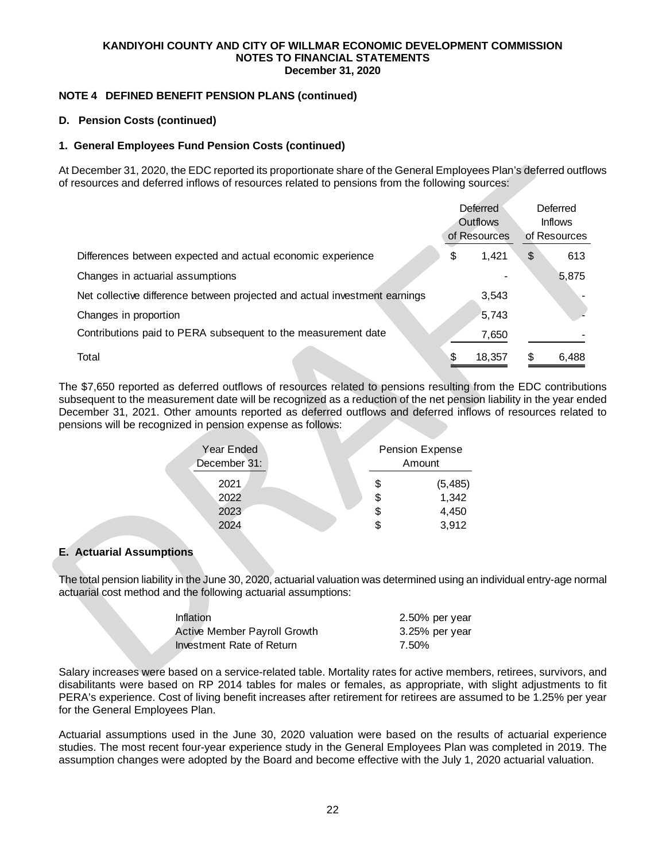## **NOTE 4 DEFINED BENEFIT PENSION PLANS (continued)**

#### **D. Pension Costs (continued)**

## **1. General Employees Fund Pension Costs (continued)**

|                                                                                                                                                                                                                                                                                                                                                                                                                     |          |                           | Deferred<br><b>Outflows</b><br>of Resources | Deferred<br><b>Inflows</b><br>of Resources |       |
|---------------------------------------------------------------------------------------------------------------------------------------------------------------------------------------------------------------------------------------------------------------------------------------------------------------------------------------------------------------------------------------------------------------------|----------|---------------------------|---------------------------------------------|--------------------------------------------|-------|
| Differences between expected and actual economic experience                                                                                                                                                                                                                                                                                                                                                         |          | \$                        | 1,421                                       | $\sqrt[6]{\frac{1}{2}}$                    | 613   |
| Changes in actuarial assumptions                                                                                                                                                                                                                                                                                                                                                                                    |          |                           |                                             |                                            | 5,875 |
| Net collective difference between projected and actual investment earnings                                                                                                                                                                                                                                                                                                                                          |          |                           | 3,543                                       |                                            |       |
| Changes in proportion                                                                                                                                                                                                                                                                                                                                                                                               |          |                           | 5,743                                       |                                            |       |
| Contributions paid to PERA subsequent to the measurement date                                                                                                                                                                                                                                                                                                                                                       |          |                           | 7,650                                       |                                            |       |
| Total                                                                                                                                                                                                                                                                                                                                                                                                               |          | \$                        | 18,357                                      | \$                                         | 6,488 |
| The \$7,650 reported as deferred outflows of resources related to pensions resulting from the EDC contributions<br>subsequent to the measurement date will be recognized as a reduction of the net pension liability in the year ended<br>December 31, 2021. Other amounts reported as deferred outflows and deferred inflows of resources related to<br>pensions will be recognized in pension expense as follows: |          |                           |                                             |                                            |       |
| Year Ended<br>December 31:                                                                                                                                                                                                                                                                                                                                                                                          |          | Pension Expense<br>Amount |                                             |                                            |       |
| 2021                                                                                                                                                                                                                                                                                                                                                                                                                |          | (5, 485)                  |                                             |                                            |       |
| 2022                                                                                                                                                                                                                                                                                                                                                                                                                | \$<br>\$ | 1,342                     |                                             |                                            |       |
| 2023                                                                                                                                                                                                                                                                                                                                                                                                                | \$       | 4,450                     |                                             |                                            |       |
| 2024                                                                                                                                                                                                                                                                                                                                                                                                                | \$       | 3,912                     |                                             |                                            |       |
| <b>E. Actuarial Assumptions</b>                                                                                                                                                                                                                                                                                                                                                                                     |          |                           |                                             |                                            |       |
| The total pension liability in the June 30, 2020, actuarial valuation was determined using an individual entry-age normal<br>actuarial cost method and the following actuarial assumptions:                                                                                                                                                                                                                         |          |                           |                                             |                                            |       |
| Inflation                                                                                                                                                                                                                                                                                                                                                                                                           |          | 2.50% per year            |                                             |                                            |       |
| Active Member Payroll Growth<br>Investment Rate of Return                                                                                                                                                                                                                                                                                                                                                           | 7.50%    | 3.25% per year            |                                             |                                            |       |

| Year Ended<br>December 31: |    | Pension Expense<br>Amount |  |  |
|----------------------------|----|---------------------------|--|--|
| 2021                       | \$ | (5, 485)                  |  |  |
| 2022                       | S  | 1,342                     |  |  |
| 2023                       | \$ | 4,450                     |  |  |
| 2024                       |    | 3,912                     |  |  |

## **E. Actuarial Assumptions**

| Inflation                           | 2.50% per year |
|-------------------------------------|----------------|
| <b>Active Member Payroll Growth</b> | 3.25% per year |
| Investment Rate of Return           | 7.50%          |

Salary increases were based on a service-related table. Mortality rates for active members, retirees, survivors, and disabilitants were based on RP 2014 tables for males or females, as appropriate, with slight adjustments to fit PERA's experience. Cost of living benefit increases after retirement for retirees are assumed to be 1.25% per year for the General Employees Plan.

Actuarial assumptions used in the June 30, 2020 valuation were based on the results of actuarial experience studies. The most recent four-year experience study in the General Employees Plan was completed in 2019. The assumption changes were adopted by the Board and become effective with the July 1, 2020 actuarial valuation.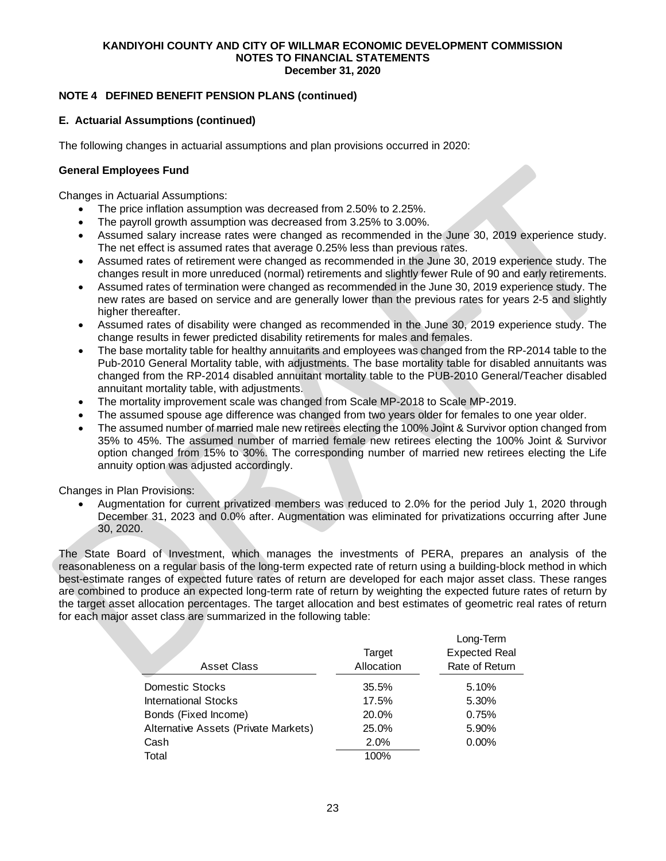## **NOTE 4 DEFINED BENEFIT PENSION PLANS (continued)**

## **E. Actuarial Assumptions (continued)**

The following changes in actuarial assumptions and plan provisions occurred in 2020:

## **General Employees Fund**

Changes in Actuarial Assumptions:

- The price inflation assumption was decreased from 2.50% to 2.25%.
- The payroll growth assumption was decreased from 3.25% to 3.00%.
- Assumed salary increase rates were changed as recommended in the June 30, 2019 experience study. The net effect is assumed rates that average 0.25% less than previous rates.
- Assumed rates of retirement were changed as recommended in the June 30, 2019 experience study. The changes result in more unreduced (normal) retirements and slightly fewer Rule of 90 and early retirements.
- Assumed rates of termination were changed as recommended in the June 30, 2019 experience study. The new rates are based on service and are generally lower than the previous rates for years 2-5 and slightly higher thereafter.
- Assumed rates of disability were changed as recommended in the June 30, 2019 experience study. The change results in fewer predicted disability retirements for males and females.
- The base mortality table for healthy annuitants and employees was changed from the RP-2014 table to the Pub-2010 General Mortality table, with adjustments. The base mortality table for disabled annuitants was changed from the RP-2014 disabled annuitant mortality table to the PUB-2010 General/Teacher disabled annuitant mortality table, with adjustments.
- The mortality improvement scale was changed from Scale MP-2018 to Scale MP-2019.
- The assumed spouse age difference was changed from two years older for females to one year older.
- The assumed number of married male new retirees electing the 100% Joint & Survivor option changed from 35% to 45%. The assumed number of married female new retirees electing the 100% Joint & Survivor option changed from 15% to 30%. The corresponding number of married new retirees electing the Life annuity option was adjusted accordingly.

Changes in Plan Provisions:

 Augmentation for current privatized members was reduced to 2.0% for the period July 1, 2020 through December 31, 2023 and 0.0% after. Augmentation was eliminated for privatizations occurring after June 30, 2020.

The State Board of Investment, which manages the investments of PERA, prepares an analysis of the reasonableness on a regular basis of the long-term expected rate of return using a building-block method in which best-estimate ranges of expected future rates of return are developed for each major asset class. These ranges are combined to produce an expected long-term rate of return by weighting the expected future rates of return by the target asset allocation percentages. The target allocation and best estimates of geometric real rates of return for each major asset class are summarized in the following table: Change Sin Adustrial Assumptions:<br>
The prior inflator assumption was decreased from 2.50% to 2.25%.<br>
The prior inflator assumption was decreased from 2.50% to 3.25%.<br>
The prior inflator assumption was decreased from 3.05%

| Target     | Long-Term<br><b>Expected Real</b> |
|------------|-----------------------------------|
| Allocation | Rate of Return                    |
| 35.5%      | 5.10%                             |
| 17.5%      | 5.30%                             |
| 20.0%      | 0.75%                             |
| 25.0%      | 5.90%                             |
| 2.0%       | $0.00\%$                          |
| 100%       |                                   |
|            |                                   |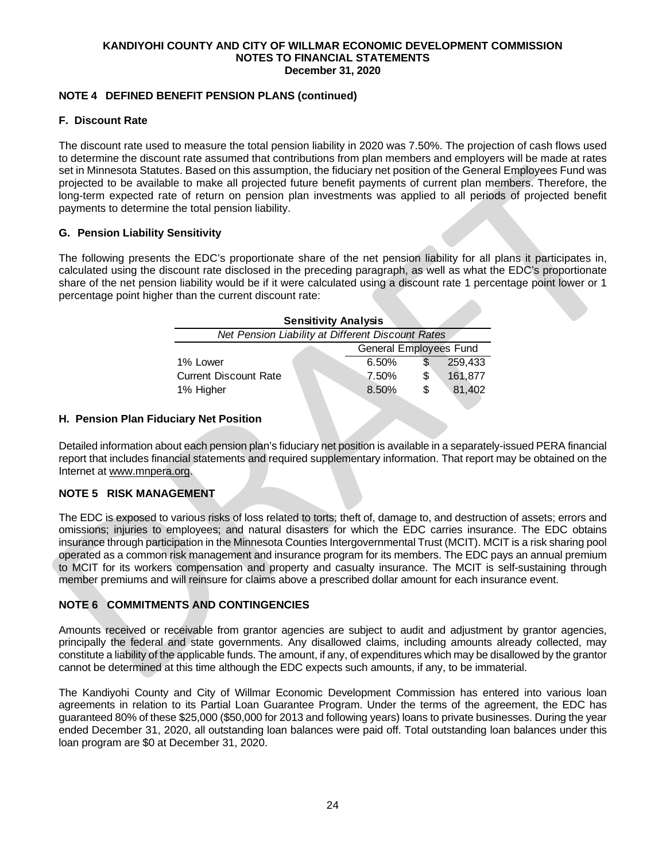## **NOTE 4 DEFINED BENEFIT PENSION PLANS (continued)**

## **F. Discount Rate**

The discount rate used to measure the total pension liability in 2020 was 7.50%. The projection of cash flows used to determine the discount rate assumed that contributions from plan members and employers will be made at rates set in Minnesota Statutes. Based on this assumption, the fiduciary net position of the General Employees Fund was projected to be available to make all projected future benefit payments of current plan members. Therefore, the long-term expected rate of return on pension plan investments was applied to all periods of projected benefit payments to determine the total pension liability.

## **G. Pension Liability Sensitivity**

The following presents the EDC's proportionate share of the net pension liability for all plans it participates in, calculated using the discount rate disclosed in the preceding paragraph, as well as what the EDC's proportionate share of the net pension liability would be if it were calculated using a discount rate 1 percentage point lower or 1 percentage point higher than the current discount rate:

| <b>Sensitivity Analysis</b>                       |  |                               |    |         |  |  |
|---------------------------------------------------|--|-------------------------------|----|---------|--|--|
| Net Pension Liability at Different Discount Rates |  |                               |    |         |  |  |
|                                                   |  | <b>General Employees Fund</b> |    |         |  |  |
| 1% Lower                                          |  | 6.50%                         |    | 259.433 |  |  |
| <b>Current Discount Rate</b>                      |  | 7.50%                         | \$ | 161,877 |  |  |
| 1% Higher                                         |  | 8.50%                         | \$ | 81,402  |  |  |

## **H. Pension Plan Fiduciary Net Position**

Detailed information about each pension plan's fiduciary net position is available in a separately-issued PERA financial report that includes financial statements and required supplementary information. That report may be obtained on the Internet at www.mnpera.org.

## **NOTE 5 RISK MANAGEMENT**

The EDC is exposed to various risks of loss related to torts; theft of, damage to, and destruction of assets; errors and omissions; injuries to employees; and natural disasters for which the EDC carries insurance. The EDC obtains insurance through participation in the Minnesota Counties Intergovernmental Trust (MCIT). MCIT is a risk sharing pool operated as a common risk management and insurance program for its members. The EDC pays an annual premium to MCIT for its workers compensation and property and casualty insurance. The MCIT is self-sustaining through member premiums and will reinsure for claims above a prescribed dollar amount for each insurance event. set in Minnesoto Statutes. Based on this assumption, the Michairy net osizuation of the General Employees Fund<br>projected to be available to make all projected future benefit payments of current plan members. Therefore, the

## **NOTE 6 COMMITMENTS AND CONTINGENCIES**

Amounts received or receivable from grantor agencies are subject to audit and adjustment by grantor agencies, principally the federal and state governments. Any disallowed claims, including amounts already collected, may constitute a liability of the applicable funds. The amount, if any, of expenditures which may be disallowed by the grantor cannot be determined at this time although the EDC expects such amounts, if any, to be immaterial.

The Kandiyohi County and City of Willmar Economic Development Commission has entered into various loan agreements in relation to its Partial Loan Guarantee Program. Under the terms of the agreement, the EDC has guaranteed 80% of these \$25,000 (\$50,000 for 2013 and following years) loans to private businesses. During the year ended December 31, 2020, all outstanding loan balances were paid off. Total outstanding loan balances under this loan program are \$0 at December 31, 2020.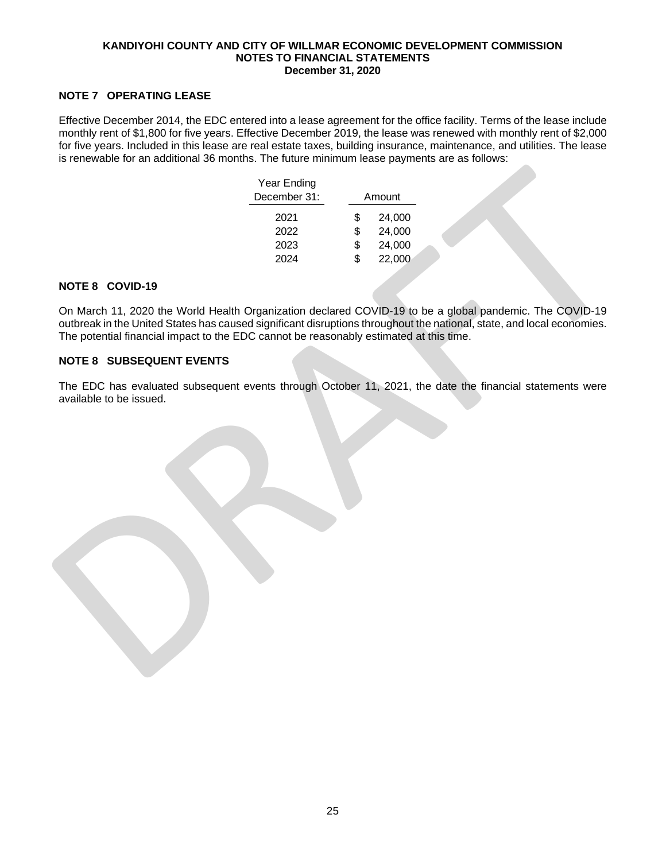## **NOTE 7 OPERATING LEASE**

Effective December 2014, the EDC entered into a lease agreement for the office facility. Terms of the lease include monthly rent of \$1,800 for five years. Effective December 2019, the lease was renewed with monthly rent of \$2,000 for five years. Included in this lease are real estate taxes, building insurance, maintenance, and utilities. The lease is renewable for an additional 36 months. The future minimum lease payments are as follows:

| 24,000<br>24,000<br>24,000<br>22,000 |
|--------------------------------------|

## **NOTE 8 COVID-19**

On March 11, 2020 the World Health Organization declared COVID-19 to be a global pandemic. The COVID-19 outbreak in the United States has caused significant disruptions throughout the national, state, and local economies. The potential financial impact to the EDC cannot be reasonably estimated at this time. Vear Endring<br>
Normbal 31:<br>
2021<br>
2022<br>
2023<br>
2024<br>
2024<br>
2024<br>
2024<br>
2024<br>
2024<br>
2024<br>
2024<br>
2024<br>
2024<br>
2024<br>
2024<br>
2024<br>
2024<br>
2024<br>
2024<br>
2026<br>
2020<br>
2024<br>
2026<br>
2020<br>
2024<br>
2026<br>
2020<br>
2026<br>
2020<br>
2026<br>
2020<br>
2026<br>
202

## **NOTE 8 SUBSEQUENT EVENTS**

The EDC has evaluated subsequent events through October 11, 2021, the date the financial statements were available to be issued.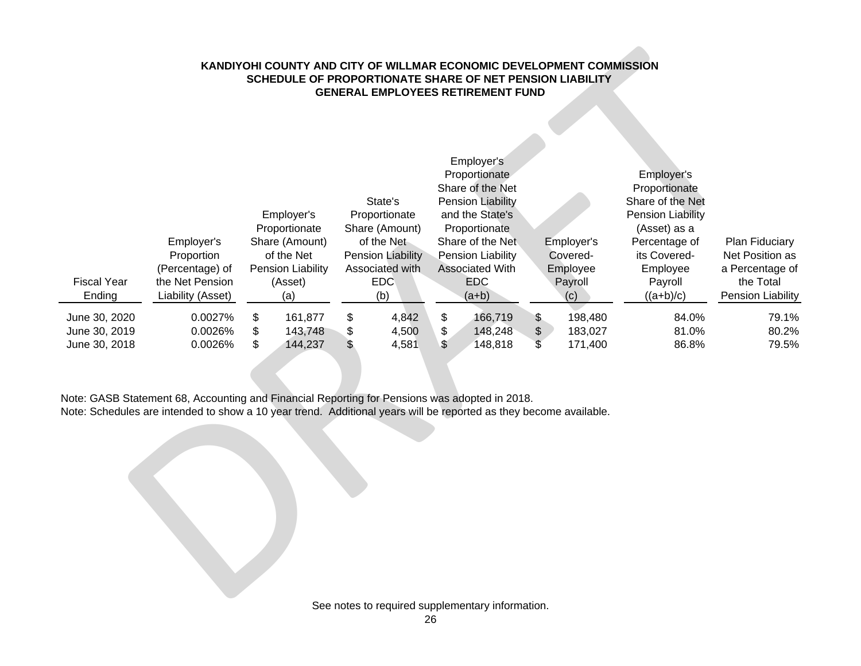## **KANDIYOHI COUNTY AND CITY OF WILLMAR ECONOMIC DEVELOPMENT COMMISSION GENERAL EMPLOYEES RETIREMENT FUNDSCHEDULE OF PROPORTIONATE SHARE OF NET PENSION LIABILITY**

|                                                 |                                                                                     |                                                                                                    |                                                                                                                              | KANDIYOHI COUNTY AND CITY OF WILLMAR ECONOMIC DEVELOPMENT COMMISSION<br>SCHEDULE OF PROPORTIONATE SHARE OF NET PENSION LIABILITY<br><b>GENERAL EMPLOYEES RETIREMENT FUND</b>                                       |                                                      |                                                                                                                                                                    |                                                                                        |
|-------------------------------------------------|-------------------------------------------------------------------------------------|----------------------------------------------------------------------------------------------------|------------------------------------------------------------------------------------------------------------------------------|--------------------------------------------------------------------------------------------------------------------------------------------------------------------------------------------------------------------|------------------------------------------------------|--------------------------------------------------------------------------------------------------------------------------------------------------------------------|----------------------------------------------------------------------------------------|
| <b>Fiscal Year</b><br>Ending                    | Employer's<br>Proportion<br>(Percentage) of<br>the Net Pension<br>Liability (Asset) | Employer's<br>Proportionate<br>Share (Amount)<br>of the Net<br>Pension Liability<br>(Asset)<br>(a) | State's<br>Proportionate<br>Share (Amount)<br>of the Net<br><b>Pension Liability</b><br>Associated with<br><b>EDC</b><br>(b) | Employer's<br>Proportionate<br>Share of the Net<br>Pension Liability<br>and the State's<br>Proportionate<br>Share of the Net<br>Pension Liability<br><b>Associated With</b><br><b>EDC</b><br>$(a+b)$               | Employer's<br>Covered-<br>Employee<br>Payroll<br>(c) | Employer's<br>Proportionate<br>Share of the Net<br><b>Pension Liability</b><br>(Asset) as a<br>Percentage of<br>its Covered-<br>Employee<br>Payroll<br>$((a+b)/c)$ | Plan Fiduciary<br>Net Position as<br>a Percentage of<br>the Total<br>Pension Liability |
| June 30, 2020<br>June 30, 2019<br>June 30, 2018 | 0.0027%<br>0.0026%<br>0.0026%                                                       | \$<br>161,877<br>\$<br>143,748<br>\$<br>144,237                                                    | \$<br>4,842<br>\$<br>4,500<br>$\frac{2}{3}$<br>4,581                                                                         | \$<br>166,719<br>\$<br>148,248<br>$\sqrt{2}$<br>148,818                                                                                                                                                            | \$<br>198,480<br>\$<br>183,027<br>\$<br>171,400      | 84.0%<br>81.0%<br>86.8%                                                                                                                                            | 79.1%<br>80.2%<br>79.5%                                                                |
|                                                 |                                                                                     |                                                                                                    |                                                                                                                              | Note: GASB Statement 68, Accounting and Financial Reporting for Pensions was adopted in 2018.<br>Note: Schedules are intended to show a 10 year trend. Additional years will be reported as they become available. |                                                      |                                                                                                                                                                    |                                                                                        |
|                                                 |                                                                                     |                                                                                                    |                                                                                                                              |                                                                                                                                                                                                                    |                                                      |                                                                                                                                                                    |                                                                                        |

See notes to required supplementary information.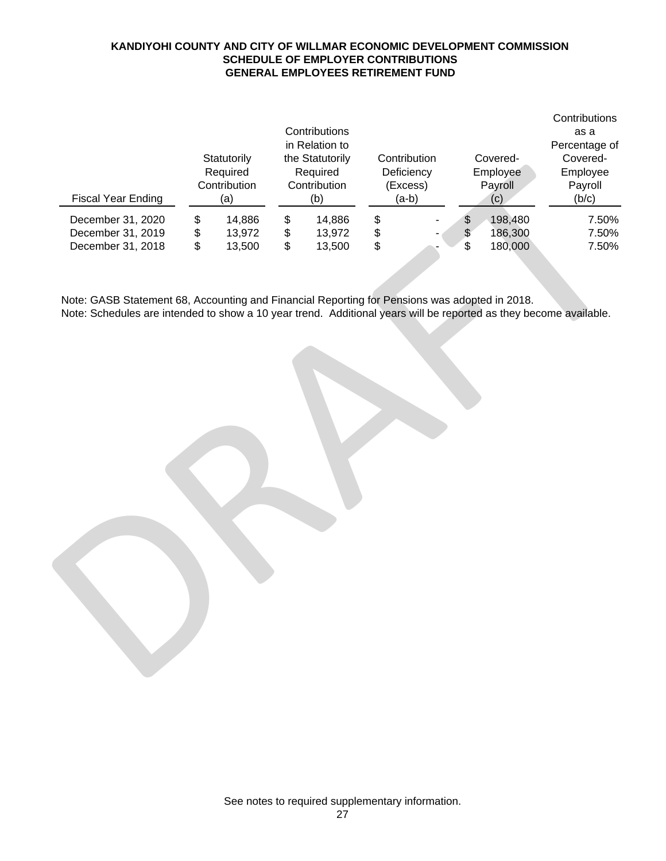## **KANDIYOHI COUNTY AND CITY OF WILLMAR ECONOMIC DEVELOPMENT COMMISSION SCHEDULE OF EMPLOYER CONTRIBUTIONS GENERAL EMPLOYEES RETIREMENT FUND**

| <b>Fiscal Year Ending</b>                                                                                                                                                                                          |                | Statutorily<br>Required<br>Contribution<br>(a) |                | Contributions<br>in Relation to<br>the Statutorily<br>Required<br>Contribution<br>(b) | Contribution<br>Deficiency<br>(Excess)<br>$(a-b)$ |                          | Covered-<br>Employee<br>Payroll<br>(c) | Contributions<br>as a<br>Percentage of<br>Covered-<br>Employee<br>Payroll<br>(b/c) |
|--------------------------------------------------------------------------------------------------------------------------------------------------------------------------------------------------------------------|----------------|------------------------------------------------|----------------|---------------------------------------------------------------------------------------|---------------------------------------------------|--------------------------|----------------------------------------|------------------------------------------------------------------------------------|
| December 31, 2020<br>December 31, 2019<br>December 31, 2018                                                                                                                                                        | \$<br>\$<br>\$ | 14,886<br>13,972<br>13,500                     | \$<br>\$<br>\$ | 14,886<br>13,972<br>13,500                                                            | \$\$                                              | $\, \, \$$<br>$\,$<br>\$ | 198,480<br>186,300<br>180,000          | 7.50%<br>7.50%<br>7.50%                                                            |
| Note: GASB Statement 68, Accounting and Financial Reporting for Pensions was adopted in 2018.<br>Note: Schedules are intended to show a 10 year trend. Additional years will be reported as they become available. |                |                                                |                |                                                                                       |                                                   |                          |                                        |                                                                                    |

See notes to required supplementary information.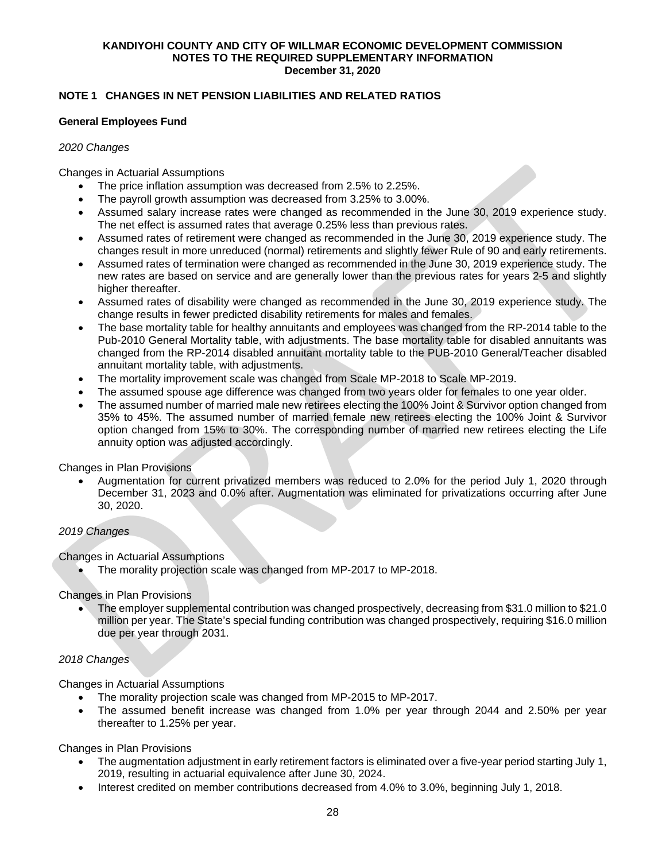#### **KANDIYOHI COUNTY AND CITY OF WILLMAR ECONOMIC DEVELOPMENT COMMISSION NOTES TO THE REQUIRED SUPPLEMENTARY INFORMATION December 31, 2020**

## **NOTE 1 CHANGES IN NET PENSION LIABILITIES AND RELATED RATIOS**

## **General Employees Fund**

## *2020 Changes*

Changes in Actuarial Assumptions

- The price inflation assumption was decreased from 2.5% to 2.25%.
- The payroll growth assumption was decreased from 3.25% to 3.00%.
- Assumed salary increase rates were changed as recommended in the June 30, 2019 experience study. The net effect is assumed rates that average 0.25% less than previous rates.
- Assumed rates of retirement were changed as recommended in the June 30, 2019 experience study. The changes result in more unreduced (normal) retirements and slightly fewer Rule of 90 and early retirements.
- Assumed rates of termination were changed as recommended in the June 30, 2019 experience study. The new rates are based on service and are generally lower than the previous rates for years 2-5 and slightly higher thereafter.
- Assumed rates of disability were changed as recommended in the June 30, 2019 experience study. The change results in fewer predicted disability retirements for males and females.
- The base mortality table for healthy annuitants and employees was changed from the RP-2014 table to the Pub-2010 General Mortality table, with adjustments. The base mortality table for disabled annuitants was changed from the RP-2014 disabled annuitant mortality table to the PUB-2010 General/Teacher disabled annuitant mortality table, with adjustments. Changes in Actuation Assumption was decreased from 2.5% to 2.25%.<br>
• The prior inflation assumption was decreased from 2.5% to 2.25%.<br>
• The prior inflation assumption was decreased from 2.5% to 2.0%.<br>
• Assumed salary in
	- The mortality improvement scale was changed from Scale MP-2018 to Scale MP-2019.
	- The assumed spouse age difference was changed from two years older for females to one year older.
	- The assumed number of married male new retirees electing the 100% Joint & Survivor option changed from 35% to 45%. The assumed number of married female new retirees electing the 100% Joint & Survivor option changed from 15% to 30%. The corresponding number of married new retirees electing the Life annuity option was adjusted accordingly.

## Changes in Plan Provisions

 Augmentation for current privatized members was reduced to 2.0% for the period July 1, 2020 through December 31, 2023 and 0.0% after. Augmentation was eliminated for privatizations occurring after June 30, 2020.

## *2019 Changes*

Changes in Actuarial Assumptions

The morality projection scale was changed from MP-2017 to MP-2018.

## Changes in Plan Provisions

 The employer supplemental contribution was changed prospectively, decreasing from \$31.0 million to \$21.0 million per year. The State's special funding contribution was changed prospectively, requiring \$16.0 million due per year through 2031.

## *2018 Changes*

Changes in Actuarial Assumptions

- The morality projection scale was changed from MP-2015 to MP-2017.
- The assumed benefit increase was changed from 1.0% per year through 2044 and 2.50% per year thereafter to 1.25% per year.

Changes in Plan Provisions

- The augmentation adjustment in early retirement factors is eliminated over a five-year period starting July 1, 2019, resulting in actuarial equivalence after June 30, 2024.
- Interest credited on member contributions decreased from 4.0% to 3.0%, beginning July 1, 2018.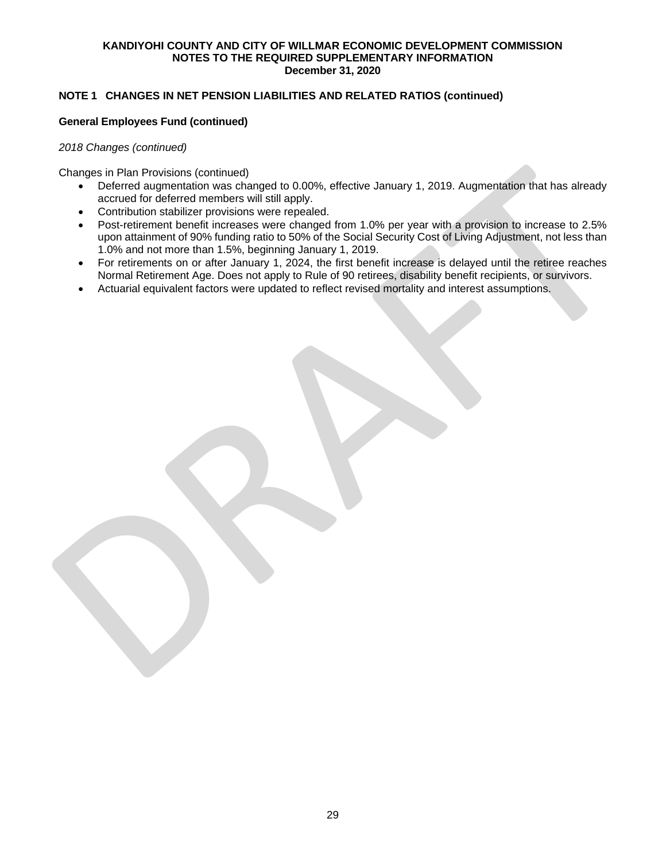#### **KANDIYOHI COUNTY AND CITY OF WILLMAR ECONOMIC DEVELOPMENT COMMISSION NOTES TO THE REQUIRED SUPPLEMENTARY INFORMATION December 31, 2020**

## **NOTE 1 CHANGES IN NET PENSION LIABILITIES AND RELATED RATIOS (continued)**

## **General Employees Fund (continued)**

## *2018 Changes (continued)*

Changes in Plan Provisions (continued)

- Deferred augmentation was changed to 0.00%, effective January 1, 2019. Augmentation that has already accrued for deferred members will still apply.
- Contribution stabilizer provisions were repealed.
- Post-retirement benefit increases were changed from 1.0% per year with a provision to increase to 2.5% upon attainment of 90% funding ratio to 50% of the Social Security Cost of Living Adjustment, not less than 1.0% and not more than 1.5%, beginning January 1, 2019. Change in Plan Provisions (continued) to 0.00%, effective January 1, 2019. Augmentation that has already<br>
accrued for redeterd members will still apply.<br>
Contribution stabilizer provisions were repeated.<br>
Post-retirement b
	- For retirements on or after January 1, 2024, the first benefit increase is delayed until the retiree reaches Normal Retirement Age. Does not apply to Rule of 90 retirees, disability benefit recipients, or survivors.
	- Actuarial equivalent factors were updated to reflect revised mortality and interest assumptions.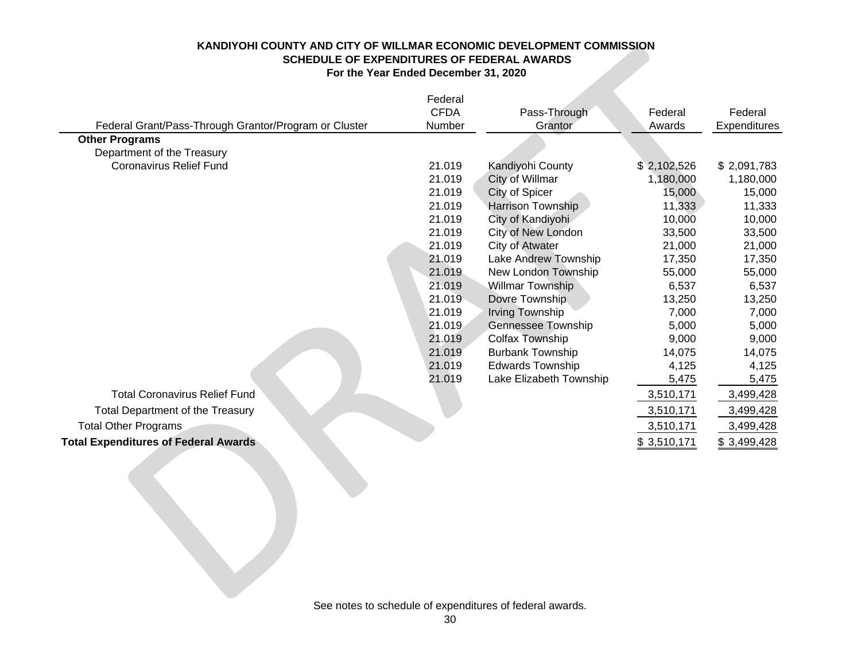# **KANDIYOHI COUNTY AND CITY OF WILLMAR ECONOMIC DEVELOPMENT COMMISSION SCHEDULE OF EXPENDITURES OF FEDERAL AWARDS**

|  |  |  | For the Year Ended December 31, 2020 |  |  |
|--|--|--|--------------------------------------|--|--|
|--|--|--|--------------------------------------|--|--|

| KANDIYOHI COUNTY AND CITY OF WILLMAR ECONOMIC DEVELOPMENT COMMISSION<br>SCHEDULE OF EXPENDITURES OF FEDERAL AWARDS | For the Year Ended December 31, 2020 |                          |                   |                         |
|--------------------------------------------------------------------------------------------------------------------|--------------------------------------|--------------------------|-------------------|-------------------------|
| Federal Grant/Pass-Through Grantor/Program or Cluster                                                              | Federal<br><b>CFDA</b><br>Number     | Pass-Through<br>Grantor  | Federal<br>Awards | Federal<br>Expenditures |
| <b>Other Programs</b>                                                                                              |                                      |                          |                   |                         |
| Department of the Treasury                                                                                         |                                      |                          |                   |                         |
| <b>Coronavirus Relief Fund</b>                                                                                     | 21.019                               | Kandiyohi County         | \$2,102,526       | \$2,091,783             |
|                                                                                                                    | 21.019                               | City of Willmar          | 1,180,000         | 1,180,000               |
|                                                                                                                    | 21.019                               | City of Spicer           | 15,000            | 15,000                  |
|                                                                                                                    | 21.019                               | <b>Harrison Township</b> | 11,333            | 11,333                  |
|                                                                                                                    | 21.019                               | City of Kandiyohi        | 10,000            | 10,000                  |
|                                                                                                                    | 21.019                               | City of New London       | 33,500            | 33,500                  |
|                                                                                                                    | 21.019                               | City of Atwater          | 21,000            | 21,000                  |
|                                                                                                                    | 21.019                               | Lake Andrew Township     | 17,350            | 17,350                  |
|                                                                                                                    | 21.019                               | New London Township      | 55,000            | 55,000                  |
|                                                                                                                    | 21.019                               | <b>Willmar Township</b>  | 6,537             | 6,537                   |
|                                                                                                                    | 21.019                               | Dovre Township           | 13,250            | 13,250                  |
|                                                                                                                    | 21.019                               | <b>Irving Township</b>   | 7,000             | 7,000                   |
|                                                                                                                    | 21.019                               | Gennessee Township       | 5,000             | 5,000                   |
|                                                                                                                    | 21.019                               | Colfax Township          | 9,000             | 9,000                   |
|                                                                                                                    | 21.019                               | <b>Burbank Township</b>  | 14,075            | 14,075                  |
|                                                                                                                    | 21.019                               | <b>Edwards Township</b>  | 4,125             | 4,125                   |
|                                                                                                                    | 21.019                               | Lake Elizabeth Township  | 5,475             | 5,475                   |
| <b>Total Coronavirus Relief Fund</b>                                                                               |                                      |                          | 3,510,171         | 3,499,428               |
| <b>Total Department of the Treasury</b>                                                                            |                                      |                          | 3,510,171         | 3,499,428               |
| <b>Total Other Programs</b>                                                                                        |                                      |                          | 3,510,171         | 3,499,428               |
| <b>Total Expenditures of Federal Awards</b>                                                                        |                                      |                          | \$3,510,171       | \$3,499,428             |
|                                                                                                                    |                                      |                          |                   |                         |

See notes to schedule of expenditures of federal awards.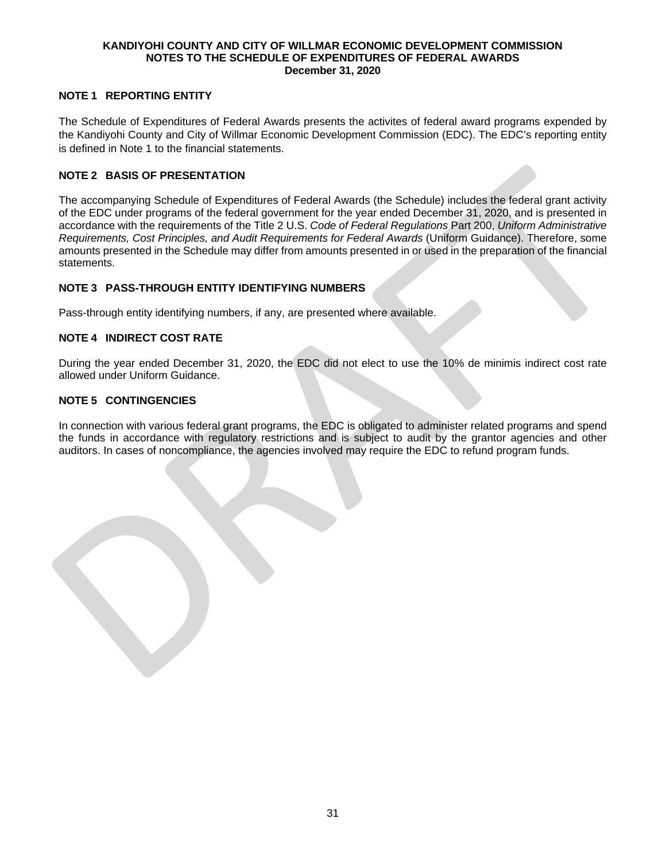#### **KANDIYOHI COUNTY AND CITY OF WILLMAR ECONOMIC DEVELOPMENT COMMISSION NOTES TO THE SCHEDULE OF EXPENDITURES OF FEDERAL AWARDS December 31, 2020**

## **NOTE 1 REPORTING ENTITY**

The Schedule of Expenditures of Federal Awards presents the activites of federal award programs expended by the Kandiyohi County and City of Willmar Economic Development Commission (EDC). The EDC's reporting entity is defined in Note 1 to the financial statements.

## **NOTE 2 BASIS OF PRESENTATION**

The accompanying Schedule of Expenditures of Federal Awards (the Schedule) includes the federal grant activity of the EDC under programs of the federal government for the year ended December 31, 2020, and is presented in accordance with the requirements of the Title 2 U.S. *Code of Federal Regulations* Part 200, *Uniform Administrative Requirements, Cost Principles, and Audit Requirements for Federal Awards* (Uniform Guidance). Therefore, some amounts presented in the Schedule may differ from amounts presented in or used in the preparation of the financial statements. NOTE 2 BASIS OF PRESENTATION<br>The accompanying Schelars of Federal Awards (the Schedule) includes the fielderal grom activity<br>of the EDC under programs of the fielderal government for the year ended December 31, 2020, and i

## **NOTE 3 PASS-THROUGH ENTITY IDENTIFYING NUMBERS**

Pass-through entity identifying numbers, if any, are presented where available.

#### **NOTE 4 INDIRECT COST RATE**

During the year ended December 31, 2020, the EDC did not elect to use the 10% de minimis indirect cost rate allowed under Uniform Guidance.

## **NOTE 5 CONTINGENCIES**

In connection with various federal grant programs, the EDC is obligated to administer related programs and spend the funds in accordance with regulatory restrictions and is subject to audit by the grantor agencies and other auditors. In cases of noncompliance, the agencies involved may require the EDC to refund program funds.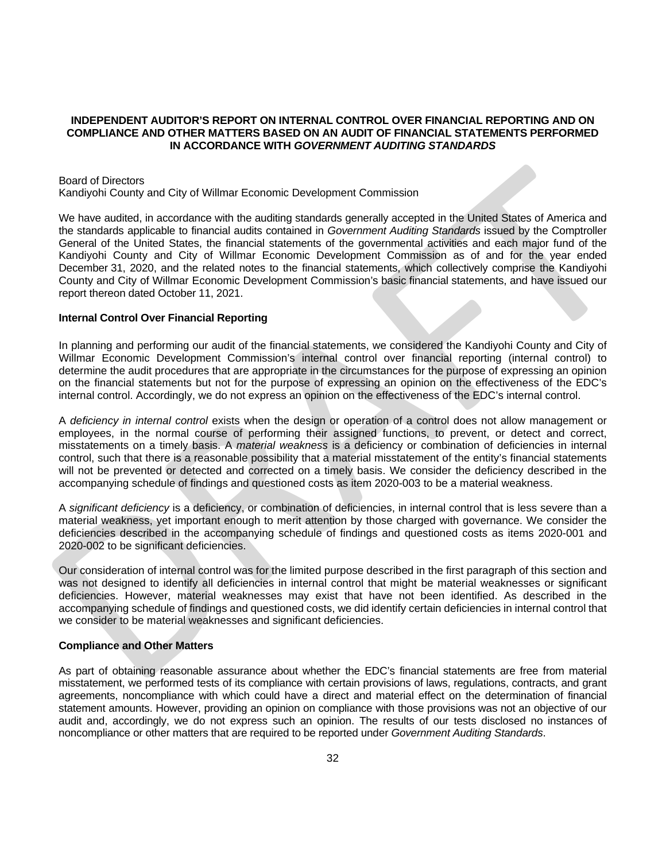#### **INDEPENDENT AUDITOR'S REPORT ON INTERNAL CONTROL OVER FINANCIAL REPORTING AND ON COMPLIANCE AND OTHER MATTERS BASED ON AN AUDIT OF FINANCIAL STATEMENTS PERFORMED IN ACCORDANCE WITH** *GOVERNMENT AUDITING STANDARDS*

#### Board of Directors

Kandiyohi County and City of Willmar Economic Development Commission

We have audited, in accordance with the auditing standards generally accepted in the United States of America and the standards applicable to financial audits contained in *Government Auditing Standards* issued by the Comptroller General of the United States, the financial statements of the governmental activities and each major fund of the Kandiyohi County and City of Willmar Economic Development Commission as of and for the year ended December 31, 2020, and the related notes to the financial statements, which collectively comprise the Kandiyohi County and City of Willmar Economic Development Commission's basic financial statements, and have issued our report thereon dated October 11, 2021. Board of Directors<br>
Kondyth County and City of Willimar Economic Development Commission<br>
We have audited in accordance with the auditing standards generally accepted in the United States of America and<br>
We have audited in

#### **Internal Control Over Financial Reporting**

In planning and performing our audit of the financial statements, we considered the Kandiyohi County and City of Willmar Economic Development Commission's internal control over financial reporting (internal control) to determine the audit procedures that are appropriate in the circumstances for the purpose of expressing an opinion on the financial statements but not for the purpose of expressing an opinion on the effectiveness of the EDC's internal control. Accordingly, we do not express an opinion on the effectiveness of the EDC's internal control.

A *deficiency in internal control* exists when the design or operation of a control does not allow management or employees, in the normal course of performing their assigned functions, to prevent, or detect and correct, misstatements on a timely basis. A *material weakness* is a deficiency or combination of deficiencies in internal control, such that there is a reasonable possibility that a material misstatement of the entity's financial statements will not be prevented or detected and corrected on a timely basis. We consider the deficiency described in the accompanying schedule of findings and questioned costs as item 2020-003 to be a material weakness.

A *significant deficiency* is a deficiency, or combination of deficiencies, in internal control that is less severe than a material weakness, yet important enough to merit attention by those charged with governance. We consider the deficiencies described in the accompanying schedule of findings and questioned costs as items 2020-001 and 2020-002 to be significant deficiencies.

Our consideration of internal control was for the limited purpose described in the first paragraph of this section and was not designed to identify all deficiencies in internal control that might be material weaknesses or significant deficiencies. However, material weaknesses may exist that have not been identified. As described in the accompanying schedule of findings and questioned costs, we did identify certain deficiencies in internal control that we consider to be material weaknesses and significant deficiencies.

#### **Compliance and Other Matters**

As part of obtaining reasonable assurance about whether the EDC's financial statements are free from material misstatement, we performed tests of its compliance with certain provisions of laws, regulations, contracts, and grant agreements, noncompliance with which could have a direct and material effect on the determination of financial statement amounts. However, providing an opinion on compliance with those provisions was not an objective of our audit and, accordingly, we do not express such an opinion. The results of our tests disclosed no instances of noncompliance or other matters that are required to be reported under *Government Auditing Standards*.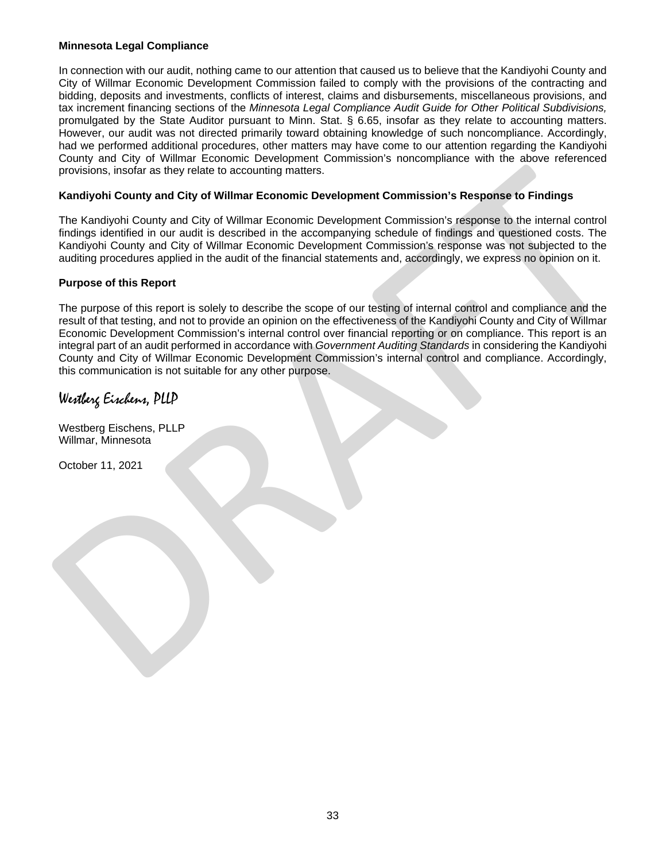#### **Minnesota Legal Compliance**

In connection with our audit, nothing came to our attention that caused us to believe that the Kandiyohi County and City of Willmar Economic Development Commission failed to comply with the provisions of the contracting and bidding, deposits and investments, conflicts of interest, claims and disbursements, miscellaneous provisions, and tax increment financing sections of the *Minnesota Legal Compliance Audit Guide for Other Political Subdivisions,* promulgated by the State Auditor pursuant to Minn. Stat. § 6.65, insofar as they relate to accounting matters. However, our audit was not directed primarily toward obtaining knowledge of such noncompliance. Accordingly, had we performed additional procedures, other matters may have come to our attention regarding the Kandiyohi County and City of Willmar Economic Development Commission's noncompliance with the above referenced provisions, insofar as they relate to accounting matters.

## **Kandiyohi County and City of Willmar Economic Development Commission's Response to Findings**

The Kandiyohi County and City of Willmar Economic Development Commission's response to the internal control findings identified in our audit is described in the accompanying schedule of findings and questioned costs. The Kandiyohi County and City of Willmar Economic Development Commission's response was not subjected to the auditing procedures applied in the audit of the financial statements and, accordingly, we express no opinion on it.

## **Purpose of this Report**

The purpose of this report is solely to describe the scope of our testing of internal control and compliance and the result of that testing, and not to provide an opinion on the effectiveness of the Kandiyohi County and City of Willmar Economic Development Commission's internal control over financial reporting or on compliance. This report is an integral part of an audit performed in accordance with *Government Auditing Standards* in considering the Kandiyohi County and City of Willmar Economic Development Commission's internal control and compliance. Accordingly, this communication is not suitable for any other purpose. provisions, insofar as they relate to accounting matters.<br> **Kandiyohi County and City of Willimar Economic Development Commission's Response to Findings<br>
The Kandyshi County and City of Willimar Economic Development Commis** 

Westberg Eischens, PLLP

Westberg Eischens, PLLP Willmar, Minnesota

October 11, 2021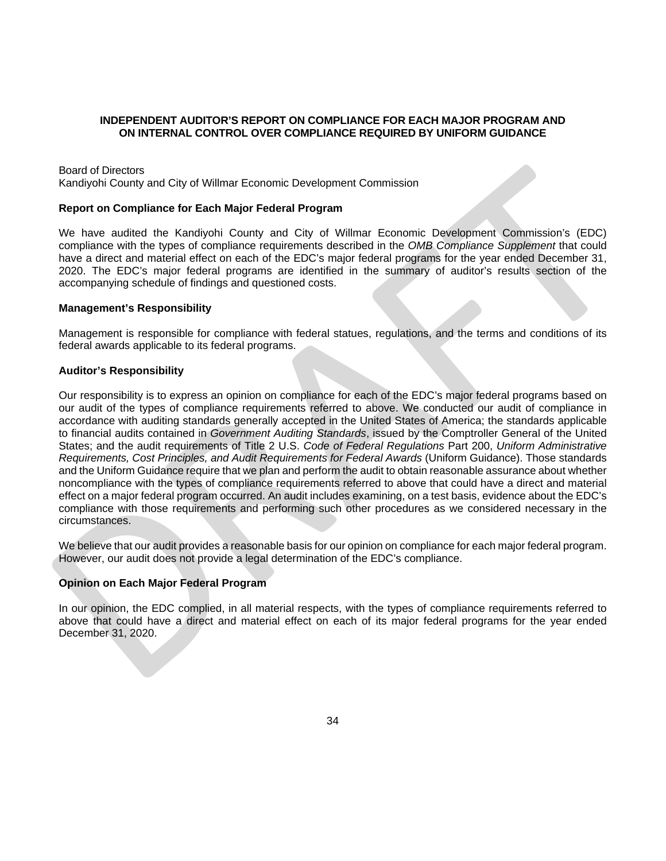#### **INDEPENDENT AUDITOR'S REPORT ON COMPLIANCE FOR EACH MAJOR PROGRAM AND ON INTERNAL CONTROL OVER COMPLIANCE REQUIRED BY UNIFORM GUIDANCE**

Board of Directors

Kandiyohi County and City of Willmar Economic Development Commission

#### **Report on Compliance for Each Major Federal Program**

We have audited the Kandiyohi County and City of Willmar Economic Development Commission's (EDC) compliance with the types of compliance requirements described in the *OMB Compliance Supplement* that could have a direct and material effect on each of the EDC's major federal programs for the year ended December 31, 2020. The EDC's major federal programs are identified in the summary of auditor's results section of the accompanying schedule of findings and questioned costs.

#### **Management's Responsibility**

Management is responsible for compliance with federal statues, regulations, and the terms and conditions of its federal awards applicable to its federal programs.

#### **Auditor's Responsibility**

Our responsibility is to express an opinion on compliance for each of the EDC's major federal programs based on our audit of the types of compliance requirements referred to above. We conducted our audit of compliance in accordance with auditing standards generally accepted in the United States of America; the standards applicable to financial audits contained in *Government Auditing Standards*, issued by the Comptroller General of the United States; and the audit requirements of Title 2 U.S. *Code of Federal Regulations* Part 200, *Uniform Administrative Requirements, Cost Principles, and Audit Requirements for Federal Awards* (Uniform Guidance). Those standards and the Uniform Guidance require that we plan and perform the audit to obtain reasonable assurance about whether noncompliance with the types of compliance requirements referred to above that could have a direct and material effect on a major federal program occurred. An audit includes examining, on a test basis, evidence about the EDC's compliance with those requirements and performing such other procedures as we considered necessary in the circumstances. Board of Directors<br>
Kandyohi County and City of Willimar Economic Development Commission<br>
Report on Compliance for Each Major Federal Program<br>
New have a unit of the Direct of School County and City of Willimar Economic De

We believe that our audit provides a reasonable basis for our opinion on compliance for each major federal program. However, our audit does not provide a legal determination of the EDC's compliance.

#### **Opinion on Each Major Federal Program**

In our opinion, the EDC complied, in all material respects, with the types of compliance requirements referred to above that could have a direct and material effect on each of its major federal programs for the year ended December 31, 2020.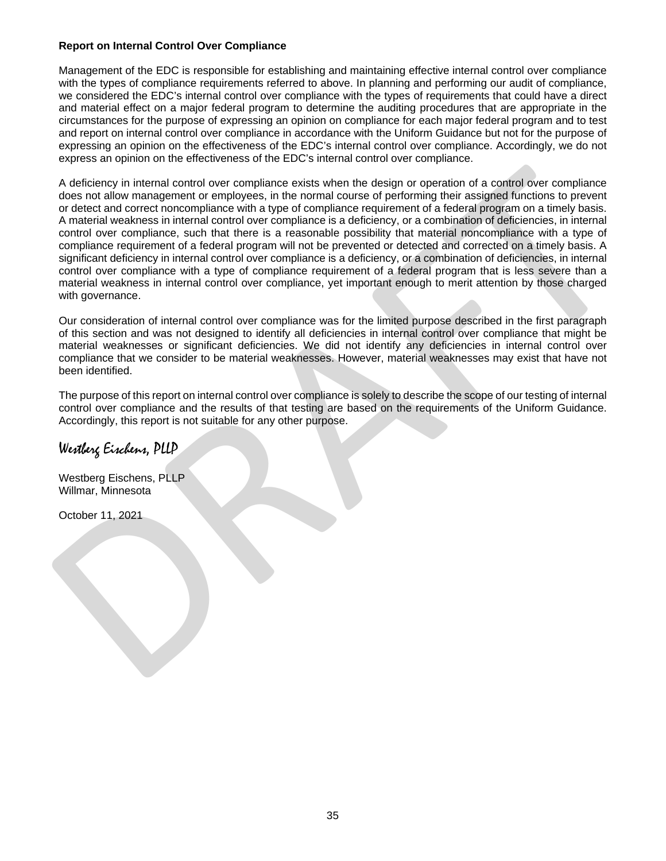## **Report on Internal Control Over Compliance**

Management of the EDC is responsible for establishing and maintaining effective internal control over compliance with the types of compliance requirements referred to above. In planning and performing our audit of compliance, we considered the EDC's internal control over compliance with the types of requirements that could have a direct and material effect on a major federal program to determine the auditing procedures that are appropriate in the circumstances for the purpose of expressing an opinion on compliance for each major federal program and to test and report on internal control over compliance in accordance with the Uniform Guidance but not for the purpose of expressing an opinion on the effectiveness of the EDC's internal control over compliance. Accordingly, we do not express an opinion on the effectiveness of the EDC's internal control over compliance.

A deficiency in internal control over compliance exists when the design or operation of a control over compliance does not allow management or employees, in the normal course of performing their assigned functions to prevent or detect and correct noncompliance with a type of compliance requirement of a federal program on a timely basis. A material weakness in internal control over compliance is a deficiency, or a combination of deficiencies, in internal control over compliance, such that there is a reasonable possibility that material noncompliance with a type of compliance requirement of a federal program will not be prevented or detected and corrected on a timely basis. A significant deficiency in internal control over compliance is a deficiency, or a combination of deficiencies, in internal control over compliance with a type of compliance requirement of a federal program that is less severe than a material weakness in internal control over compliance, yet important enough to merit attention by those charged with governance. A deficiency in intensit control over compliance exists when the design or operation of a control over compliance of deficiency in intensity of the formula course of particular to provide of the complete of a control over

Our consideration of internal control over compliance was for the limited purpose described in the first paragraph of this section and was not designed to identify all deficiencies in internal control over compliance that might be material weaknesses or significant deficiencies. We did not identify any deficiencies in internal control over compliance that we consider to be material weaknesses. However, material weaknesses may exist that have not been identified.

The purpose of this report on internal control over compliance is solely to describe the scope of our testing of internal control over compliance and the results of that testing are based on the requirements of the Uniform Guidance. Accordingly, this report is not suitable for any other purpose.

Westberg Eischens, PLLP

Westberg Eischens, PLLP Willmar, Minnesota

October 11, 2021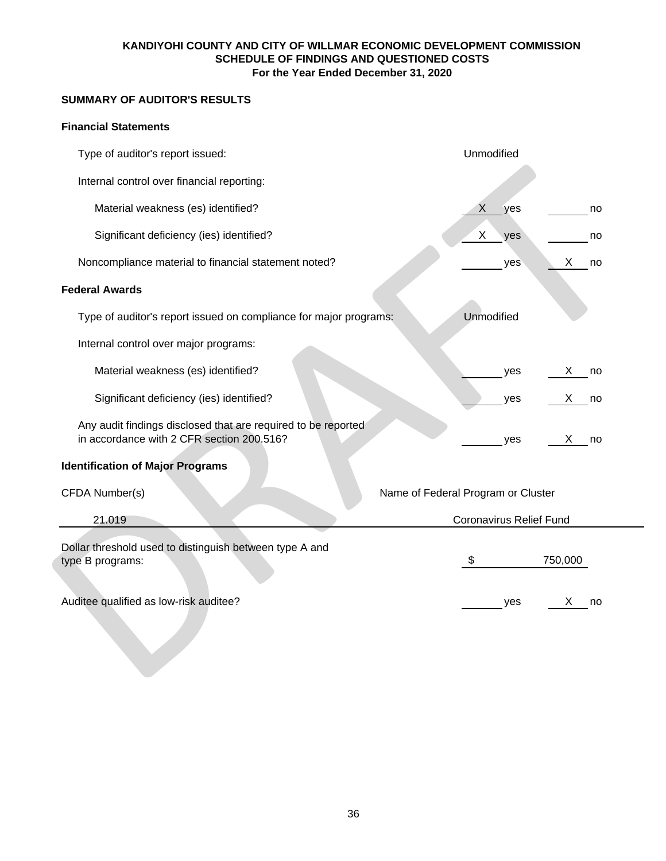## **KANDIYOHI COUNTY AND CITY OF WILLMAR ECONOMIC DEVELOPMENT COMMISSION SCHEDULE OF FINDINGS AND QUESTIONED COSTS For the Year Ended December 31, 2020**

## **SUMMARY OF AUDITOR'S RESULTS**

## **Financial Statements**

| Type of auditor's report issued:                                                                           | Unmodified                         |
|------------------------------------------------------------------------------------------------------------|------------------------------------|
| Internal control over financial reporting:                                                                 |                                    |
| Material weakness (es) identified?                                                                         | X<br>yes<br>no                     |
| Significant deficiency (ies) identified?                                                                   | X<br>yes<br>no                     |
| Noncompliance material to financial statement noted?                                                       | X<br>yes<br>no                     |
| <b>Federal Awards</b>                                                                                      |                                    |
| Type of auditor's report issued on compliance for major programs:                                          | Unmodified                         |
| Internal control over major programs:                                                                      |                                    |
| Material weakness (es) identified?                                                                         | X<br>yes<br>no                     |
| Significant deficiency (ies) identified?                                                                   | X<br>yes<br>no                     |
| Any audit findings disclosed that are required to be reported<br>in accordance with 2 CFR section 200.516? | X<br>yes<br>no                     |
| <b>Identification of Major Programs</b>                                                                    |                                    |
| CFDA Number(s)                                                                                             | Name of Federal Program or Cluster |
| 21.019                                                                                                     | Coronavirus Relief Fund            |
| Dollar threshold used to distinguish between type A and<br>type B programs:                                | \$<br>750,000                      |
| Auditee qualified as low-risk auditee?                                                                     | X<br>yes<br>no                     |
|                                                                                                            |                                    |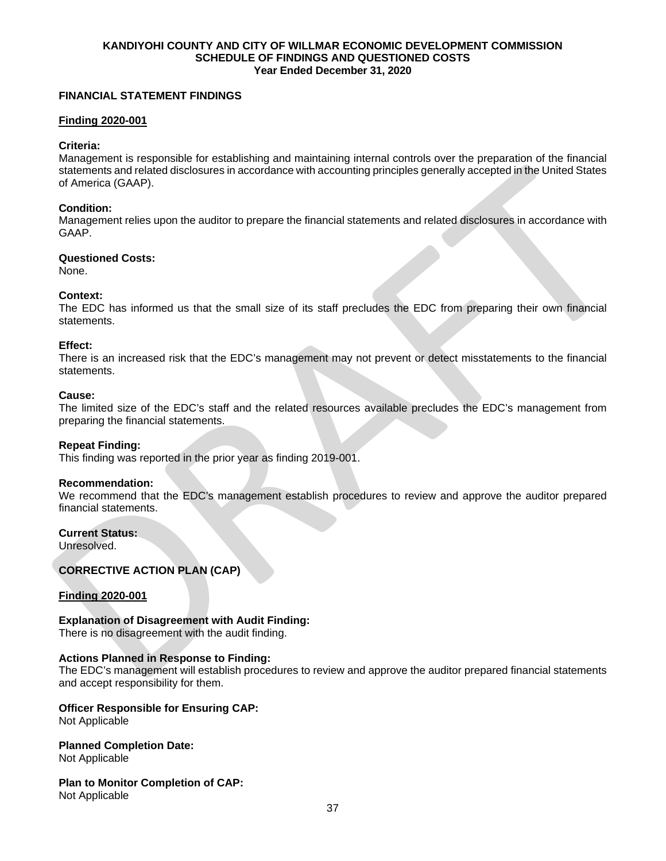#### **KANDIYOHI COUNTY AND CITY OF WILLMAR ECONOMIC DEVELOPMENT COMMISSION SCHEDULE OF FINDINGS AND QUESTIONED COSTS Year Ended December 31, 2020**

## **FINANCIAL STATEMENT FINDINGS**

## **Finding 2020-001**

## **Criteria:**

Management is responsible for establishing and maintaining internal controls over the preparation of the financial statements and related disclosures in accordance with accounting principles generally accepted in the United States of America (GAAP). statements and related disclosures in accordance with accounting principles generally accepted in the United States<br>of America (GAAP).<br>Condition:<br>Condition:<br>Condition:<br>Condition:<br>Condition:<br>Condition:<br>Condition:<br>Condition:

## **Condition:**

Management relies upon the auditor to prepare the financial statements and related disclosures in accordance with GAAP.

## **Questioned Costs:**

None.

## **Context:**

The EDC has informed us that the small size of its staff precludes the EDC from preparing their own financial statements.

## **Effect:**

There is an increased risk that the EDC's management may not prevent or detect misstatements to the financial statements.

## **Cause:**

The limited size of the EDC's staff and the related resources available precludes the EDC's management from preparing the financial statements.

#### **Repeat Finding:**

This finding was reported in the prior year as finding 2019-001.

#### **Recommendation:**

We recommend that the EDC's management establish procedures to review and approve the auditor prepared financial statements.

**Current Status:** 

Unresolved.

## **CORRECTIVE ACTION PLAN (CAP)**

## **Finding 2020-001**

#### **Explanation of Disagreement with Audit Finding:**

There is no disagreement with the audit finding.

#### **Actions Planned in Response to Finding:**

The EDC's management will establish procedures to review and approve the auditor prepared financial statements and accept responsibility for them.

# **Officer Responsible for Ensuring CAP:**

Not Applicable

**Planned Completion Date:**  Not Applicable

**Plan to Monitor Completion of CAP:** 

Not Applicable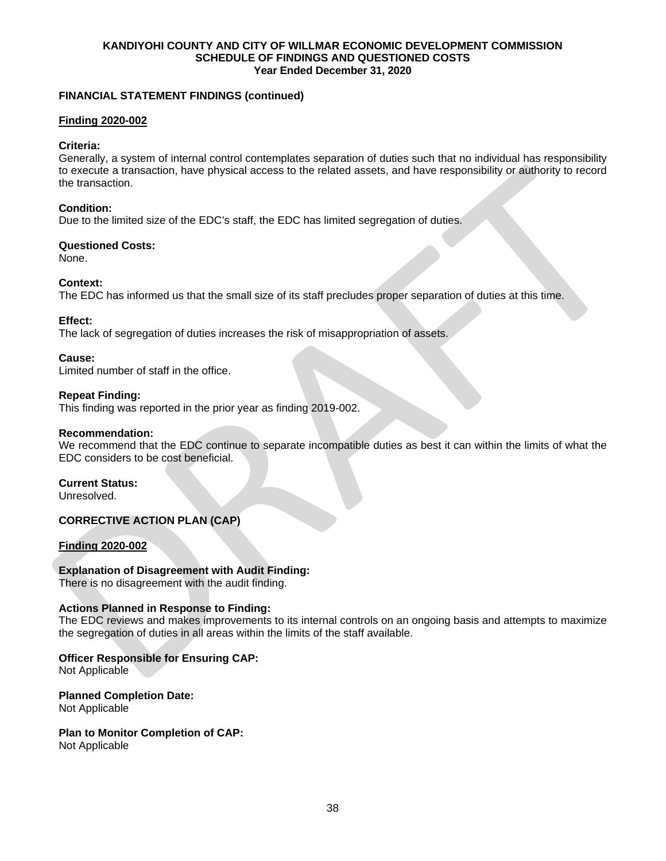#### **KANDIYOHI COUNTY AND CITY OF WILLMAR ECONOMIC DEVELOPMENT COMMISSION SCHEDULE OF FINDINGS AND QUESTIONED COSTS Year Ended December 31, 2020**

## **FINANCIAL STATEMENT FINDINGS (continued)**

## **Finding 2020-002**

## **Criteria:**

Generally, a system of internal control contemplates separation of duties such that no individual has responsibility to execute a transaction, have physical access to the related assets, and have responsibility or authority to record the transaction. to execute a framection, have physical access to the related assets, and have responsibility or authority to record<br>the transaction.<br>Due to the limited size of the EDC's staff, the EDC has limited segregation of duties.<br>Du

## **Condition:**

Due to the limited size of the EDC's staff, the EDC has limited segregation of duties.

## **Questioned Costs:**

None.

## **Context:**

The EDC has informed us that the small size of its staff precludes proper separation of duties at this time.

## **Effect:**

The lack of segregation of duties increases the risk of misappropriation of assets.

## **Cause:**

Limited number of staff in the office.

## **Repeat Finding:**

This finding was reported in the prior year as finding 2019-002.

## **Recommendation:**

We recommend that the EDC continue to separate incompatible duties as best it can within the limits of what the EDC considers to be cost beneficial.

#### **Current Status:**

Unresolved.

## **CORRECTIVE ACTION PLAN (CAP)**

#### **Finding 2020-002**

## **Explanation of Disagreement with Audit Finding:**

There is no disagreement with the audit finding.

#### **Actions Planned in Response to Finding:**

The EDC reviews and makes improvements to its internal controls on an ongoing basis and attempts to maximize the segregation of duties in all areas within the limits of the staff available.

## **Officer Responsible for Ensuring CAP:**

Not Applicable

#### **Planned Completion Date:**  Not Applicable

**Plan to Monitor Completion of CAP:** 

Not Applicable